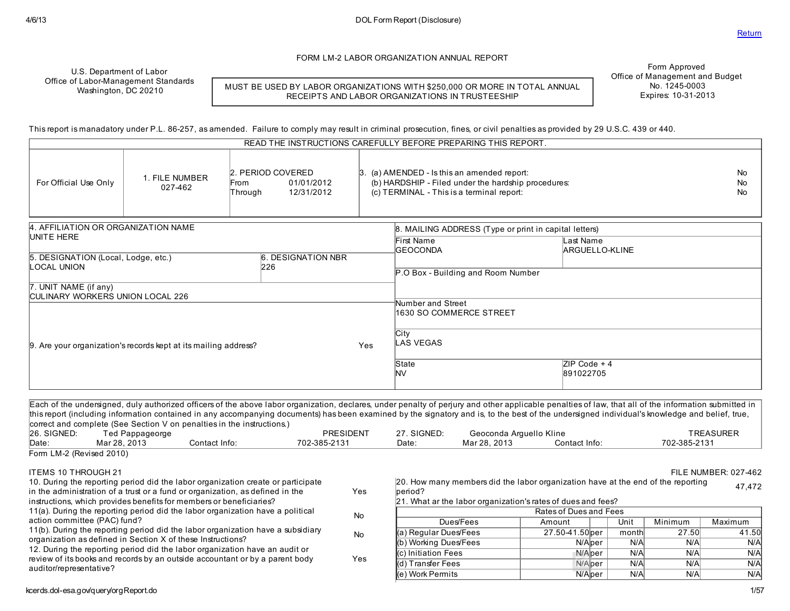FORM LM-2 LABOR ORGANIZATION ANNUAL REPORT

U.S. Department of Labor Office of Labor-Management Standards Washington, DC 20210

MUST BE USED BY LABOR ORGANIZATIONS WITH \$250,000 OR MORE IN TOTAL ANNUAL RECEIPTS AND LABOR ORGANIZATIONS IN TRUSTEESHIP

Form Approved Office of Management and Budget No. 1245-0003 Expires: 10-31-2013

This report is manadatory under P.L. 86-257, asamended. Failure to comply may result in criminal prosecution, fines, or civil penaltiesasprovided by 29 U.S.C. 439 or 440.

|                                                                        |                           |                                                                  |  | READ THE INSTRUCTIONS CAREFULLY BEFORE PREPARING THIS REPORT.                                                                                          |                                                       |  |  |  |
|------------------------------------------------------------------------|---------------------------|------------------------------------------------------------------|--|--------------------------------------------------------------------------------------------------------------------------------------------------------|-------------------------------------------------------|--|--|--|
| For Official Use Only                                                  | 1. FILE NUMBER<br>027-462 | 2. PERIOD COVERED<br>01/01/2012<br>From<br>12/31/2012<br>Through |  | $\beta$ . (a) AMENDED - Is this an amended report:<br>(b) HARDSHIP - Filed under the hardship procedures:<br>(c) TERMINAL - This is a terminal report: |                                                       |  |  |  |
| 4. AFFILIATION OR ORGANIZATION NAME                                    |                           |                                                                  |  |                                                                                                                                                        | 8. MAILING ADDRESS (Type or print in capital letters) |  |  |  |
| UNITE HERE                                                             |                           |                                                                  |  | First Name<br><b>GEOCONDA</b>                                                                                                                          | Last Name<br>ARGUELLO-KLINE                           |  |  |  |
| 5. DESIGNATION (Local, Lodge, etc.)<br>LOCAL UNION                     |                           | <b>6. DESIGNATION NBR</b><br>226                                 |  |                                                                                                                                                        |                                                       |  |  |  |
|                                                                        |                           |                                                                  |  | P.O Box - Building and Room Number                                                                                                                     |                                                       |  |  |  |
| 7. UNIT NAME (if any)<br>CULINARY WORKERS UNION LOCAL 226              |                           |                                                                  |  |                                                                                                                                                        |                                                       |  |  |  |
|                                                                        |                           |                                                                  |  | Number and Street                                                                                                                                      |                                                       |  |  |  |
|                                                                        |                           |                                                                  |  | 1630 SO COMMERCE STREET                                                                                                                                |                                                       |  |  |  |
|                                                                        |                           |                                                                  |  | City                                                                                                                                                   |                                                       |  |  |  |
| 9. Are your organization's records kept at its mailing address?<br>Yes |                           |                                                                  |  | LAS VEGAS                                                                                                                                              |                                                       |  |  |  |
|                                                                        |                           |                                                                  |  | State                                                                                                                                                  | $ZIP Code + 4$                                        |  |  |  |
|                                                                        |                           |                                                                  |  | <b>NV</b>                                                                                                                                              | 891022705                                             |  |  |  |
|                                                                        |                           |                                                                  |  |                                                                                                                                                        |                                                       |  |  |  |

Each of the undersigned, duly authorized officersof the above labor organization, declares, under penalty of perjury and other applicable penaltiesof law, that all of the information submitted in this report (including information contained in any accompanying documents) hasbeen examined by the signatory and is, to the best of the undersigned individual's knowledge and belief, true, correct and complete (See Section V on penalties in the instructions.)<br>26. SIGNED: Ted Pappageorge 26. SIGNED: Ted Pappageorge PRESIDENT 27. SIGNED: Geoconda Arguello Kline TREASURER Date: Mar 28, 2013 Contact Info: 702-385-2131 Date: Mar 28, 2013 Contact Info: 702-385-2131 Form LM-2 (Revised 2010) ITEMS 10 THROUGH 21 FILE NUMBER: 027-462 10. During the reporting period did the labor organization create or participate in the administration of a trust or a fund or organization, as defined in the instructions, which provides benefits for members or beneficiaries? Yes 11(a). During the reporting period did the labor organization have a political action committee (PAC) fund? No 11(b). During the reporting period did the labor organization have a subsidiary organization asdefined in Section X of these Instructions? No 12. During the reporting period did the labor organization have an audit or 20. How many membersdid the labor organization have at the end of the reporting beriod? 47,472 21. What ar the labor organization's ratesof duesand fees? Ratesof Duesand Fees Dues/Fees | Amount | Unit Minimum Maximum (a) Regular Dues/Fees  $\vert$  27.50-41.50 per | month 27.50 41.50 (b) Working Dues/Fees N/Aper N/A N/A N/A (c) Initiation Fees N/Aper N/A N/A N/A

Yes

kcerds.dol-esa.gov/query/orgReport.do 1/57

auditor/representative?

review of its books and records by an outside accountant or by a parent body

(d) Transfer Fees N/Aper N/A N/A N/A N/A N/A N/A (e) Work Permits N/Alper | N/Al N/Al N/A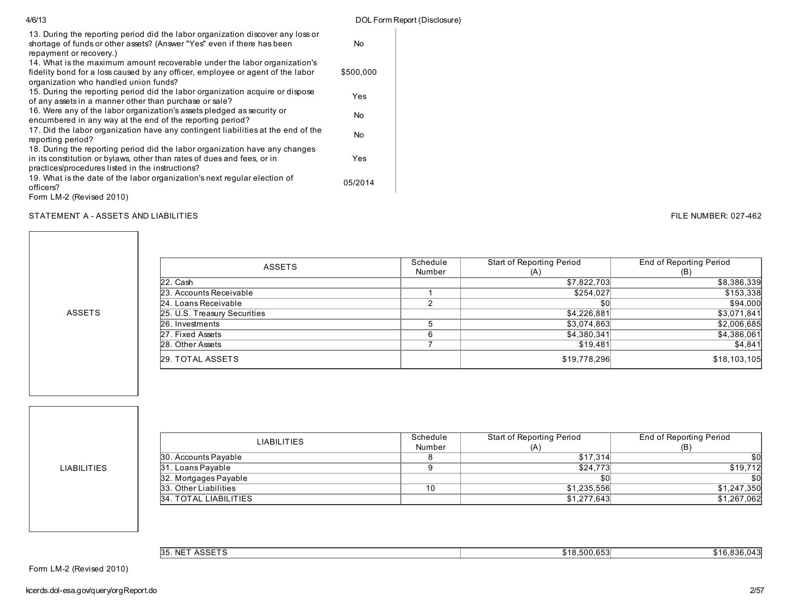| 4/6/13                                                                                                                                                                                                     |           | DOL Form Report (Disclosure) |
|------------------------------------------------------------------------------------------------------------------------------------------------------------------------------------------------------------|-----------|------------------------------|
| 13. During the reporting period did the labor organization discover any loss or<br>shortage of funds or other assets? (Answer "Yes" even if there has been<br>repayment or recovery.)                      | No        |                              |
| 14. What is the maximum amount recoverable under the labor organization's<br>fidelity bond for a loss caused by any officer, employee or agent of the labor<br>organization who handled union funds?       | \$500,000 |                              |
| 15. During the reporting period did the labor organization acquire or dispose<br>of any assets in a manner other than purchase or sale?                                                                    | Yes       |                              |
| 16. Were any of the labor organization's assets pledged as security or<br>encumbered in any way at the end of the reporting period?                                                                        | No        |                              |
| 17. Did the labor organization have any contingent liabilities at the end of the<br>reporting period?                                                                                                      | No        |                              |
| 18. During the reporting period did the labor organization have any changes<br>in its constitution or bylaws, other than rates of dues and fees, or in<br>practices/procedures listed in the instructions? | Yes       |                              |
| 19. What is the date of the labor organization's next regular election of<br>officers?                                                                                                                     | 05/2014   |                              |
| Form LM-2 (Revised 2010)                                                                                                                                                                                   |           |                              |

#### STATEMENT A - ASSETS AND LIABILITIES **FILE NUMBER: 027-462**

| ASSETS                       | Schedule | Start of Reporting Period | End of Reporting Period |
|------------------------------|----------|---------------------------|-------------------------|
|                              | Number   | (A)                       | (B)                     |
| $22.$ Cash                   |          | \$7,822,703               | \$8,386,339             |
| 23. Accounts Receivable      |          | \$254,027                 | \$153,338               |
| 24. Loans Receivable         |          | \$0                       | \$94,000                |
| 25. U.S. Treasury Securities |          | \$4,226,881               | \$3,071,841             |
| 26. Investments              |          | \$3,074,863               | \$2,006,685             |
| 27. Fixed Assets             |          | \$4,380,341               | \$4,386,061             |
| 28. Other Assets             |          | \$19,481                  | \$4,841                 |
| 29. TOTAL ASSETS             |          | \$19,778,296              | \$18,103,105            |

LIABILITIES

ASSETS

| <b>LIABILITIES</b>    | Schedule<br>Number | Start of Reporting Period | End of Reporting Period |
|-----------------------|--------------------|---------------------------|-------------------------|
|                       |                    | (A)                       | (B)                     |
| 30. Accounts Payable  |                    | \$17,314                  | \$0                     |
| 31. Loans Payable     |                    | \$24.773                  | \$19,712                |
| 32. Mortgages Payable |                    | \$0                       | \$0l                    |
| 33. Other Liabilities | 10                 | \$1,235,556               | \$1,247,350             |
| 34. TOTAL LIABILITIES |                    | \$1,277,643               | \$1,267,062             |

35. NET ASSETS \$18,500,653 \$18,500,653 \$16,836,043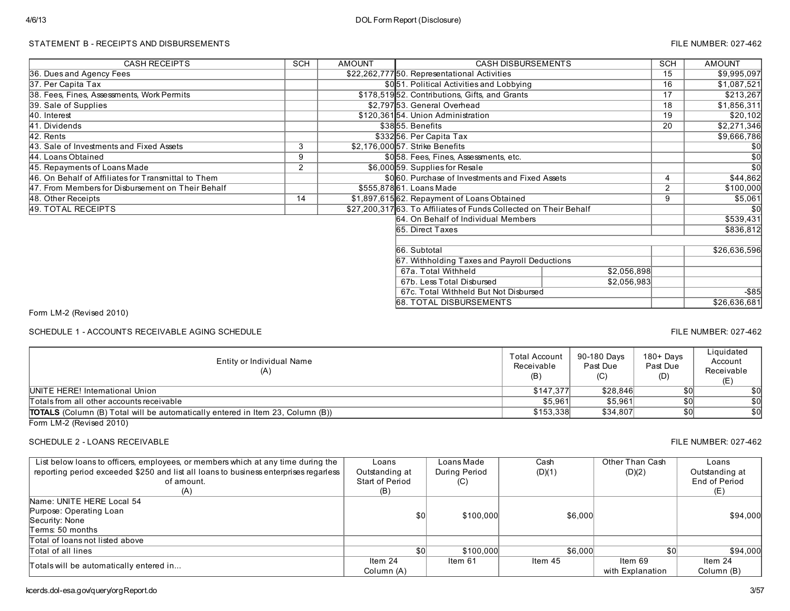## STATEMENT B - RECEIPTS AND DISBURSEMENTS FILE NUMBER: 027-462

| <b>CASH RECEIPTS</b>                                | SCH | <b>AMOUNT</b> | <b>CASH DISBURSEMENTS</b>                                        |             | <b>SCH</b> | <b>AMOUNT</b>   |
|-----------------------------------------------------|-----|---------------|------------------------------------------------------------------|-------------|------------|-----------------|
| 36. Dues and Agency Fees                            |     |               | \$22,262,77750. Representational Activities                      |             | 15         | \$9,995,097     |
| 37. Per Capita Tax                                  |     |               | \$051. Political Activities and Lobbying                         |             | 16         | \$1,087,521     |
| 38. Fees, Fines, Assessments, Work Permits          |     |               | \$178,51952. Contributions, Gifts, and Grants                    |             | 17         | \$213,267       |
| 39. Sale of Supplies                                |     |               | \$2,797 53. General Overhead                                     |             | 18         | \$1,856,311     |
| 40. Interest                                        |     |               | \$120,36154. Union Administration                                |             | 19         | \$20,102        |
| 41. Dividends                                       |     |               | \$3855. Benefits                                                 |             | 20         | \$2,271,346     |
| 42. Rents                                           |     |               | \$33256. Per Capita Tax                                          |             |            | \$9,666,786     |
| 43. Sale of Investments and Fixed Assets            | 3   |               | \$2,176,000 57. Strike Benefits                                  |             |            | \$0             |
| 44. Loans Obtained                                  | 9   |               | \$058. Fees, Fines, Assessments, etc.                            |             |            | $\overline{50}$ |
| 45. Repayments of Loans Made                        | 2   |               | \$6,000 59. Supplies for Resale                                  |             |            | \$0             |
| 46. On Behalf of Affiliates for Transmittal to Them |     |               | \$060. Purchase of Investments and Fixed Assets                  |             | 4          | \$44,862        |
| 47. From Members for Disbursement on Their Behalf   |     |               | \$555,878 61. Loans Made                                         |             | 2          | \$100,000       |
| 48. Other Receipts                                  | 14  |               | \$1,897,615 62. Repayment of Loans Obtained                      |             | 9          | \$5,061         |
| 49. TOTAL RECEIPTS                                  |     |               | \$27,200,31763. To Affiliates of Funds Collected on Their Behalf |             |            | \$0             |
|                                                     |     |               | <b>6</b> 4. On Behalf of Individual Members                      |             |            | \$539,431       |
|                                                     |     |               | 65. Direct Taxes                                                 |             |            | \$836,812       |
|                                                     |     |               |                                                                  |             |            |                 |
|                                                     |     |               | 66. Subtotal                                                     |             |            | \$26,636,596    |
|                                                     |     |               | 67. Withholding Taxes and Payroll Deductions                     |             |            |                 |
|                                                     |     |               | 67a. Total Withheld                                              | \$2,056,898 |            |                 |
|                                                     |     |               | 67b. Less Total Disbursed                                        | \$2,056,983 |            |                 |
|                                                     |     |               | 67c. Total Withheld But Not Disbursed                            |             |            | $-$ \$85        |
|                                                     |     |               | 68. TOTAL DISBURSEMENTS                                          |             |            | \$26,636,681    |

Form LM-2 (Revised 2010)

SCHEDULE 1 - ACCOUNTS RECEIVABLE AGING SCHEDULE **FILE NUMBER: 027-462** FILE NUMBER: 027-462

Entity or Individual Name (A) Total Account Receivable (B) 90-180 Days Past Due (C) 180+ Days Past Due (D) **Liquidated** Account Receivable (E) Totals from all other accounts receivable 50<br>
TOTALS (Column (B) Total will be automatically entered in Item 23, Column (B)) 68 (Section 1991 1991 1991 199<br>
TOTALS (Column (B) Total will be automatically entered in Item 23 TOTALS (Column (B) Total will be automatically entered in Item 23, Column (B)) \$153,338 \$34,807 \$34,807 \$0 \$0 UNITE HERE! International Union \$147,377 \$28,846 \$0 \$0

Form LM-2 (Revised 2010)

## SCHEDULE 2 - LOANS RECEIVABLE THE SUIT ASSESSED FILE NUMBER: 027-462

| List below loans to officers, employees, or members which at any time during the<br>reporting period exceeded \$250 and list all loans to business enterprises regarless<br>of amount.<br>(A) | Loans<br>Outstanding at<br>Start of Period<br>(B) | Loans Made<br>During Period<br>(C) | Cash<br>(D)(1) | Other Than Cash<br>(D)(2)   | Loans<br>Outstanding at<br>End of Period<br>(E) |
|-----------------------------------------------------------------------------------------------------------------------------------------------------------------------------------------------|---------------------------------------------------|------------------------------------|----------------|-----------------------------|-------------------------------------------------|
| Name: UNITE HERE Local 54<br>Purpose: Operating Loan<br>Security: None<br>Terms: 50 months                                                                                                    | \$0                                               | \$100,000                          | \$6,000        |                             | \$94,000                                        |
| Total of loans not listed above                                                                                                                                                               |                                                   |                                    |                |                             |                                                 |
| Total of all lines                                                                                                                                                                            | \$0                                               | \$100,000                          | \$6,000        | \$0                         | \$94,000                                        |
| Totals will be automatically entered in                                                                                                                                                       | Item $24$<br>Column (A)                           | Item 61                            | Item 45        | ltem 69<br>with Explanation | Item $24$<br>Column (B)                         |

kcerds.dol-esa.gov/query/orgReport.do 3/57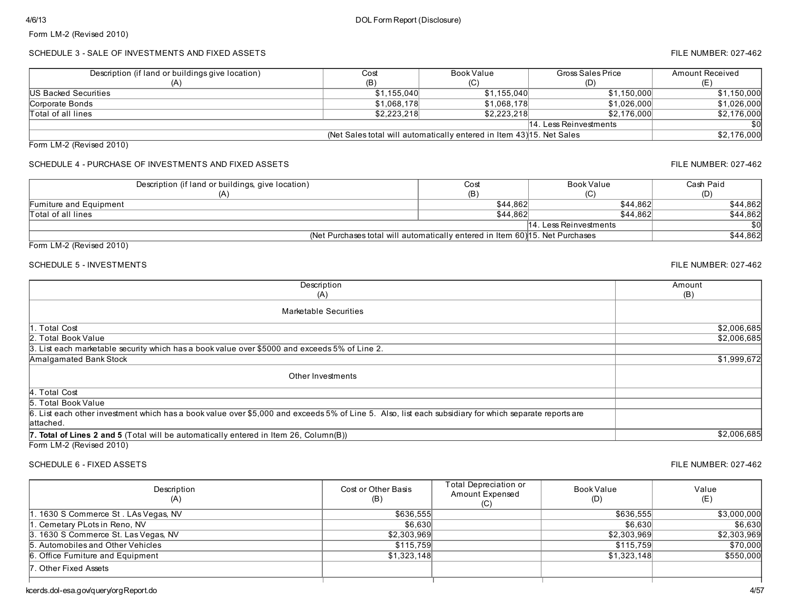## SCHEDULE 3 - SALE OF INVESTMENTS AND FIXED ASSETS FILE NUMBER: 027-462

| Description (if land or buildings give location) | Cost        | Book Value                                                            | Gross Sales Price      | Amount Received |
|--------------------------------------------------|-------------|-----------------------------------------------------------------------|------------------------|-----------------|
|                                                  | (B)         |                                                                       | (D)                    |                 |
| <b>IUS Backed Securities</b>                     | \$1.155.040 | \$1,155,040                                                           | \$1,150,000            | \$1,150,000     |
| Corporate Bonds                                  | \$1.068.178 | \$1.068.178                                                           | \$1.026.000            | \$1.026.000     |
| Total of all lines                               | \$2.223.218 | \$2,223,218                                                           | \$2.176.000            | \$2,176,000     |
|                                                  |             |                                                                       | 14. Less Reinvestments | \$OI            |
|                                                  |             | (Net Sales total will automatically entered in Item 43) 15. Net Sales |                        | \$2,176,000     |

Form LM-2 (Revised 2010)

## SCHEDULE 4 - PURCHASE OF INVESTMENTS AND FIXED ASSETS FILE NUMBER: 027-462

| Description (if land or buildings, give location) | Cost                                                                          | Book Value             | Cash Paid |
|---------------------------------------------------|-------------------------------------------------------------------------------|------------------------|-----------|
|                                                   | (B)                                                                           |                        | (D)       |
| Furniture and Equipment                           | \$44,862                                                                      | \$44.862               | \$44,862  |
| <b>Total of all lines</b>                         | \$44.862                                                                      | \$44.862               | \$44,862  |
|                                                   |                                                                               | 14. Less Reinvestments | \$0       |
|                                                   | (Net Purchases total will automatically entered in Item 60) 15. Net Purchases |                        | \$44,862  |

Form LM-2 (Revised 2010)

### SCHEDULE 5 - INVESTMENTS FILE NUMBER: 027-462

| Description                                                                                                                                                                                                                                                                                                                                                                                                                                                                                | Amount      |
|--------------------------------------------------------------------------------------------------------------------------------------------------------------------------------------------------------------------------------------------------------------------------------------------------------------------------------------------------------------------------------------------------------------------------------------------------------------------------------------------|-------------|
| (A)                                                                                                                                                                                                                                                                                                                                                                                                                                                                                        | (B)         |
| Marketable Securities                                                                                                                                                                                                                                                                                                                                                                                                                                                                      |             |
| 1. Total Cost                                                                                                                                                                                                                                                                                                                                                                                                                                                                              | \$2,006,685 |
| 2. Total Book Value                                                                                                                                                                                                                                                                                                                                                                                                                                                                        | \$2,006,685 |
| 3. List each marketable security which has a book value over \$5000 and exceeds 5% of Line 2.                                                                                                                                                                                                                                                                                                                                                                                              |             |
| Amalgamated Bank Stock                                                                                                                                                                                                                                                                                                                                                                                                                                                                     | \$1,999,672 |
| Other Investments                                                                                                                                                                                                                                                                                                                                                                                                                                                                          |             |
| 4. Total Cost                                                                                                                                                                                                                                                                                                                                                                                                                                                                              |             |
| 5. Total Book Value                                                                                                                                                                                                                                                                                                                                                                                                                                                                        |             |
| 6. List each other investment which has a book value over \$5,000 and exceeds 5% of Line 5. Also, list each subsidiary for which separate reports are<br>lattached.                                                                                                                                                                                                                                                                                                                        |             |
| <b>7. Total of Lines 2 and 5</b> (Total will be automatically entered in Item 26, Column(B))                                                                                                                                                                                                                                                                                                                                                                                               | \$2,006,685 |
| $\blacksquare$ $\blacksquare$ $\blacksquare$ $\blacksquare$ $\blacksquare$ $\blacksquare$ $\blacksquare$ $\blacksquare$ $\blacksquare$ $\blacksquare$ $\blacksquare$ $\blacksquare$ $\blacksquare$ $\blacksquare$ $\blacksquare$ $\blacksquare$ $\blacksquare$ $\blacksquare$ $\blacksquare$ $\blacksquare$ $\blacksquare$ $\blacksquare$ $\blacksquare$ $\blacksquare$ $\blacksquare$ $\blacksquare$ $\blacksquare$ $\blacksquare$ $\blacksquare$ $\blacksquare$ $\blacksquare$ $\blacks$ |             |

Form LM-2 (Revised 2010)

### SCHEDULE 6 - FIXED ASSETS FILE NUMBER: 027-462

| Description<br>(A)                   | Cost or Other Basis<br>(B) | Total Depreciation or<br>Amount Expensed<br>(C) | Book Value<br>(D) | Value<br>(E) |
|--------------------------------------|----------------------------|-------------------------------------------------|-------------------|--------------|
| 1. 1630 S Commerce St. LAs Vegas, NV | \$636,555                  |                                                 | \$636.555         | \$3,000,000  |
| . Cemetary PLots in Reno, NV         | \$6,630                    |                                                 | \$6.630           | \$6,630      |
| 3. 1630 S Commerce St. Las Vegas, NV | \$2,303,969                |                                                 | \$2,303,969       | \$2,303,969  |
| 5. Automobiles and Other Vehicles    | \$115.759                  |                                                 | \$115.759         | \$70,000     |
| 6. Office Fumiture and Equipment     | \$1,323,148                |                                                 | \$1,323,148       | \$550,000    |
| 7. Other Fixed Assets                |                            |                                                 |                   |              |
|                                      |                            |                                                 |                   |              |

kcerds.dol-esa.gov/query/orgReport.do 4/57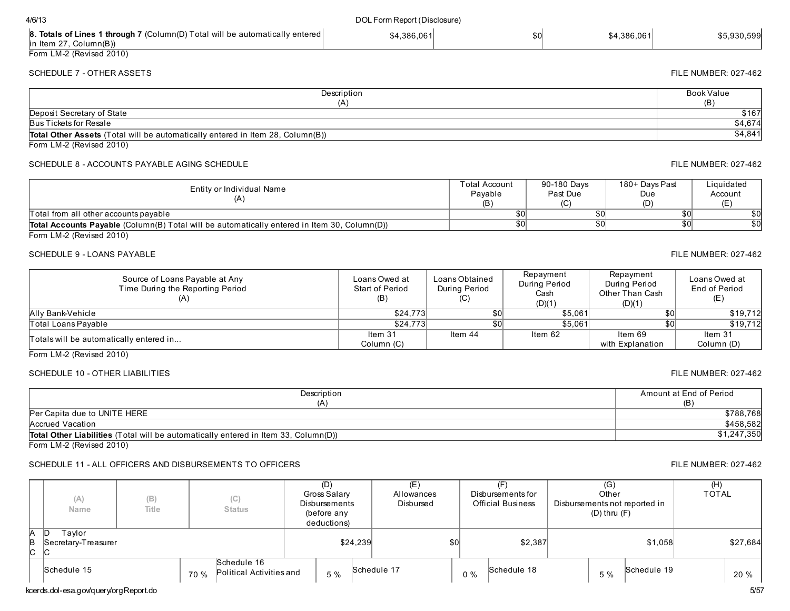|                |                                       |      |                                         | (DEIVIE AIIV<br>deductions) |          |             |    |             | $(\nu)$ und $(\nu)$ |             |          |  |
|----------------|---------------------------------------|------|-----------------------------------------|-----------------------------|----------|-------------|----|-------------|---------------------|-------------|----------|--|
| A<br>B.<br>∣C. | Taylor<br>Secretary-Treasurer         |      |                                         |                             | \$24,239 | \$0         |    | \$2,387     |                     | \$1,058     | \$27,684 |  |
|                | Schedule 15                           | 70 % | Schedule 16<br>Political Activities and | 5 %                         |          | Schedule 17 | 0% | Schedule 18 | 5 %                 | Schedule 19 | 20 %     |  |
|                | kcerds.dol-esa.gov/query/orgReport.do |      |                                         |                             |          |             |    |             |                     |             | 5/57     |  |
|                |                                       |      |                                         |                             |          |             |    |             |                     |             |          |  |

| 4/6/13                    |                                                                                      | DOL Form Report (Disclosure) |     |             |  |  |
|---------------------------|--------------------------------------------------------------------------------------|------------------------------|-----|-------------|--|--|
| $\ln$ ltem 27, Column(B)) | <b>8. Totals of Lines 1 through 7</b> (Column(D) Total will be automatically entered | \$4.386.061                  | \$0 | \$4.386.061 |  |  |
| Form LM-2 (Revised 2010)  |                                                                                      |                              |     |             |  |  |

#### **Description**  $(A)$ Book Value (B) Total Other Assets (Total will be automatically entered in Item 28, Column(B)) \$4,841 Deposit Secretary of State \$167 Bus Tickets for Resale \$4,674

Form LM-2 (Revised 2010)

## SCHEDULE 8 - ACCOUNTS PAYABLE AGING SCHEDULE FILE NUMBER: 027-462

| Entity or Individual Name                                                                           | Γotal Account<br>Pavable<br>(B) | 90-180 Days<br>Past Due | 180+ Days Past<br>Due<br>(D) | ∟iquidated<br>Account |
|-----------------------------------------------------------------------------------------------------|---------------------------------|-------------------------|------------------------------|-----------------------|
| Total from all other accounts payable                                                               | \$0                             |                         |                              | \$0                   |
| <b>Total Accounts Payable</b> (Column(B) Total will be automatically entered in Item 30, Column(D)) | \$0                             |                         |                              | \$0                   |
| $T_{\text{atm}}$ $\left  M \right\rangle$ (Deviced 0040)                                            |                                 |                         |                              |                       |

Form LM-2 (Revised 2010)

#### SCHEDULE 9 - LOANS PAYABLE FILE NUMBER: 027-462

| Source of Loans Payable at Any<br>Time During the Reporting Period | Loans Owed at<br>Start of Period<br>(B) | Loans Obtained<br>During Period<br>(C) | Repayment<br>During Period<br>Cash<br>(D)(1) | Repayment<br>During Period<br>Other Than Cash<br>(D)(1) | Loans Owed at<br>End of Period<br>(E) |
|--------------------------------------------------------------------|-----------------------------------------|----------------------------------------|----------------------------------------------|---------------------------------------------------------|---------------------------------------|
| Ally Bank-Vehicle                                                  | \$24,773                                | \$0                                    | \$5.061                                      | \$0                                                     | \$19,712                              |
| <b>Total Loans Pavable</b>                                         | \$24.773                                | \$0                                    | \$5.061                                      | \$0                                                     | \$19.712                              |
| Totals will be automatically entered in                            | Item 31                                 | Item 44                                | Item 62                                      | Item 69                                                 | Item 31                               |
|                                                                    | Column (C)                              |                                        |                                              | with Explanation                                        | Column (D)                            |
| $\cdots$<br>$\sim$ $\sim$ $\sim$ $\sim$                            |                                         |                                        |                                              |                                                         |                                       |

Form LM-2 (Revised 2010)

## SCHEDULE 10 - OTHER LIABILITIES FILE NUMBER: 027-462

| Description                                                                                | Amount at End of Period |
|--------------------------------------------------------------------------------------------|-------------------------|
| (A)                                                                                        | (B)                     |
| Per Capita due to UNITE HERE                                                               | \$788.768               |
| Accrued Vacation                                                                           | \$458.582               |
| <b>Total Other Liabilities</b> (Total will be automatically entered in Item 33, Column(D)) | \$1,247,350             |
| Form $1 M.2$ (Revised $2010$ )                                                             |                         |

Form LM-2 (Revised 2010)

## SCHEDULE 11 - ALL OFFICERS AND DISBURSEMENTS TO OFFICERS FILE NUMBER: 027-462

|                | (A)<br>Name                   | (B)<br>Title | (C)<br><b>Status</b>                            | (D)<br>Gross Salary<br>Disbursements<br>(before any<br>deductions) |          | (E)<br>Allowances<br>Disbursed |     | (F)<br>Disbursements for<br><b>Official Business</b> |             | (G)<br>Other<br>$(D)$ thru $(F)$ | Disbursements not reported in | (H)<br><b>TOTAL</b> |          |
|----------------|-------------------------------|--------------|-------------------------------------------------|--------------------------------------------------------------------|----------|--------------------------------|-----|------------------------------------------------------|-------------|----------------------------------|-------------------------------|---------------------|----------|
| IА<br>B<br>lc. | Tavlor<br>Secretary-Treasurer |              |                                                 |                                                                    | \$24,239 |                                | \$0 |                                                      | \$2,387     |                                  | \$1,058                       |                     | \$27,684 |
|                | Schedule 15                   |              | Schedule 16<br>Political Activities and<br>70 % | 5 %                                                                |          | Schedule 17                    |     | $0\%$                                                | Schedule 18 | 5 %                              | Schedule 19                   |                     | 20 %     |

# SCHEDULE 7 - OTHER ASSETS FILE NUMBER: 027-462

\$5,930,599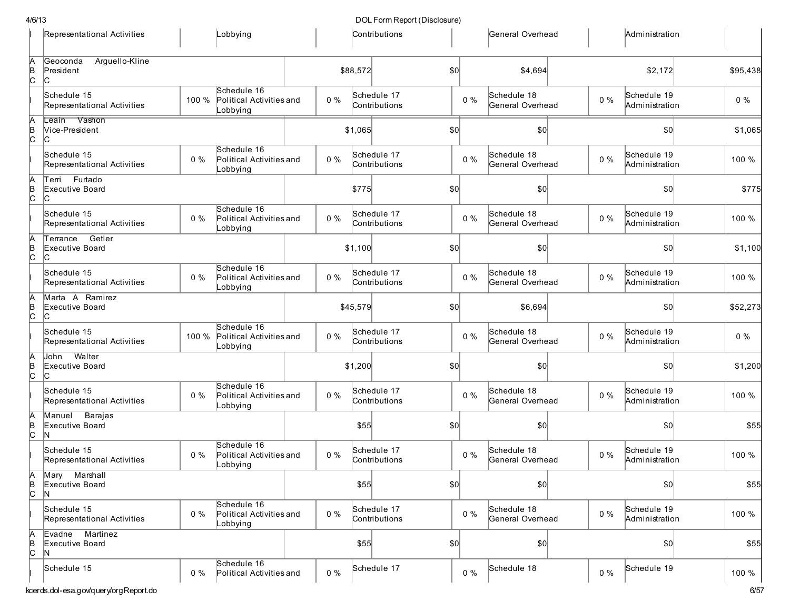| 1/6/13      |                                                |       |                                                     |       |          | DOL Form Report (Disclosure) |                  |       |                                 |       |                               |          |
|-------------|------------------------------------------------|-------|-----------------------------------------------------|-------|----------|------------------------------|------------------|-------|---------------------------------|-------|-------------------------------|----------|
|             | Representational Activities                    |       | Lobbying                                            |       |          | Contributions                |                  |       | General Overhead                |       | Administration                |          |
| A<br>B<br>C | Arguello-Kline<br>Geoconda<br>President<br>IC. |       |                                                     |       | \$88,572 |                              | \$0              |       | \$4,694                         |       | \$2,172                       | \$95,438 |
|             | Schedule 15<br>Representational Activities     | 100 % | Schedule 16<br>Political Activities and<br>Lobbying | $0\%$ |          | Schedule 17<br>Contributions |                  | 0%    | Schedule 18<br>General Overhead | $0\%$ | Schedule 19<br>Administration | $0\%$    |
| A<br>B<br>C | Leain Vashon<br>Vice-President                 |       |                                                     |       | \$1,065  |                              | \$0              |       | \$0                             |       | \$0                           | \$1,065  |
|             | Schedule 15<br>Representational Activities     | 0%    | Schedule 16<br>Political Activities and<br>Lobbying | $0\%$ |          | Schedule 17<br>Contributions |                  | $0\%$ | Schedule 18<br>General Overhead | $0\%$ | Schedule 19<br>Administration | 100 %    |
| A<br>B<br>C | Furtado<br>Terri<br>Executive Board<br>IС      |       |                                                     |       | \$775    |                              | \$0              |       | \$0                             |       | \$0                           | \$775    |
|             | Schedule 15<br>Representational Activities     | $0\%$ | Schedule 16<br>Political Activities and<br>Lobbying | $0\%$ |          | Schedule 17<br>Contributions |                  | $0\%$ | Schedule 18<br>General Overhead | $0\%$ | Schedule 19<br>Administration | 100 %    |
| A<br>B<br>C | Getler<br>Terrance<br>Executive Board<br>lC.   |       |                                                     |       | \$1,100  |                              | \$0              |       | \$0]                            |       | \$0                           | \$1,100  |
|             | Schedule 15<br>Representational Activities     | $0\%$ | Schedule 16<br>Political Activities and<br>Lobbying | $0\%$ |          | Schedule 17<br>Contributions |                  | $0\%$ | Schedule 18<br>General Overhead | $0\%$ | Schedule 19<br>Administration | 100 %    |
| A<br>B<br>C | Marta A Ramirez<br>Executive Board<br>IС       |       |                                                     |       | \$45,579 |                              | \$0 <sub>0</sub> |       | \$6,694                         |       | \$0                           | \$52,273 |
|             | Schedule 15<br>Representational Activities     | 100 % | Schedule 16<br>Political Activities and<br>Lobbying | $0\%$ |          | Schedule 17<br>Contributions |                  | 0%    | Schedule 18<br>General Overhead | $0\%$ | Schedule 19<br>Administration | $0\%$    |
| A<br>B<br>C | Walter<br>John<br>Executive Board<br>IС        |       |                                                     |       | \$1,200  |                              | \$0              |       | \$0]                            |       | \$0                           | \$1,200  |
|             | Schedule 15<br>Representational Activities     | $0\%$ | Schedule 16<br>Political Activities and<br>Lobbying | $0\%$ |          | Schedule 17<br>Contributions |                  | $0\%$ | Schedule 18<br>General Overhead | $0\%$ | Schedule 19<br>Administration | 100 %    |
| A<br>B<br>C | Barajas<br>Manuel<br>Executive Board           |       |                                                     |       | \$55     |                              | \$0 <sub>0</sub> |       | \$0]                            |       | \$0                           | \$55     |
|             | Schedule 15<br>Representational Activities     | $0\%$ | Schedule 16<br>Political Activities and<br>Lobbying | $0\%$ |          | Schedule 17<br>Contributions |                  | 0%    | Schedule 18<br>General Overhead | $0\%$ | Schedule 19<br>Administration | 100 %    |
| A<br>B<br>C | Marshall<br>Marγ<br>Executive Board            |       |                                                     |       | \$55     |                              | \$0              |       | \$0                             |       | \$0                           | \$55     |
|             | Schedule 15<br>Representational Activities     | $0\%$ | Schedule 16<br>Political Activities and<br>Lobbying | $0\%$ |          | Schedule 17<br>Contributions |                  | 0%    | Schedule 18<br>General Overhead | $0\%$ | Schedule 19<br>Administration | 100 %    |
| A<br>B<br>C | Evadne Martinez<br>Executive Board             |       |                                                     |       | \$55     |                              | \$0              |       | \$0                             |       | $ 10\rangle$                  | \$55     |
|             | Schedule 15                                    | $0\%$ | Schedule 16<br>Political Activities and             | $0\%$ |          | Schedule 17                  |                  | 0%    | Schedule 18                     | $0\%$ | Schedule 19                   | 100 %    |
|             | cerds.dol-esa.gov/query/orgReport.do           |       |                                                     |       |          |                              |                  |       |                                 |       |                               | 6/57     |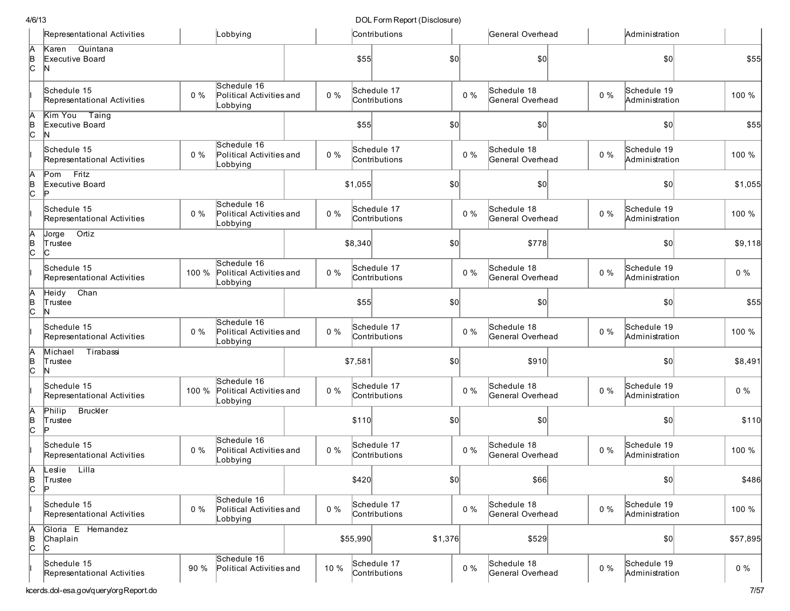|                      | Representational Activities                |       | Lobbying                                            |       |          | Contributions                |       | General Overhead                |       | Administration                |          |
|----------------------|--------------------------------------------|-------|-----------------------------------------------------|-------|----------|------------------------------|-------|---------------------------------|-------|-------------------------------|----------|
| A<br> в<br> C        | Karen<br>Quintana<br>Executive Board<br>N  |       |                                                     |       | \$55     | \$0                          |       | \$0                             |       | \$0                           | \$55     |
|                      | Schedule 15<br>Representational Activities | $0\%$ | Schedule 16<br>Political Activities and<br>Lobbying | $0\%$ |          | Schedule 17<br>Contributions | $0\%$ | Schedule 18<br>General Overhead | $0\%$ | Schedule 19<br>Administration | 100 %    |
| A<br>B<br>C          | Kim You Taing<br>Executive Board<br>N      |       |                                                     |       | \$55     | \$0                          |       | \$0                             |       | \$0                           | \$55     |
|                      | Schedule 15<br>Representational Activities | $0\%$ | Schedule 16<br>Political Activities and<br>Lobbying | $0\%$ |          | Schedule 17<br>Contributions | $0\%$ | Schedule 18<br>General Overhead | $0\%$ | Schedule 19<br>Administration | 100 %    |
| A<br>B<br>C          | First<br>Pom<br>Executive Board<br>Þ       |       |                                                     |       | \$1,055  | \$0                          |       | 50                              |       | \$0                           | \$1,055  |
|                      | Schedule 15<br>Representational Activities | $0\%$ | Schedule 16<br>Political Activities and<br>Lobbying | $0\%$ |          | Schedule 17<br>Contributions | $0\%$ | Schedule 18<br>General Overhead | $0\%$ | Schedule 19<br>Administration | 100 %    |
| A<br>B<br>C          | Ortiz<br>Jorge<br>Trustee<br>lC.           |       |                                                     |       | \$8,340  | \$0                          |       | \$778                           |       | \$0                           | \$9,118  |
|                      | Schedule 15<br>Representational Activities | 100 % | Schedule 16<br>Political Activities and<br>Lobbying | $0\%$ |          | Schedule 17<br>Contributions | $0\%$ | Schedule 18<br>General Overhead | $0\%$ | Schedule 19<br>Administration | $0\%$    |
| A<br>B<br>C          | Chan<br>Heidy<br>Trustee<br>N              |       |                                                     |       | \$55     | \$0                          |       | \$0                             |       | \$0                           | \$55     |
|                      | Schedule 15<br>Representational Activities | $0\%$ | Schedule 16<br>Political Activities and<br>Lobbying | $0\%$ |          | Schedule 17<br>Contributions | $0\%$ | Schedule 18<br>General Overhead | $0\%$ | Schedule 19<br>Administration | 100 %    |
| A<br>B<br>C          | Michael<br>Tirabassi<br>Trustee<br>N       |       |                                                     |       | \$7,581  | \$0                          |       | \$910                           |       | \$0                           | \$8,491  |
|                      | Schedule 15<br>Representational Activities | 100 % | Schedule 16<br>Political Activities and<br>Lobbying | $0\%$ |          | Schedule 17<br>Contributions | $0\%$ | Schedule 18<br>General Overhead | $0\%$ | Schedule 19<br>Administration | $0\%$    |
| A<br>B<br>C          | <b>Bruckler</b><br>Philip<br>Trustee<br>Þ  |       |                                                     |       | \$110    | \$0                          |       | \$0                             |       | \$0                           | \$110    |
|                      | Schedule 15<br>Representational Activities | $0\%$ | Schedule 16<br>Political Activities and<br>Lobbying | $0\%$ |          | Schedule 17<br>Contributions | $0\%$ | Schedule 18<br>General Overhead | $0\%$ | Schedule 19<br>Administration | 100 %    |
| ΙA<br>$\overline{c}$ | Leslie<br>Lilla<br>Trustee<br>Þ            |       |                                                     |       | \$420    | $ 10\rangle$                 |       | \$66                            |       | \$0]                          | \$486    |
|                      | Schedule 15<br>Representational Activities | $0\%$ | Schedule 16<br>Political Activities and<br>Lobbying | $0\%$ |          | Schedule 17<br>Contributions | $0\%$ | Schedule 18<br>General Overhead | $0\%$ | Schedule 19<br>Administration | 100 %    |
| A<br>B<br>C          | Gloria E Hernandez<br>Chaplain<br>C        |       |                                                     |       | \$55,990 | \$1,376                      |       | \$529                           |       | \$0]                          | \$57,895 |
|                      | Schedule 15<br>Representational Activities | 90 %  | Schedule 16<br>Political Activities and             | 10 %  |          | Schedule 17<br>Contributions | $0\%$ | Schedule 18<br>General Overhead | $0\%$ | Schedule 19<br>Administration | $0\%$    |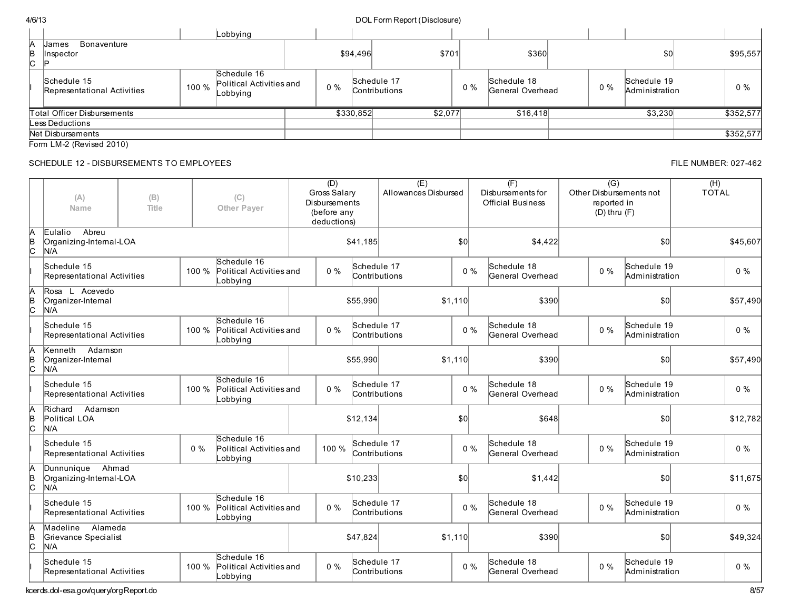|   | 4/6/13 |                                            |       |                                                     |       |           | DOL Form Report (Disclosure)        |       |    |                                 |       |                               |           |
|---|--------|--------------------------------------------|-------|-----------------------------------------------------|-------|-----------|-------------------------------------|-------|----|---------------------------------|-------|-------------------------------|-----------|
|   |        |                                            |       | Lobbying                                            |       |           |                                     |       |    |                                 |       |                               |           |
| И |        | Bonaventure<br><b>Uames</b>                |       |                                                     |       |           |                                     |       |    |                                 |       |                               |           |
| B | ົ      | Instpector                                 |       |                                                     |       | \$94,496  |                                     | \$701 |    | \$360                           |       | \$0                           | \$95,557  |
|   |        | Schedule 15<br>Representational Activities | 100 % | Schedule 16<br>Political Activities and<br>Lobbying | $0\%$ |           | Schedule 17<br><b>Contributions</b> |       | 0% | Schedule 18<br>General Overhead | $0\%$ | Schedule 19<br>Administration | $0\%$     |
|   |        | Total Officer Disbursements                |       |                                                     |       | \$330,852 | \$2,077                             |       |    | \$16,418                        |       | \$3,230                       | \$352,577 |
|   |        | Less Deductions                            |       |                                                     |       |           |                                     |       |    |                                 |       |                               |           |
|   |        | Net Disbursements                          |       |                                                     |       |           |                                     |       |    |                                 |       |                               | \$352,577 |

Form LM-2 (Revised 2010)

# SCHEDULE 12 - DISBURSEMENTS TO EMPLOYEES FILE NUMBER: 027-462

|                     | (A)<br>Name                                           | (B)<br>(C)<br>Title<br>Other Payer<br>Abreu |       |                                                     | (D)<br>Gross Salary<br>Disbursements<br>(before any<br>deductions) |       |                              | (E)<br>Allowances Disbursed |         |       | (F)<br>Disbursements for<br><b>Official Business</b> | $\overline{(G)}$<br>Other Disbursements not<br>reported in<br>$(D)$ thru $(F)$ |                               | (H)<br><b>TOTAL</b> |          |
|---------------------|-------------------------------------------------------|---------------------------------------------|-------|-----------------------------------------------------|--------------------------------------------------------------------|-------|------------------------------|-----------------------------|---------|-------|------------------------------------------------------|--------------------------------------------------------------------------------|-------------------------------|---------------------|----------|
| A<br>$\overline{c}$ | Eulalio<br>Organizing-Internal-LOA<br>N/A             |                                             |       |                                                     |                                                                    |       | \$41,185                     |                             | \$0     |       | \$4,422                                              |                                                                                | \$0                           |                     | \$45,607 |
|                     | Schedule 15<br>Representational Activities            |                                             | 100 % | Schedule 16<br>Political Activities and<br>Lobbying |                                                                    | $0\%$ | Schedule 17<br>Contributions |                             |         | $0\%$ | Schedule 18<br>General Overhead                      | $0\%$                                                                          | Schedule 19<br>Administration |                     | $0\%$    |
| A<br> в<br> С       | Rosa L Acevedo<br>Organizer-Internal<br>N/A           |                                             |       |                                                     |                                                                    |       | \$55,990                     |                             | \$1.110 |       | \$390                                                |                                                                                | \$0                           |                     | \$57,490 |
|                     | Schedule 15<br>Representational Activities            |                                             | 100 % | Schedule 16<br>Political Activities and<br>Lobbying |                                                                    | $0\%$ | Schedule 17<br>Contributions |                             |         | $0\%$ | Schedule 18<br>General Overhead                      | $0\%$                                                                          | Schedule 19<br>Administration |                     | $0\%$    |
| A<br>B<br>C         | Kenneth<br>Adamson<br>Organizer-Internal<br>N/A       |                                             |       |                                                     |                                                                    |       | \$55,990                     |                             | \$1,110 |       | \$390                                                |                                                                                | \$0                           |                     | \$57,490 |
|                     | Schedule 15<br>Representational Activities            |                                             | 100 % | Schedule 16<br>Political Activities and<br>Lobbying |                                                                    | $0\%$ | Schedule 17<br>Contributions |                             |         | $0\%$ | Schedule 18<br>General Overhead                      | $0\%$                                                                          | Schedule 19<br>Administration |                     | $0\%$    |
| A<br>B<br>C         | Adamson<br>Richard<br>Political LOA<br>N/A            |                                             |       |                                                     |                                                                    |       | \$12.134                     |                             | \$0     |       | \$648                                                |                                                                                | \$0                           |                     | \$12,782 |
|                     | Schedule 15<br>Representational Activities            |                                             | $0\%$ | Schedule 16<br>Political Activities and<br>Lobbying |                                                                    | 100 % | Schedule 17<br>Contributions |                             |         | $0\%$ | Schedule 18<br>General Overhead                      | $0\%$                                                                          | Schedule 19<br>Administration |                     | $0\%$    |
| A<br>B<br>C         | Dunnunique<br>Ahmad<br>Organizing-Internal-LOA<br>N/A |                                             |       |                                                     |                                                                    |       | \$10,233                     |                             | \$0     |       | \$1,442                                              |                                                                                | \$0                           |                     | \$11,675 |
|                     | Schedule 15<br>Representational Activities            |                                             | 100 % | Schedule 16<br>Political Activities and<br>Lobbying |                                                                    | $0\%$ | Schedule 17<br>Contributions |                             |         | $0\%$ | Schedule 18<br>General Overhead                      | $0\%$                                                                          | Schedule 19<br>Administration |                     | $0\%$    |
| A<br>$\overline{c}$ | Alameda<br>Madeline<br>Grievance Specialist<br>N/A    |                                             |       |                                                     |                                                                    |       | \$47,824                     |                             | \$1,110 |       | \$390                                                |                                                                                | \$0                           |                     | \$49,324 |
|                     | Schedule 15<br>Representational Activities            |                                             | 100 % | Schedule 16<br>Political Activities and<br>Lobbying |                                                                    | $0\%$ | Schedule 17<br>Contributions |                             |         | $0\%$ | Schedule 18<br>General Overhead                      | $0\%$                                                                          | Schedule 19<br>Administration |                     | $0\%$    |

kcerds.dol-esa.gov/query/orgReport.do 8/57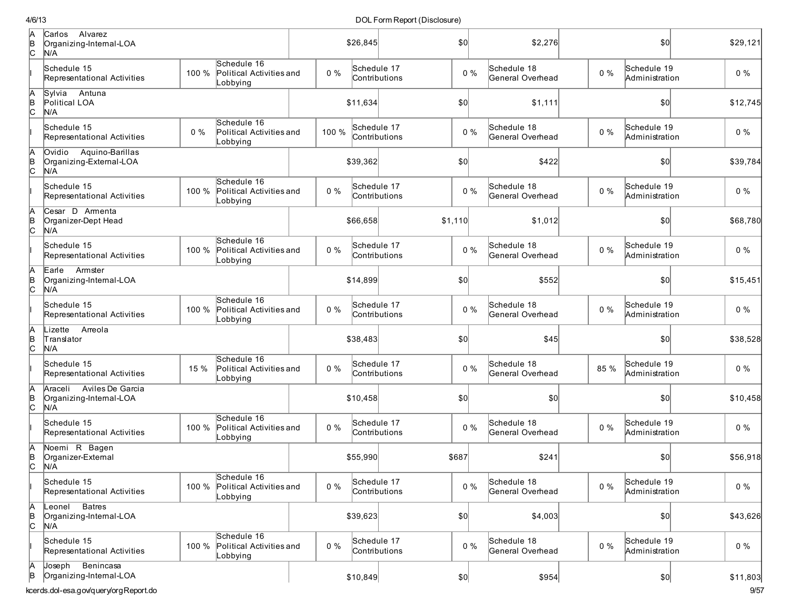| $\frac{A}{C}$ | Alvarez<br>Carlos<br>Organizing-Internal-LOA<br>N/A        |       |                                                     |       | \$26,845    |               | \$0   | \$2,276                         |       | \$0                           | \$29,121 |
|---------------|------------------------------------------------------------|-------|-----------------------------------------------------|-------|-------------|---------------|-------|---------------------------------|-------|-------------------------------|----------|
|               | Schedule 15<br>Representational Activities                 | 100 % | Schedule 16<br>Political Activities and<br>obbying  | $0\%$ | Schedule 17 | Contributions | $0\%$ | Schedule 18<br>General Overhead | $0\%$ | Schedule 19<br>Administration | 0%       |
| A<br>B<br>C   | Sylvia<br>Antuna<br>Political LOA<br>N/A                   |       |                                                     |       | \$11.634    |               | \$0   | \$1,111                         |       | \$0                           | \$12,745 |
|               | Schedule 15<br>Representational Activities                 | $0\%$ | Schedule 16<br>Political Activities and<br>_obbying | 100 % | Schedule 17 | Contributions | $0\%$ | Schedule 18<br>General Overhead | $0\%$ | Schedule 19<br>Administration | $0\%$    |
| A<br>B<br>C   | Ovidio Aquino-Barillas<br>Organizing-External-LOA<br>N/A   |       |                                                     |       | \$39,362    |               | \$0   | \$422                           |       | \$0                           | \$39,784 |
|               | Schedule 15<br>Representational Activities                 | 100 % | Schedule 16<br>Political Activities and<br>_obbying | $0\%$ | Schedule 17 | Contributions | $0\%$ | Schedule 18<br>General Overhead | $0\%$ | Schedule 19<br>Administration | $0\%$    |
| A<br>B<br>C   | Cesar D Armenta<br>Organizer-Dept Head<br>N/A              |       |                                                     |       | \$66,658    | \$1,110       |       | \$1,012                         |       | \$0                           | \$68,780 |
|               | Schedule 15<br>Representational Activities                 | 100 % | Schedule 16<br>Political Activities and<br>_obbying | $0\%$ | Schedule 17 | Contributions | $0\%$ | Schedule 18<br>General Overhead | $0\%$ | Schedule 19<br>Administration | $0\%$    |
| A<br>B<br>C   | Armster<br>Earle<br>Organizing-Internal-LOA<br>N/A         |       |                                                     |       | \$14,899    |               | \$0   | \$552                           |       | \$0                           | \$15,451 |
|               | Schedule 15<br>Representational Activities                 | 100 % | Schedule 16<br>Political Activities and<br>_obbying | $0\%$ | Schedule 17 | Contributions | $0\%$ | Schedule 18<br>General Overhead | $0\%$ | Schedule 19<br>Administration | $0\%$    |
| A<br>B<br>C   | Lizette<br>Arreola<br>Translator<br>N/A                    |       |                                                     |       | \$38,483    |               | \$0   | \$45                            |       | \$0                           | \$38,528 |
|               | Schedule 15<br>Representational Activities                 | 15 %  | Schedule 16<br>Political Activities and<br>Lobbying | $0\%$ | Schedule 17 | Contributions | $0\%$ | Schedule 18<br>General Overhead | 85 %  | Schedule 19<br>Administration | $0\%$    |
| A<br>B<br>C   | Araceli Aviles De Garcia<br>Organizing-Internal-LOA<br>N/A |       |                                                     |       | \$10,458    |               | \$0   | \$0                             |       | \$0                           | \$10,458 |
|               | Schedule 15<br>Representational Activities                 | 100 % | Schedule 16<br>Political Activities and<br>Lobbying | $0\%$ | Schedule 17 | Contributions | $0\%$ | Schedule 18<br>General Overhead | $0\%$ | Schedule 19<br>Administration | $0\%$    |
| A<br>B<br>C   | Noemi R Bagen<br>Organizer-External<br>N/A                 |       |                                                     |       | \$55,990    | \$687         |       | \$241                           |       | \$0                           | \$56,918 |
|               | Schedule 15<br>Representational Activities                 | 100 % | Schedule 16<br>Political Activities and<br>Lobbying | 0%    | Schedule 17 | Contributions | 0%    | Schedule 18<br>General Overhead | $0\%$ | Schedule 19<br>Administration | $0\%$    |
| A<br>B<br>C   | Leonel Batres<br>Organizing-Internal-LOA<br>N/A            |       |                                                     |       | \$39,623    |               | \$0]  | \$4,003                         |       | \$0                           | \$43,626 |
|               | Schedule 15<br>Representational Activities                 | 100 % | Schedule 16<br>Political Activities and<br>_obbying | $0\%$ | Schedule 17 | Contributions | $0\%$ | Schedule 18<br>General Overhead | $0\%$ | Schedule 19<br>Administration | $0\%$    |
| А<br>В        | Joseph Benincasa<br>Organizing-Internal-LOA                |       |                                                     |       | \$10,849    |               | \$0]  | \$954                           |       | $ 10\rangle$                  | \$11,803 |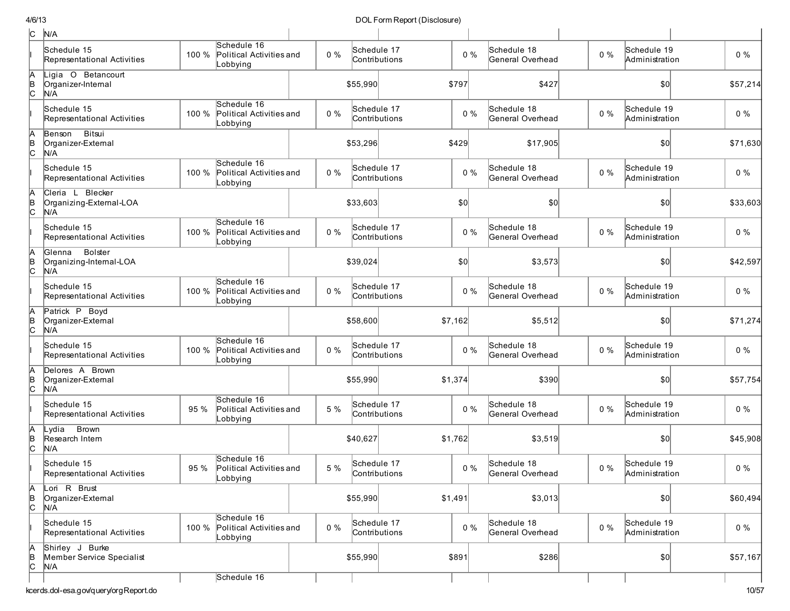| c             | N/A                                                 |       |                                                     |       |                              |         |       |                                 |       |                               |          |
|---------------|-----------------------------------------------------|-------|-----------------------------------------------------|-------|------------------------------|---------|-------|---------------------------------|-------|-------------------------------|----------|
|               | Schedule 15<br>Representational Activities          | 100 % | Schedule 16<br>Political Activities and<br>Lobbying | $0\%$ | Schedule 17<br>Contributions |         | $0\%$ | Schedule 18<br>General Overhead | $0\%$ | Schedule 19<br>Administration | $0\%$    |
| $\frac{A}{C}$ | Ligia O Betancourt<br>Organizer-Internal<br>N/A     |       |                                                     |       | \$55,990                     | \$797   |       | \$427                           |       | \$0                           | \$57,214 |
|               | Schedule 15<br>Representational Activities          | 100 % | Schedule 16<br>Political Activities and<br>Lobbying | $0\%$ | Schedule 17<br>Contributions |         | $0\%$ | Schedule 18<br>General Overhead | $0\%$ | Schedule 19<br>Administration | $0\%$    |
| $\frac{A}{C}$ | Benson Bitsui<br>Organizer-External<br>N/A          |       |                                                     |       | \$53,296                     | \$429   |       | \$17,905                        |       | \$0                           | \$71,630 |
|               | Schedule 15<br>Representational Activities          | 100 % | Schedule 16<br>Political Activities and<br>Lobbying | $0\%$ | Schedule 17<br>Contributions |         | $0\%$ | Schedule 18<br>General Overhead | $0\%$ | Schedule 19<br>Administration | $0\%$    |
| A<br> в<br> С | Cleria L Blecker<br>Organizing-External-LOA<br>N/A  |       |                                                     |       | \$33,603                     | \$0     |       | \$0                             |       | \$0                           | \$33,603 |
|               | Schedule 15<br>Representational Activities          | 100 % | Schedule 16<br>Political Activities and<br>Lobbying | $0\%$ | Schedule 17<br>Contributions |         | $0\%$ | Schedule 18<br>General Overhead | $0\%$ | Schedule 19<br>Administration | $0\%$    |
| A<br>B<br>C   | Bolster<br>Glenna<br>Organizing-Internal-LOA<br>N/A |       |                                                     |       | \$39,024                     | \$0     |       | \$3,573                         |       | \$0                           | \$42,597 |
|               | Schedule 15<br>Representational Activities          | 100 % | Schedule 16<br>Political Activities and<br>_obbying | $0\%$ | Schedule 17<br>Contributions |         | $0\%$ | Schedule 18<br>General Overhead | $0\%$ | Schedule 19<br>Administration | $0\%$    |
| A<br>в<br>С   | Patrick P Boyd<br>Organizer-External<br>N/A         |       |                                                     |       | \$58,600                     | \$7,162 |       | \$5,512                         |       | \$0                           | \$71,274 |
|               | Schedule 15<br>Representational Activities          | 100 % | Schedule 16<br>Political Activities and<br>Lobbying | $0\%$ | Schedule 17<br>Contributions |         | $0\%$ | Schedule 18<br>General Overhead | $0\%$ | Schedule 19<br>Administration | $0\%$    |
| A<br> B<br> C | Delores A Brown<br>Organizer-External<br>N/A        |       |                                                     |       | \$55,990                     | \$1,374 |       | \$390                           |       | 50                            | \$57,754 |
|               | Schedule 15<br>Representational Activities          | 95 %  | Schedule 16<br>Political Activities and<br>Lobbying | 5 %   | Schedule 17<br>Contributions |         | $0\%$ | Schedule 18<br>General Overhead | 0%    | Schedule 19<br>Administration | $0\%$    |
| A<br>B<br>C   | <b>Brown</b><br>Lvdia<br>Research Intern<br>N/A     |       |                                                     |       | \$40,627                     | \$1,762 |       | \$3,519                         |       | \$0                           | \$45,908 |
|               | Schedule 15<br>Representational Activities          | 95 %  | Schedule 16<br>Political Activities and<br>Lobbying | 5 %   | Schedule 17<br>Contributions |         | $0\%$ | Schedule 18<br>General Overhead | $0\%$ | Schedule 19<br>Administration | $0\%$    |
| A<br>∣e<br> C | Lori R Brust<br>Organizer-External<br>N/A           |       |                                                     |       | \$55,990                     | \$1,491 |       | \$3,013                         |       | \$0                           | \$60,494 |
|               | Schedule 15<br>Representational Activities          | 100 % | Schedule 16<br>Political Activities and<br>Lobbying | $0\%$ | Schedule 17<br>Contributions |         | $0\%$ | Schedule 18<br>General Overhead | $0\%$ | Schedule 19<br>Administration | $0\%$    |
| A<br>B<br>C   | Shirley J Burke<br>Member Service Specialist<br>N/A |       |                                                     |       | \$55,990                     | \$891   |       | \$286                           |       | $ 10\rangle$                  | \$57,167 |
|               |                                                     |       | Schedule 16                                         |       |                              |         |       |                                 |       |                               |          |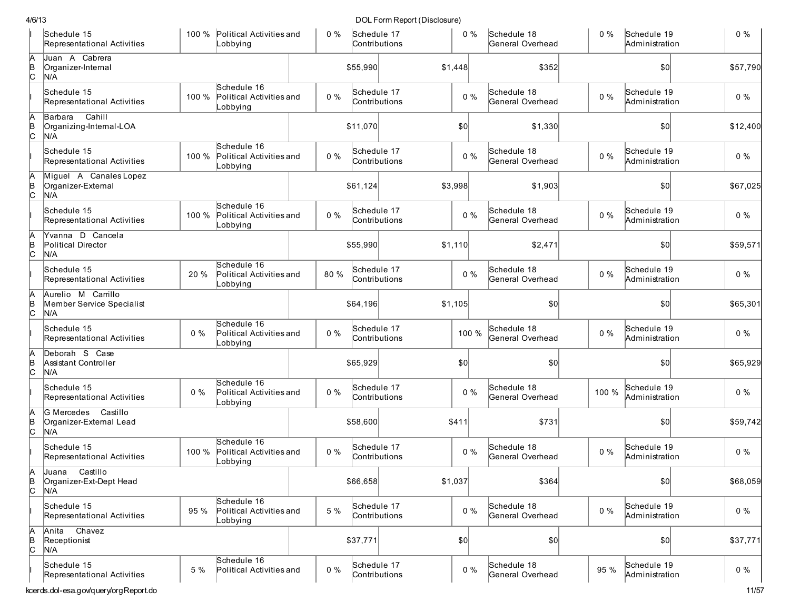| /6/13 |                                                          |       |                                                     |       |                              | DOL Form Report (Disclosure) |         |       |                                 |       |                               |          |
|-------|----------------------------------------------------------|-------|-----------------------------------------------------|-------|------------------------------|------------------------------|---------|-------|---------------------------------|-------|-------------------------------|----------|
|       | Schedule 15<br>Representational Activities               |       | 100 % Political Activities and<br>Lobbying          | $0\%$ | Schedule 17<br>Contributions |                              |         | $0\%$ | Schedule 18<br>General Overhead | $0\%$ | Schedule 19<br>Administration | $0\%$    |
| A     | Juan A Cabrera<br>Organizer-Internal<br>N/A              |       |                                                     |       | \$55,990                     |                              | \$1,448 |       | \$352                           |       | \$0                           | \$57,790 |
|       | Schedule 15<br>Representational Activities               | 100 % | Schedule 16<br>Political Activities and<br>_obbying | $0\%$ | Schedule 17<br>Contributions |                              |         | $0\%$ | Schedule 18<br>General Overhead | $0\%$ | Schedule 19<br>Administration | $0\%$    |
|       | Cahill<br>Barbara<br>Organizing-Internal-LOA<br>N/A      |       |                                                     |       | \$11,070                     |                              | \$0     |       | \$1,330                         |       | \$0                           | \$12,400 |
|       | Schedule 15<br>Representational Activities               | 100 % | Schedule 16<br>Political Activities and<br>Lobbying | $0\%$ | Schedule 17<br>Contributions |                              |         | $0\%$ | Schedule 18<br>General Overhead | $0\%$ | Schedule 19<br>Administration | $0\%$    |
|       | Miguel A Canales Lopez<br>Organizer-External<br>N/A      |       |                                                     |       | \$61,124                     |                              | \$3,998 |       | \$1,903                         |       | \$0                           | \$67,025 |
|       | Schedule 15<br>Representational Activities               | 100 % | Schedule 16<br>Political Activities and<br>_obbying | $0\%$ | Schedule 17<br>Contributions |                              |         | $0\%$ | Schedule 18<br>General Overhead | $0\%$ | Schedule 19<br>Administration | $0\%$    |
|       | Yvanna D Cancela<br>Political Director<br>N/A            |       |                                                     |       | \$55,990                     |                              | \$1,110 |       | \$2,471                         |       | \$0                           | \$59,571 |
|       | Schedule 15<br>Representational Activities               | 20 %  | Schedule 16<br>Political Activities and<br>Lobbying | 80%   | Schedule 17<br>Contributions |                              |         | $0\%$ | Schedule 18<br>General Overhead | $0\%$ | Schedule 19<br>Administration | $0\%$    |
|       | Aurelio M Carrillo<br>Member Service Specialist<br>N/A   |       |                                                     |       | \$64,196                     |                              | \$1,105 |       | \$0                             |       | $ 10\rangle$                  | \$65,301 |
|       | Schedule 15<br>Representational Activities               | $0\%$ | Schedule 16<br>Political Activities and<br>Lobbying | $0\%$ | Schedule 17<br>Contributions |                              |         | 100 % | Schedule 18<br>General Overhead | $0\%$ | Schedule 19<br>Administration | $0\%$    |
|       | Deborah S Case<br>Assistant Controller<br>N/A            |       |                                                     |       | \$65,929                     |                              | \$0     |       | \$0                             |       | \$0]                          | \$65,929 |
|       | Schedule 15<br>Representational Activities               | $0\%$ | Schedule 16<br>Political Activities and<br>Lobbying | $0\%$ | Schedule 17<br>Contributions |                              |         | $0\%$ | Schedule 18<br>General Overhead | 100 % | Schedule 19<br>Administration | $0\%$    |
|       | G Mercedes<br>Castillo<br>Organizer-External Lead<br>N/A |       |                                                     |       | \$58,600                     |                              | \$411   |       | \$731                           |       | \$0                           | \$59,742 |
|       | Schedule 15<br>Representational Activities               | 100 % | Schedule 16<br>Political Activities and<br>Lobbying | $0\%$ | Schedule 17<br>Contributions |                              |         | $0\%$ | Schedule 18<br>General Overhead | $0\%$ | Schedule 19<br>Administration | $0\%$    |
|       | Castillo<br>Juana<br>Organizer-Ext-Dept Head<br>N/A      |       |                                                     |       | \$66,658                     |                              | \$1,037 |       | \$364                           |       | \$0                           | \$68,059 |
|       | Schedule 15<br>Representational Activities               | 95 %  | Schedule 16<br>Political Activities and<br>Lobbying | 5 %   | Schedule 17<br>Contributions |                              |         | $0\%$ | Schedule 18<br>General Overhead | $0\%$ | Schedule 19<br>Administration | $0\%$    |
| A     | Chavez<br>Anita<br>Receptionist<br>N/A                   |       |                                                     |       | \$37,771                     |                              | \$0     |       | \$0                             |       | \$0                           | \$37,771 |
|       | Schedule 15<br>Representational Activities               | 5 %   | Schedule 16<br>Political Activities and             | $0\%$ | Schedule 17<br>Contributions |                              |         | $0\%$ | Schedule 18<br>General Overhead | 95 %  | Schedule 19<br>Administration | $0\%$    |
|       | cerds.dol-esa.gov/query/orgReport.do                     |       |                                                     |       |                              |                              |         |       |                                 |       |                               | 11/57    |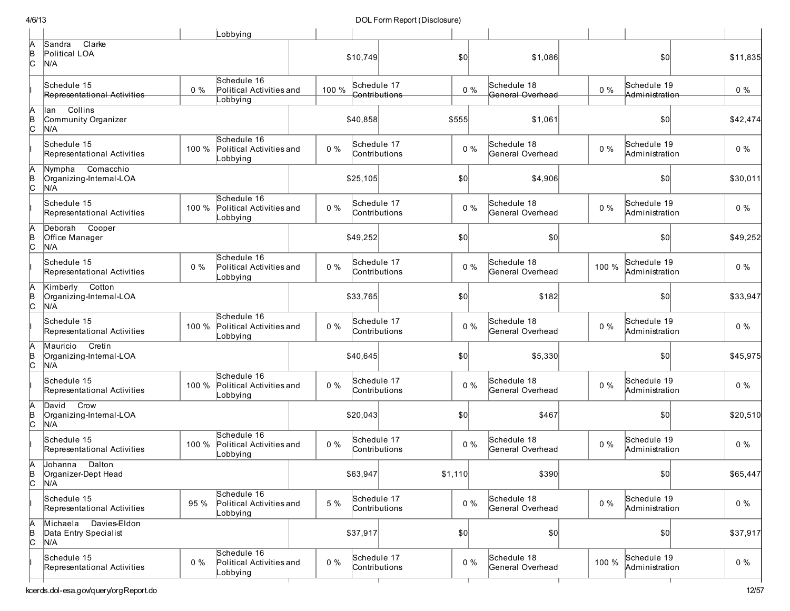| 4/6/13                   |                                                                                                                                                                                                                                                                                                                                                                                                                                                                                                                                                                                                                                                                                                                                                         |                         |             |                                                                                                                                                                                                                                                          |                                                                             | DOL Form Report (Disclosure)                                                                             |                                                                                                                                                                                                                                                                                              |         |                                                                               |                                                                                                                                                                                                                                         |     |                                                                                                                                                                                                                                                                                                       |
|--------------------------|---------------------------------------------------------------------------------------------------------------------------------------------------------------------------------------------------------------------------------------------------------------------------------------------------------------------------------------------------------------------------------------------------------------------------------------------------------------------------------------------------------------------------------------------------------------------------------------------------------------------------------------------------------------------------------------------------------------------------------------------------------|-------------------------|-------------|----------------------------------------------------------------------------------------------------------------------------------------------------------------------------------------------------------------------------------------------------------|-----------------------------------------------------------------------------|----------------------------------------------------------------------------------------------------------|----------------------------------------------------------------------------------------------------------------------------------------------------------------------------------------------------------------------------------------------------------------------------------------------|---------|-------------------------------------------------------------------------------|-----------------------------------------------------------------------------------------------------------------------------------------------------------------------------------------------------------------------------------------|-----|-------------------------------------------------------------------------------------------------------------------------------------------------------------------------------------------------------------------------------------------------------------------------------------------------------|
|                          |                                                                                                                                                                                                                                                                                                                                                                                                                                                                                                                                                                                                                                                                                                                                                         | Lobbying                |             |                                                                                                                                                                                                                                                          |                                                                             |                                                                                                          |                                                                                                                                                                                                                                                                                              |         |                                                                               |                                                                                                                                                                                                                                         |     |                                                                                                                                                                                                                                                                                                       |
|                          |                                                                                                                                                                                                                                                                                                                                                                                                                                                                                                                                                                                                                                                                                                                                                         |                         |             |                                                                                                                                                                                                                                                          |                                                                             |                                                                                                          | \$0                                                                                                                                                                                                                                                                                          |         | \$1,086                                                                       |                                                                                                                                                                                                                                         | \$0 | \$11,835                                                                                                                                                                                                                                                                                              |
|                          | $0\%$                                                                                                                                                                                                                                                                                                                                                                                                                                                                                                                                                                                                                                                                                                                                                   | Schedule 16<br>Lobbying |             |                                                                                                                                                                                                                                                          |                                                                             |                                                                                                          |                                                                                                                                                                                                                                                                                              |         | General Overhead                                                              | $0\%$                                                                                                                                                                                                                                   |     | $0\%$                                                                                                                                                                                                                                                                                                 |
| Collins<br>lan           |                                                                                                                                                                                                                                                                                                                                                                                                                                                                                                                                                                                                                                                                                                                                                         |                         |             |                                                                                                                                                                                                                                                          |                                                                             |                                                                                                          | \$555                                                                                                                                                                                                                                                                                        |         | \$1,061                                                                       |                                                                                                                                                                                                                                         | \$0 | \$42,474                                                                                                                                                                                                                                                                                              |
|                          | 100 %                                                                                                                                                                                                                                                                                                                                                                                                                                                                                                                                                                                                                                                                                                                                                   | Schedule 16<br>Lobbying |             |                                                                                                                                                                                                                                                          |                                                                             |                                                                                                          |                                                                                                                                                                                                                                                                                              |         | General Overhead                                                              | $0\%$                                                                                                                                                                                                                                   |     | $0\%$                                                                                                                                                                                                                                                                                                 |
| Comacchio<br>N/A         |                                                                                                                                                                                                                                                                                                                                                                                                                                                                                                                                                                                                                                                                                                                                                         |                         |             |                                                                                                                                                                                                                                                          |                                                                             |                                                                                                          | \$0                                                                                                                                                                                                                                                                                          |         | \$4,906                                                                       |                                                                                                                                                                                                                                         | 0   | \$30,011                                                                                                                                                                                                                                                                                              |
|                          | 100 %                                                                                                                                                                                                                                                                                                                                                                                                                                                                                                                                                                                                                                                                                                                                                   | Lobbying                |             |                                                                                                                                                                                                                                                          |                                                                             |                                                                                                          |                                                                                                                                                                                                                                                                                              |         |                                                                               | $0\%$                                                                                                                                                                                                                                   |     | $0\%$                                                                                                                                                                                                                                                                                                 |
| Cooper<br>Deborah<br>N/A |                                                                                                                                                                                                                                                                                                                                                                                                                                                                                                                                                                                                                                                                                                                                                         |                         |             |                                                                                                                                                                                                                                                          |                                                                             |                                                                                                          | \$0                                                                                                                                                                                                                                                                                          |         | \$0                                                                           |                                                                                                                                                                                                                                         | \$0 | \$49,252                                                                                                                                                                                                                                                                                              |
| Schedule 15              | $0\%$                                                                                                                                                                                                                                                                                                                                                                                                                                                                                                                                                                                                                                                                                                                                                   | Schedule 16<br>Lobbying |             |                                                                                                                                                                                                                                                          |                                                                             |                                                                                                          |                                                                                                                                                                                                                                                                                              |         |                                                                               | 100 %                                                                                                                                                                                                                                   |     | $0\%$                                                                                                                                                                                                                                                                                                 |
| N/A                      |                                                                                                                                                                                                                                                                                                                                                                                                                                                                                                                                                                                                                                                                                                                                                         |                         |             |                                                                                                                                                                                                                                                          |                                                                             |                                                                                                          | \$0                                                                                                                                                                                                                                                                                          |         | \$182                                                                         |                                                                                                                                                                                                                                         | \$0 | \$33,947                                                                                                                                                                                                                                                                                              |
|                          | 100 %                                                                                                                                                                                                                                                                                                                                                                                                                                                                                                                                                                                                                                                                                                                                                   | Schedule 16<br>Lobbying |             |                                                                                                                                                                                                                                                          |                                                                             |                                                                                                          |                                                                                                                                                                                                                                                                                              |         |                                                                               | $0\%$                                                                                                                                                                                                                                   |     | $0\%$                                                                                                                                                                                                                                                                                                 |
| Cretin<br>N/A            |                                                                                                                                                                                                                                                                                                                                                                                                                                                                                                                                                                                                                                                                                                                                                         |                         |             |                                                                                                                                                                                                                                                          |                                                                             |                                                                                                          | \$0                                                                                                                                                                                                                                                                                          |         | \$5,330                                                                       |                                                                                                                                                                                                                                         | \$0 | \$45,975                                                                                                                                                                                                                                                                                              |
| Schedule 15              | 100 %                                                                                                                                                                                                                                                                                                                                                                                                                                                                                                                                                                                                                                                                                                                                                   | Schedule 16<br>Lobbying |             |                                                                                                                                                                                                                                                          |                                                                             |                                                                                                          |                                                                                                                                                                                                                                                                                              |         | General Overhead                                                              | $0\%$                                                                                                                                                                                                                                   |     | $0\%$                                                                                                                                                                                                                                                                                                 |
| Crow                     |                                                                                                                                                                                                                                                                                                                                                                                                                                                                                                                                                                                                                                                                                                                                                         |                         |             |                                                                                                                                                                                                                                                          |                                                                             |                                                                                                          | \$0                                                                                                                                                                                                                                                                                          |         | \$467                                                                         |                                                                                                                                                                                                                                         | \$0 | \$20,510                                                                                                                                                                                                                                                                                              |
| Schedule 15              | 100 %                                                                                                                                                                                                                                                                                                                                                                                                                                                                                                                                                                                                                                                                                                                                                   | Schedule 16<br>Lobbying |             |                                                                                                                                                                                                                                                          |                                                                             |                                                                                                          |                                                                                                                                                                                                                                                                                              |         | General Overhead                                                              | $0\%$                                                                                                                                                                                                                                   |     | $0\%$                                                                                                                                                                                                                                                                                                 |
|                          |                                                                                                                                                                                                                                                                                                                                                                                                                                                                                                                                                                                                                                                                                                                                                         |                         |             |                                                                                                                                                                                                                                                          |                                                                             |                                                                                                          |                                                                                                                                                                                                                                                                                              |         | \$390                                                                         |                                                                                                                                                                                                                                         | \$0 | \$65,447                                                                                                                                                                                                                                                                                              |
|                          | 95%                                                                                                                                                                                                                                                                                                                                                                                                                                                                                                                                                                                                                                                                                                                                                     | Schedule 16<br>Lobbying |             |                                                                                                                                                                                                                                                          |                                                                             |                                                                                                          |                                                                                                                                                                                                                                                                                              |         |                                                                               | $0\%$                                                                                                                                                                                                                                   |     | $0\%$                                                                                                                                                                                                                                                                                                 |
|                          |                                                                                                                                                                                                                                                                                                                                                                                                                                                                                                                                                                                                                                                                                                                                                         |                         |             |                                                                                                                                                                                                                                                          |                                                                             |                                                                                                          | \$0]                                                                                                                                                                                                                                                                                         |         |                                                                               |                                                                                                                                                                                                                                         | \$0 | \$37,917                                                                                                                                                                                                                                                                                              |
|                          | $0\%$                                                                                                                                                                                                                                                                                                                                                                                                                                                                                                                                                                                                                                                                                                                                                   | Schedule 16<br>Lobbying |             |                                                                                                                                                                                                                                                          |                                                                             |                                                                                                          |                                                                                                                                                                                                                                                                                              |         |                                                                               | 100 %                                                                                                                                                                                                                                   |     | $0\%$                                                                                                                                                                                                                                                                                                 |
|                          | Clarke<br>Sandra<br>Political LOA<br>N/A<br>Schedule 15<br>Representational Activities<br>Community Organizer<br>N/A<br>Schedule 15<br>Representational Activities<br>Nympha<br>Organizing-Internal-LOA<br>Schedule 15<br>Representational Activities<br>Office Manager<br>Representational Activities<br>Kimberly Cotton<br>Organizing-Internal-LOA<br>Schedule 15<br>Representational Activities<br>Mauricio<br>Organizing-Internal-LOA<br>Representational Activities<br>David<br>Organizing-Internal-LOA<br>N/A<br>Representational Activities<br>Johanna Dalton<br>Organizer-Dept Head<br>N/A<br>Schedule 15<br>Representational Activities<br>Michaela Davies-Eldon<br>Data Entry Specialist<br>N/A<br>Schedule 15<br>Representational Activities |                         | Schedule 16 | Political Activities and<br>Political Activities and<br>Political Activities and<br>Political Activities and<br>Political Activities and<br>Political Activities and<br>Political Activities and<br>Political Activities and<br>Political Activities and | 100 %<br>$0\%$<br>$0\%$<br>$0\%$<br>$0\%$<br>$0\%$<br>$0\%$<br>5 %<br>$0\%$ | \$10,749<br>\$40,858<br>\$25,105<br>\$49,252<br>\$33,765<br>\$40,645<br>\$20,043<br>\$63,947<br>\$37,917 | Schedule 17<br>Contributions<br>Schedule 17<br>Contributions<br>Schedule 17<br>Contributions<br>Schedule 17<br>Contributions<br>Schedule 17<br>Contributions<br>Schedule 17<br>Contributions<br>Schedule 17<br>Contributions<br>Schedule 17<br>Contributions<br>Schedule 17<br>Contributions | \$1,110 | $0\%$<br>$0\%$<br>$0\%$<br>$0\%$<br>$0\%$<br>$0\%$<br>$0\%$<br>$0\%$<br>$0\%$ | Schedule 18<br>Schedule 18<br>Schedule 18<br>General Overhead<br>Schedule 18<br>General Overhead<br>Schedule 18<br>General Overhead<br>Schedule 18<br>Schedule 18<br>Schedule 18<br>General Overhead<br>Schedule 18<br>General Overhead |     | Schedule 19<br>Administration<br>Schedule 19<br>Administration<br>Schedule 19<br>Administration<br>Schedule 19<br>Administration<br>Schedule 19<br>Administration<br>Schedule 19<br>Administration<br>Schedule 19<br>Administration<br>Schedule 19<br>Administration<br>Schedule 19<br>Administration |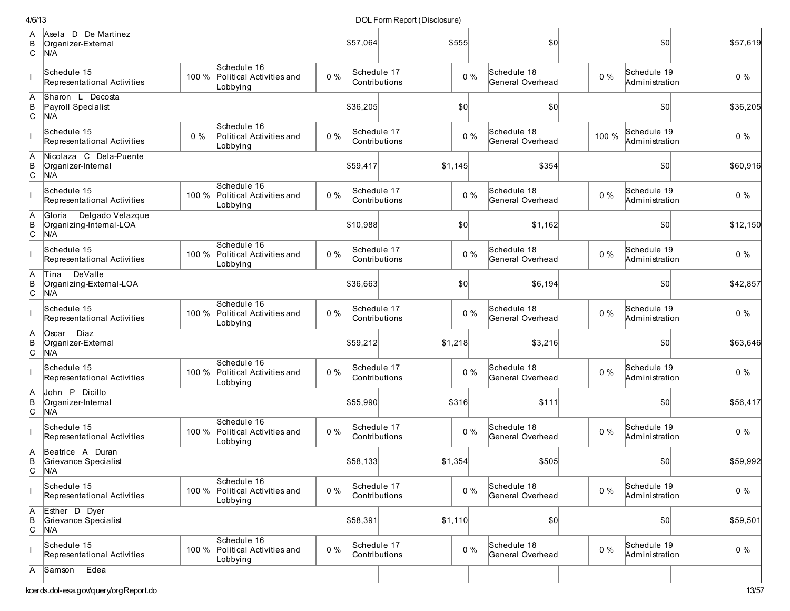| 4/6/13              |                                                              |       |                                                     |       | DOL Form Report (Disclosure) |         |       |                                 |       |                               |          |  |
|---------------------|--------------------------------------------------------------|-------|-----------------------------------------------------|-------|------------------------------|---------|-------|---------------------------------|-------|-------------------------------|----------|--|
| IА<br>в<br>С        | Asela D De Martinez<br>Organizer-External<br>N/A             |       |                                                     |       | \$57,064                     | \$555   |       | \$0                             |       | \$0                           | \$57,619 |  |
|                     | Schedule 15<br>Representational Activities                   | 100 % | Schedule 16<br>Political Activities and<br>Lobbying | $0\%$ | Schedule 17<br>Contributions |         | $0\%$ | Schedule 18<br>General Overhead | $0\%$ | Schedule 19<br>Administration | $0\%$    |  |
| IA<br> B<br> C      | Sharon L Decosta<br>Payroll Specialist<br>N/A                |       |                                                     |       | \$36,205                     | \$0     |       | \$0                             |       | 50                            | \$36,205 |  |
|                     | Schedule 15<br>Representational Activities                   | $0\%$ | Schedule 16<br>Political Activities and<br>Lobbying | $0\%$ | Schedule 17<br>Contributions |         | $0\%$ | Schedule 18<br>General Overhead | 100 % | Schedule 19<br>Administration | $0\%$    |  |
| A<br>В<br>С         | Nicolaza C Dela-Puente<br>Organizer-Internal<br>N/A          |       |                                                     |       | \$59,417                     | \$1,145 |       | \$354                           |       | \$0                           | \$60,916 |  |
|                     | Schedule 15<br>Representational Activities                   | 100 % | Schedule 16<br>Political Activities and<br>Lobbying | $0\%$ | Schedule 17<br>Contributions |         | $0\%$ | Schedule 18<br>General Overhead | $0\%$ | Schedule 19<br>Administration | $0\%$    |  |
| А<br>B<br>C         | Delgado Velazque<br>Gloria<br>Organizing-Internal-LOA<br>N/A |       |                                                     |       | \$10,988                     | \$0     |       | \$1,162                         |       | \$0                           | \$12,150 |  |
|                     | Schedule 15<br>Representational Activities                   | 100 % | Schedule 16<br>Political Activities and<br>Lobbying | $0\%$ | Schedule 17<br>Contributions |         | $0\%$ | Schedule 18<br>General Overhead | $0\%$ | Schedule 19<br>Administration | $0\%$    |  |
| A<br>в<br>С         | DeValle<br>Tina<br>Organizing-External-LOA<br>N/A            |       |                                                     |       | \$36,663                     | \$0     |       | \$6,194                         |       | \$0                           | \$42,857 |  |
|                     | Schedule 15<br>Representational Activities                   | 100 % | Schedule 16<br>Political Activities and<br>Lobbying | $0\%$ | Schedule 17<br>Contributions |         | $0\%$ | Schedule 18<br>General Overhead | $0\%$ | Schedule 19<br>Administration | $0\%$    |  |
| IA<br>В<br>С        | Oscar Diaz<br>Organizer-External<br>N/A                      |       |                                                     |       | \$59,212                     | \$1,218 |       | \$3,216                         |       | \$0                           | \$63,646 |  |
|                     | Schedule 15<br>Representational Activities                   | 100 % | Schedule 16<br>Political Activities and<br>Lobbying | $0\%$ | Schedule 17<br>Contributions |         | $0\%$ | Schedule 18<br>General Overhead | $0\%$ | Schedule 19<br>Administration | $0\%$    |  |
| A<br>$\frac{B}{C}$  | John P Dicillo<br>Organizer-Internal<br>N/A                  |       |                                                     |       | \$55,990                     | \$316   |       | \$111                           |       | \$0                           | \$56,417 |  |
|                     | Schedule 15<br>Representational Activities                   | 100 % | Schedule 16<br>Political Activities and<br>Lobbying | $0\%$ | Schedule 17<br>Contributions |         | $0\%$ | Schedule 18<br>General Overhead | $0\%$ | Schedule 19<br>Administration | $0\%$    |  |
| IA<br>B<br>c        | Beatrice A Duran<br>Grievance Specialist<br>N/A              |       |                                                     |       | \$58,133                     | \$1,354 |       | \$505                           |       | \$0 <sub>0</sub>              | \$59,992 |  |
|                     | Schedule 15<br>Representational Activities                   | 100 % | Schedule 16<br>Political Activities and<br>Lobbying | $0\%$ | Schedule 17<br>Contributions |         | $0\%$ | Schedule 18<br>General Overhead | $0\%$ | Schedule 19<br>Administration | $0\%$    |  |
| A<br>$\overline{C}$ | Esther D Dyer<br>Grievance Specialist<br>N/A                 |       |                                                     |       | \$58,391                     | \$1,110 |       | $ 10\rangle$                    |       | $ 10\rangle$                  | \$59,501 |  |
|                     | Schedule 15<br>Representational Activities                   | 100 % | Schedule 16<br>Political Activities and<br>Lobbying | 0%    | Schedule 17<br>Contributions |         | $0\%$ | Schedule 18<br>General Overhead | $0\%$ | Schedule 19<br>Administration | $0\%$    |  |
| IА                  | Edea<br>Samson                                               |       |                                                     |       |                              |         |       |                                 |       |                               |          |  |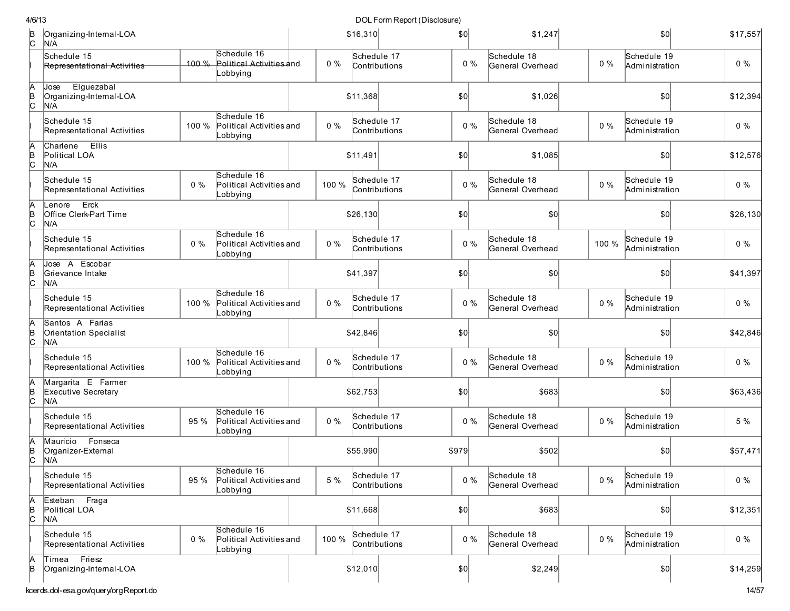| 4/6/13         |                                                         |       |                                                     |       |                              | DOL Form Report (Disclosure) |       |                                 |       |                               |          |
|----------------|---------------------------------------------------------|-------|-----------------------------------------------------|-------|------------------------------|------------------------------|-------|---------------------------------|-------|-------------------------------|----------|
| $\overline{c}$ | Organizing-Internal-LOA<br>N/A                          |       |                                                     |       | \$16,310                     |                              | \$0   | \$1,247                         |       | \$0                           | \$17,557 |
|                | Schedule 15<br><b>Representational Activities</b>       | 100%  | Schedule 16<br>Political Activities and<br>Lobbying | $0\%$ | Schedule 17<br>Contributions |                              | $0\%$ | Schedule 18<br>General Overhead | $0\%$ | Schedule 19<br>Administration | $0\%$    |
| A<br>B<br>C    | Elguezabal<br>Jose<br>Organizing-Internal-LOA<br>N/A    |       |                                                     |       | \$11,368                     |                              | \$0   | \$1,026                         |       | \$0                           | \$12,394 |
|                | Schedule 15<br>Representational Activities              | 100 % | Schedule 16<br>Political Activities and<br>Lobbying | $0\%$ | Schedule 17<br>Contributions |                              | $0\%$ | Schedule 18<br>General Overhead | $0\%$ | Schedule 19<br>Administration | $0\%$    |
| A<br>B<br>C    | <b>Ellis</b><br>Charlene<br>Political LOA<br>N/A        |       |                                                     |       | \$11,491                     |                              | \$0   | \$1,085                         |       | \$0                           | \$12,576 |
|                | Schedule 15<br>Representational Activities              | 0%    | Schedule 16<br>Political Activities and<br>Lobbying | 100 % | Schedule 17<br>Contributions |                              | $0\%$ | Schedule 18<br>General Overhead | $0\%$ | Schedule 19<br>Administration | $0\%$    |
| A<br>B<br>C    | Erck<br>enore.<br>Office Clerk-Part Time<br>N/A         |       |                                                     |       | \$26,130                     |                              | \$0   | 50                              |       | 0                             | \$26,130 |
|                | Schedule 15<br>Representational Activities              | 0%    | Schedule 16<br>Political Activities and<br>Lobbying | $0\%$ | Schedule 17<br>Contributions |                              | $0\%$ | Schedule 18<br>General Overhead | 100 % | Schedule 19<br>Administration | $0\%$    |
| A<br> в<br> С  | Jose A Escobar<br>Grievance Intake<br>N/A               |       |                                                     |       | \$41,397                     |                              | \$0   | \$0                             |       | \$0                           | \$41,397 |
|                | Schedule 15<br>Representational Activities              | 100 % | Schedule 16<br>Political Activities and<br>Lobbying | $0\%$ | Schedule 17<br>Contributions |                              | $0\%$ | Schedule 18<br>General Overhead | $0\%$ | Schedule 19<br>Administration | 0%       |
| A<br>B<br>C    | Santos A Farias<br><b>Orientation Specialist</b><br>N/A |       |                                                     |       | \$42,846                     |                              | \$0   | \$0                             |       | \$0                           | \$42,846 |
|                | Schedule 15<br>Representational Activities              | 100 % | Schedule 16<br>Political Activities and<br>Lobbying | $0\%$ | Schedule 17<br>Contributions |                              | $0\%$ | Schedule 18<br>General Overhead | $0\%$ | Schedule 19<br>Administration | $0\%$    |
| A<br>B<br>C    | Margarita E Farmer<br>Executive Secretary<br>N/A        |       |                                                     |       | \$62,753                     |                              | \$0   | \$683                           |       | \$0                           | \$63,436 |
|                | Schedule 15<br>Representational Activities              | 95 %  | Schedule 16<br>Political Activities and<br>Lobbying | 0%    | Schedule 17<br>Contributions |                              | $0\%$ | Schedule 18<br>General Overhead | $0\%$ | Schedule 19<br>Administration | 5 %      |
| A<br>B<br>C    | Fonseca<br>Mauricio<br>Organizer-External<br>N/A        |       |                                                     |       | \$55,990                     |                              | \$979 | \$502                           |       | \$0                           | \$57,471 |
|                | Schedule 15<br>Representational Activities              | 95 %  | Schedule 16<br>Political Activities and<br>Lobbying | 5 %   | Schedule 17<br>Contributions |                              | $0\%$ | Schedule 18<br>General Overhead | $0\%$ | Schedule 19<br>Administration | $0\%$    |
| A<br>B<br>C    | Esteban Fraga<br>Political LOA<br>N/A                   |       |                                                     |       | \$11,668                     |                              | \$0   | \$683                           |       | \$0                           | \$12,351 |
|                | Schedule 15<br>Representational Activities              | $0\%$ | Schedule 16<br>Political Activities and<br>Lobbying | 100 % | Schedule 17<br>Contributions |                              | $0\%$ | Schedule 18<br>General Overhead | $0\%$ | Schedule 19<br>Administration | $0\%$    |
| A<br>B         | Friesz<br>Timea<br>Organizing-Internal-LOA              |       |                                                     |       | \$12,010                     |                              | 50    | \$2,249                         |       | 0                             | \$14,259 |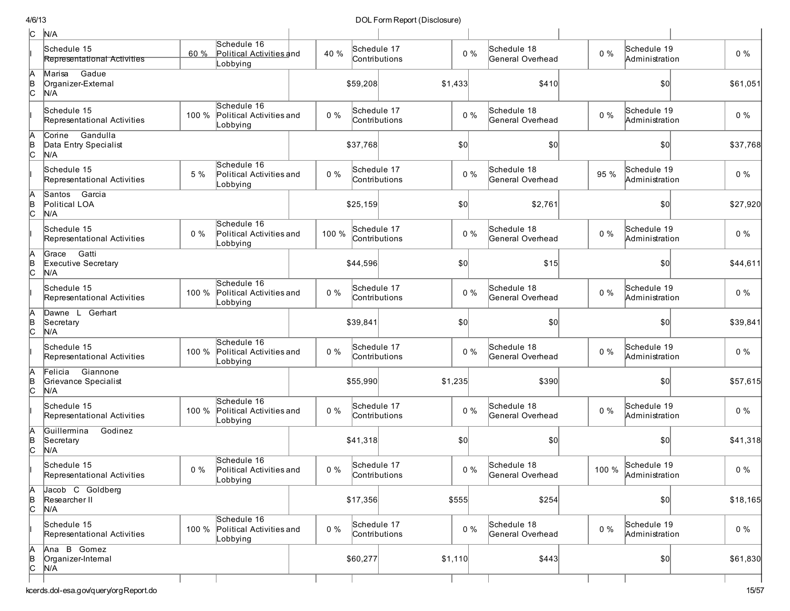| c             | N/A                                                |       |                                                           |       |                              |               |         |       |                                 |       |                               |          |
|---------------|----------------------------------------------------|-------|-----------------------------------------------------------|-------|------------------------------|---------------|---------|-------|---------------------------------|-------|-------------------------------|----------|
|               | Schedule 15<br>Representational Activities         | 60 %  | Schedule 16<br>Political Activities and<br>Lobbying       | 40 %  | Schedule 17                  | Contributions | $0\%$   |       | Schedule 18<br>General Overhead | $0\%$ | Schedule 19<br>Administration | $0\%$    |
| $\frac{A}{C}$ | Gadue<br>Marisa<br>Organizer-External<br>N/A       |       |                                                           |       | \$59,208                     |               | \$1,433 |       | \$410                           |       | \$0                           | \$61,051 |
|               | Schedule 15<br>Representational Activities         | 100 % | Schedule 16<br>Political Activities and<br>Lobbying       | $0\%$ | Schedule 17                  | Contributions | $0\%$   |       | Schedule 18<br>General Overhead | $0\%$ | Schedule 19<br>Administration | $0\%$    |
| $\frac{A}{C}$ | Gandulla<br>Corine<br>Data Entry Specialist<br>N/A |       |                                                           |       | \$37.768                     |               | \$0     |       | \$0                             |       | \$0                           | \$37,768 |
|               | Schedule 15<br>Representational Activities         | 5 %   | Schedule 16<br>Political Activities and<br>Lobbying       | $0\%$ | Schedule 17<br>Contributions |               | $0\%$   |       | Schedule 18<br>General Overhead | 95 %  | Schedule 19<br>Administration | $0\%$    |
| $\frac{A}{C}$ | Santos Garcia<br>Political LOA<br>N/A              |       |                                                           |       | \$25,159                     |               | \$0     |       | \$2,761                         |       | \$0                           | \$27,920 |
|               | Schedule 15<br>Representational Activities         | $0\%$ | Schedule 16<br>Political Activities and<br>Lobbying       | 100 % | Schedule 17                  | Contributions | $0\%$   |       | Schedule 18<br>General Overhead | $0\%$ | Schedule 19<br>Administration | $0\%$    |
| A<br>B<br>C   | Gatti<br>Grace<br>Executive Secretary<br>N/A       |       |                                                           |       | \$44,596                     |               | \$0     |       | \$15                            |       | \$0                           | \$44,611 |
|               | Schedule 15<br>Representational Activities         | 100 % | Schedule 16<br>Political Activities and<br>Lobbying       | $0\%$ | Schedule 17                  | Contributions | $0\%$   |       | Schedule 18<br>General Overhead | 0%    | Schedule 19<br>Administration | $0\%$    |
| $\frac{A}{C}$ | Dawne L Gerhart<br>Secretary<br>N/A                |       |                                                           |       | \$39,841                     |               | \$0     |       | \$0                             |       | \$0                           | \$39,841 |
|               | Schedule 15<br>Representational Activities         | 100 % | Schedule 16<br>Political Activities and<br>Lobbying       | $0\%$ | Schedule 17                  | Contributions | $0\%$   |       | Schedule 18<br>General Overhead | $0\%$ | Schedule 19<br>Administration | $0\%$    |
| A<br>B<br>C   | Giannone<br>Felicia<br>Grievance Specialist<br>N/A |       |                                                           |       | \$55,990                     |               | \$1,235 |       | \$390                           |       | \$0                           | \$57,615 |
|               | Schedule 15<br>Representational Activities         | 100 % | Schedule 16<br>Political Activities and<br>Lobbying       | $0\%$ | Schedule 17                  | Contributions | $0\%$   |       | Schedule 18<br>General Overhead | $0\%$ | Schedule 19<br>Administration | $0\%$    |
| A<br>B<br>C   | Guillermina<br>Godinez<br>Secretary<br>N/A         |       |                                                           |       | \$41,318                     |               | \$0     |       | \$0                             |       | \$0]                          | \$41,318 |
|               | Schedule 15<br>Representational Activities         | $0\%$ | Schedule 16<br>Political Activities and<br>Lobbying       | $0\%$ | Schedule 17<br>Contributions |               |         | $0\%$ | Schedule 18<br>General Overhead | 100 % | Schedule 19<br>Administration | $0\%$    |
| A<br>B<br>C   | Jacob C Goldberg<br>Researcher II<br>N/A           |       |                                                           |       | \$17,356                     |               | \$555   |       | \$254                           |       | \$0                           | \$18,165 |
|               | Schedule 15<br>Representational Activities         |       | Schedule 16<br>100 % Political Activities and<br>Lobbying | $0\%$ | Schedule 17                  | Contributions | $0\%$   |       | Schedule 18<br>General Overhead | $0\%$ | Schedule 19<br>Administration | $0\%$    |
| A<br>B<br>C   | Ana B Gomez<br>Organizer-Internal<br>N/A           |       |                                                           |       | \$60,277                     |               | \$1,110 |       | \$443                           |       | \$0]                          | \$61,830 |
|               |                                                    |       |                                                           |       |                              |               |         |       |                                 |       |                               |          |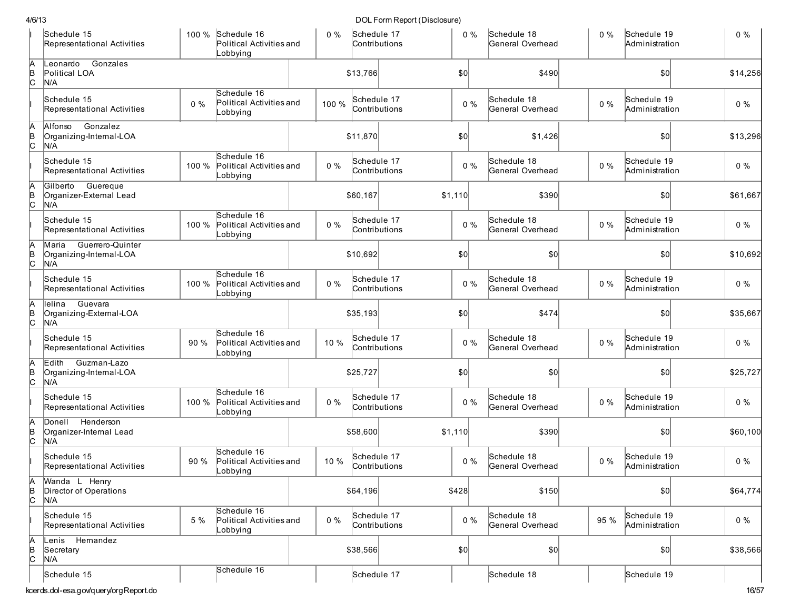|    | Schedule 15<br>Representational Activities                  | 100 % | Schedule 16<br>Political Activities and<br>Lobbying | $0\%$ | Schedule 17<br>Contributions |               |         | Schedule 18<br>$0\%$<br>General Overhead | $0\%$ | Schedule 19<br>Administration | $0\%$    |
|----|-------------------------------------------------------------|-------|-----------------------------------------------------|-------|------------------------------|---------------|---------|------------------------------------------|-------|-------------------------------|----------|
|    | Gonzales<br>eonardo<br>Political LOA<br>N/A                 |       |                                                     |       | \$13,766                     |               | \$0     | \$490                                    |       | $ 10\rangle$                  | \$14,256 |
|    | Schedule 15<br>Representational Activities                  | $0\%$ | Schedule 16<br>Political Activities and<br>Lobbying | 100 % | Schedule 17<br>Contributions |               | $0\%$   | Schedule 18<br>General Overhead          | $0\%$ | Schedule 19<br>Administration | $0\%$    |
| A  | Gonzalez<br>Alfonso<br>Organizing-Internal-LOA<br>N/A       |       |                                                     |       | \$11,870                     |               | \$0     | \$1,426                                  |       | \$0                           | \$13,296 |
|    | Schedule 15<br>Representational Activities                  | 100 % | Schedule 16<br>Political Activities and<br>Lobbying | $0\%$ | Schedule 17<br>Contributions |               | $0\%$   | Schedule 18<br>General Overhead          | $0\%$ | Schedule 19<br>Administration | $0\%$    |
|    | Guereque<br>Gilberto<br>Organizer-External Lead<br>N/A      |       |                                                     |       | \$60,167                     |               | \$1,110 | \$390                                    |       | \$0                           | \$61,667 |
|    | Schedule 15<br>Representational Activities                  | 100 % | Schedule 16<br>Political Activities and<br>_obbying | $0\%$ | Schedule 17<br>Contributions |               | $0\%$   | Schedule 18<br>General Overhead          | $0\%$ | Schedule 19<br>Administration | $0\%$    |
|    | Guerrero-Quinter<br>Maria<br>Organizing-Internal-LOA<br>N/A |       |                                                     |       | \$10,692                     |               | \$0     | \$0                                      |       | \$0                           | \$10,692 |
|    | Schedule 15<br>Representational Activities                  | 100 % | Schedule 16<br>Political Activities and<br>Lobbying | $0\%$ | Schedule 17<br>Contributions |               | $0\%$   | Schedule 18<br>General Overhead          | $0\%$ | Schedule 19<br>Administration | $0\%$    |
|    | Guevara<br>llelina<br>Organizing-External-LOA<br>N/A        |       |                                                     |       | \$35,193                     |               | \$0     | \$474                                    |       | \$0                           | \$35,667 |
|    | Schedule 15<br>Representational Activities                  | 90 %  | Schedule 16<br>Political Activities and<br>Lobbying | 10 %  | Schedule 17<br>Contributions |               | $0\%$   | Schedule 18<br>General Overhead          | $0\%$ | Schedule 19<br>Administration | $0\%$    |
|    | Edith<br>Guzman-Lazo<br>Organizing-Internal-LOA<br>N/A      |       |                                                     |       | \$25,727                     |               | \$0     | \$0                                      |       | \$0                           | \$25,727 |
|    | Schedule 15<br>Representational Activities                  | 100 % | Schedule 16<br>Political Activities and<br>Lobbying | $0\%$ | Schedule 17<br>Contributions |               | $0\%$   | Schedule 18<br>General Overhead          | $0\%$ | Schedule 19<br>Administration | $0\%$    |
|    | Donell Henderson<br>Organizer-Internal Lead<br>N/A          |       |                                                     |       | \$58,600                     |               | \$1,110 | \$390                                    |       | $ 10\rangle$                  | \$60,100 |
|    | Schedule 15<br>Representational Activities                  | 90 %  | Schedule 16<br>Political Activities and<br>Lobbying | 10 %  | Schedule 17<br>Contributions |               | $0\%$   | Schedule 18<br>General Overhead          | $0\%$ | Schedule 19<br>Administration | $0\%$    |
|    | Wanda L Henry<br>Director of Operations<br>N/A              |       |                                                     |       | \$64,196                     |               | \$428   | \$150                                    |       | \$0]                          | \$64,774 |
|    | Schedule 15<br>Representational Activities                  | 5 %   | Schedule 16<br>Political Activities and<br>Lobbying | $0\%$ | Schedule 17                  | Contributions | $0\%$   | Schedule 18<br>General Overhead          | 95 %  | Schedule 19<br>Administration | $0\%$    |
| C. | Lenis Hemandez<br>Secretary<br>N/A                          |       |                                                     |       | \$38,566                     |               | \$0]    | \$0]                                     |       | $ 10\rangle$                  | \$38,566 |
|    | Schedule 15                                                 |       | Schedule 16                                         |       | Schedule 17                  |               |         | Schedule 18                              |       | Schedule 19                   |          |
|    | cerds.dol-esa.gov/guery/orgReport.do                        |       |                                                     |       |                              |               |         |                                          |       |                               | 16/57    |

kcerds.dol-esa.gov/query/orgReport.do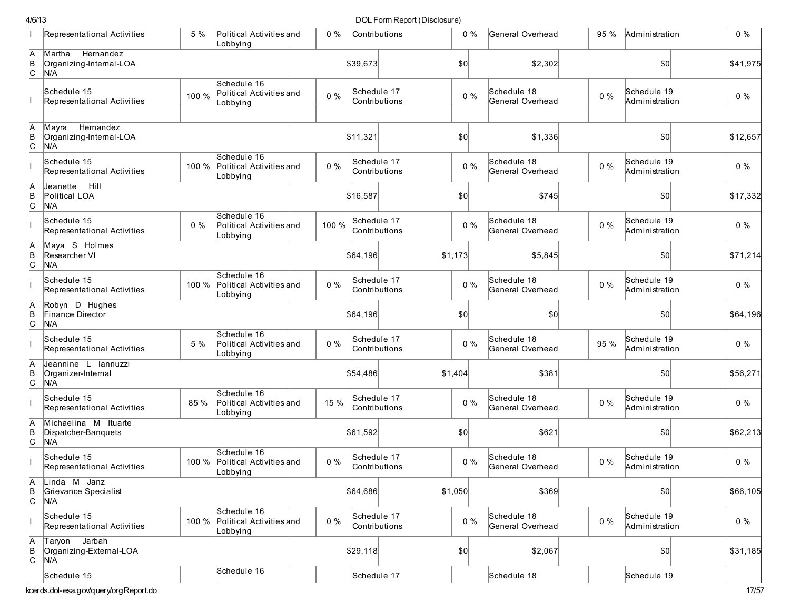|               | Representational Activities                          | 5 %   | Political Activities and<br>Lobbying                | $0\%$ |          | Contributions                | 0%      | General Overhead                | 95 %  | Administration                | $0\%$    |
|---------------|------------------------------------------------------|-------|-----------------------------------------------------|-------|----------|------------------------------|---------|---------------------------------|-------|-------------------------------|----------|
| A<br>B<br>C   | Hemandez<br>Martha<br>Organizing-Internal-LOA<br>N/A |       |                                                     |       | \$39,673 |                              | \$0     | \$2,302                         |       | \$0                           | \$41,975 |
|               | Schedule 15<br>Representational Activities           | 100 % | Schedule 16<br>Political Activities and<br>_obbying | $0\%$ |          | Schedule 17<br>Contributions | $0\%$   | Schedule 18<br>General Overhead | $0\%$ | Schedule 19<br>Administration | $0\%$    |
| A<br> в<br>С  | Hemandez<br>Mavra<br>Organizing-Intemal-LOA<br>N/A   |       |                                                     |       | \$11,321 |                              | \$0     | \$1,336                         |       | \$0                           | \$12,657 |
|               | Schedule 15<br>Representational Activities           | 100 % | Schedule 16<br>Political Activities and<br>Lobbying | $0\%$ |          | Schedule 17<br>Contributions | $0\%$   | Schedule 18<br>General Overhead | $0\%$ | Schedule 19<br>Administration | $0\%$    |
| b<br>c        | Jeanette<br>Hill<br>Political LOA<br>N/A             |       |                                                     |       | \$16,587 |                              | \$0     | \$745                           |       | \$0                           | \$17,332 |
|               | Schedule 15<br>Representational Activities           | $0\%$ | Schedule 16<br>Political Activities and<br>Lobbying | 100 % |          | Schedule 17<br>Contributions | $0\%$   | Schedule 18<br>General Overhead | $0\%$ | Schedule 19<br>Administration | $0\%$    |
| A<br>B<br>C   | Maya S Holmes<br>Researcher VI<br>N/A                |       |                                                     |       | \$64,196 |                              | \$1,173 | \$5,845                         |       | \$0                           | \$71,214 |
|               | Schedule 15<br>Representational Activities           | 100 % | Schedule 16<br>Political Activities and<br>Lobbying | $0\%$ |          | Schedule 17<br>Contributions | $0\%$   | Schedule 18<br>General Overhead | $0\%$ | Schedule 19<br>Administration | $0\%$    |
| в<br> С       | Robyn D Hughes<br>Finance Director<br>N/A            |       |                                                     |       | \$64,196 |                              | \$0     | \$0                             |       | \$0                           | \$64,196 |
|               | Schedule 15<br>Representational Activities           | 5 %   | Schedule 16<br>Political Activities and<br>Lobbying | $0\%$ |          | Schedule 17<br>Contributions | $0\%$   | Schedule 18<br>General Overhead | 95 %  | Schedule 19<br>Administration | $0\%$    |
| A<br> в<br> С | Jeannine L lannuzzi<br>Organizer-Internal<br>N/A     |       |                                                     |       | \$54,486 |                              | \$1,404 | \$381                           |       | \$0                           | \$56,271 |
|               | Schedule 15<br>Representational Activities           | 85 %  | Schedule 16<br>Political Activities and<br>Lobbying | 15 %  |          | Schedule 17<br>Contributions | $0\%$   | Schedule 18<br>General Overhead | $0\%$ | Schedule 19<br>Administration | $0\%$    |
| B<br>c        | Michaelina M Ituarte<br>Dispatcher-Banguets<br>N/A   |       |                                                     |       | \$61,592 |                              | \$0     | \$621                           |       | \$0                           | \$62,213 |
|               | Schedule 15<br>Representational Activities           | 100 % | Schedule 16<br>Political Activities and<br>Lobbying | $0\%$ |          | Schedule 17<br>Contributions | $0\%$   | Schedule 18<br>General Overhead | $0\%$ | Schedule 19<br>Administration | $0\%$    |
| Ā<br> в<br> С | Linda M Janz<br>Grievance Specialist<br>N/A          |       |                                                     |       | \$64,686 |                              | \$1,050 | \$369                           |       | \$0                           | \$66,105 |
|               | Schedule 15<br>Representational Activities           | 100 % | Schedule 16<br>Political Activities and<br>Lobbying | $0\%$ |          | Schedule 17<br>Contributions | $0\%$   | Schedule 18<br>General Overhead | $0\%$ | Schedule 19<br>Administration | $0\%$    |
| A<br>B<br>C   | Jarbah<br>Taryon<br>Organizing-External-LOA<br>N/A   |       |                                                     |       | \$29,118 |                              | \$0]    | \$2,067                         |       | 50                            | \$31,185 |
|               | Schedule 15<br>kcerds.dol-esa.gov/query/orgReport.do |       | Schedule 16                                         |       |          | Schedule 17                  |         | Schedule 18                     |       | Schedule 19                   | 17/57    |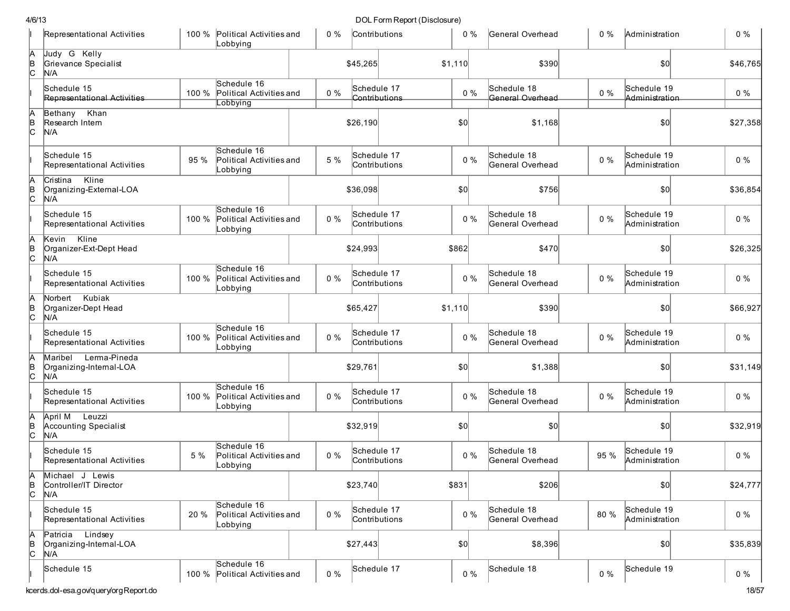|               | Representational Activities                               |       | 100 % Political Activities and<br>Lobbying          | $0\%$ | Contributions                | $0\%$   | General Overhead                | $0\%$ | Administration                | $0\%$    |
|---------------|-----------------------------------------------------------|-------|-----------------------------------------------------|-------|------------------------------|---------|---------------------------------|-------|-------------------------------|----------|
| þ<br>B<br>C   | Judy G Kelly<br>Grievance Specialist<br>N/A               |       |                                                     |       | \$45,265                     | \$1,110 | \$390                           |       | 50                            | \$46,765 |
|               | Schedule 15<br>Representational Activities                | 100 % | Schedule 16<br>Political Activities and<br>Lobbying | $0\%$ | Schedule 17<br>Contributions | $0\%$   | Schedule 18<br>General Overhead | $0\%$ | Schedule 19<br>Administration | $0\%$    |
| A<br>B<br>C   | Bethany Khan<br>Research Intern<br>N/A                    |       |                                                     |       | \$26,190                     | \$0     | \$1,168                         |       | \$0                           | \$27,358 |
|               | Schedule 15<br>Representational Activities                | 95 %  | Schedule 16<br>Political Activities and<br>obbying  | 5 %   | Schedule 17<br>Contributions | $0\%$   | Schedule 18<br>General Overhead | $0\%$ | Schedule 19<br>Administration | $0\%$    |
| A<br>B<br>C   | Cristina Kline<br>Organizing-External-LOA<br>N/A          |       |                                                     |       | \$36,098                     | \$0     | \$756                           |       | \$0                           | \$36,854 |
|               | Schedule 15<br>Representational Activities                | 100 % | Schedule 16<br>Political Activities and<br>Lobbying | $0\%$ | Schedule 17<br>Contributions | $0\%$   | Schedule 18<br>General Overhead | $0\%$ | Schedule 19<br>Administration | $0\%$    |
| A<br>B<br>C   | Kline<br>Kevin<br>Organizer-Ext-Dept Head<br>N/A          |       |                                                     |       | \$24,993                     | \$862   | \$470                           |       | \$0                           | \$26,325 |
|               | Schedule 15<br>Representational Activities                | 100 % | Schedule 16<br>Political Activities and<br>Lobbying | $0\%$ | Schedule 17<br>Contributions | $0\%$   | Schedule 18<br>General Overhead | $0\%$ | Schedule 19<br>Administration | $0\%$    |
| A<br>B<br>C   | Norbert Kubiak<br>Organizer-Dept Head<br>N/A              |       |                                                     |       | \$65,427                     | \$1,110 | \$390                           |       | \$0                           | \$66,927 |
|               | Schedule 15<br>Representational Activities                | 100 % | Schedule 16<br>Political Activities and<br>Lobbying | $0\%$ | Schedule 17<br>Contributions | $0\%$   | Schedule 18<br>General Overhead | $0\%$ | Schedule 19<br>Administration | $0\%$    |
| A<br>B<br>C   | Lerma-Pineda<br>Maribel<br>Organizing-Internal-LOA<br>N/A |       |                                                     |       | \$29,761                     | \$0     | \$1,388                         |       | \$0                           | \$31,149 |
|               | Schedule 15<br>Representational Activities                | 100 % | Schedule 16<br>Political Activities and<br>Lobbying | $0\%$ | Schedule 17<br>Contributions | $0\%$   | Schedule 18<br>General Overhead | $0\%$ | Schedule 19<br>Administration | $0\%$    |
| A<br>B<br>C   | April M Leuzzi<br>Accounting Specialist<br>N/A            |       |                                                     |       | \$32,919                     | \$0     | \$0                             |       | \$0                           | \$32,919 |
|               | Schedule 15<br>Representational Activities                | 5%    | Schedule 16<br>Political Activities and<br>Lobbying | $0\%$ | Schedule 17<br>Contributions | $0\%$   | Schedule 18<br>General Overhead | 95 %  | Schedule 19<br>Administration | $0\%$    |
| A<br>B<br>C   | Michael J Lewis<br>Controller/IT Director<br>N/A          |       |                                                     |       | \$23,740                     | \$831   | \$206                           |       | $ 10\rangle$                  | \$24,777 |
|               | Schedule 15<br>Representational Activities                | 20 %  | Schedule 16<br>Political Activities and<br>Lobbying | $0\%$ | Schedule 17<br>Contributions | $0\%$   | Schedule 18<br>General Overhead | 80 %  | Schedule 19<br>Administration | $0\%$    |
| $\frac{A}{C}$ | Lindsey<br>Patricia<br>Organizing-Internal-LOA<br>N/A     |       |                                                     |       | \$27,443                     | \$0     | \$8,396                         |       | \$0                           | \$35,839 |
|               | Schedule 15                                               | 100 % | Schedule 16<br>Political Activities and             | $0\%$ | Schedule 17                  | $0\%$   | Schedule 18                     | $0\%$ | Schedule 19                   | $0\%$    |
|               | kcerds.dol-esa.gov/query/orgReport.do                     |       |                                                     |       |                              |         |                                 |       |                               | 18/57    |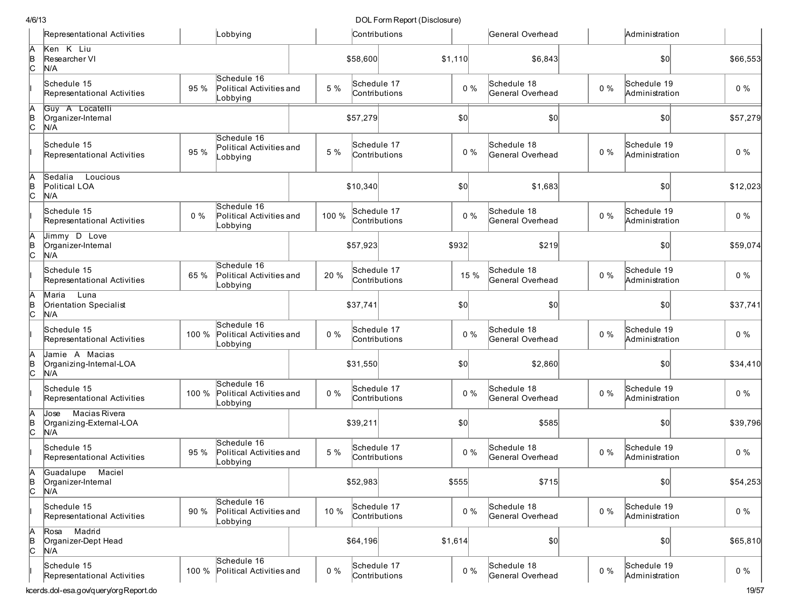|              | Representational Activities                             |       | Lobbying                                            |       | Contributions                |         |       | General Overhead                |       | Administration                |          |
|--------------|---------------------------------------------------------|-------|-----------------------------------------------------|-------|------------------------------|---------|-------|---------------------------------|-------|-------------------------------|----------|
| A<br>B<br>C  | Ken K Liu<br>Researcher VI<br>N/A                       |       |                                                     |       | \$58,600                     | \$1,110 |       | \$6,843                         |       | \$0                           | \$66,553 |
|              | Schedule 15<br>Representational Activities              | 95 %  | Schedule 16<br>Political Activities and<br>Lobbying | 5 %   | Schedule 17<br>Contributions |         | $0\%$ | Schedule 18<br>General Overhead | $0\%$ | Schedule 19<br>Administration | $0\%$    |
| A<br>B<br>C  | Guy A Locatelli<br>Organizer-Internal<br>N/A            |       |                                                     |       | \$57,279                     | \$0]    |       | \$0                             |       | \$0                           | \$57,279 |
|              | Schedule 15<br>Representational Activities              | 95 %  | Schedule 16<br>Political Activities and<br>Lobbying | 5 %   | Schedule 17<br>Contributions |         | $0\%$ | Schedule 18<br>General Overhead | $0\%$ | Schedule 19<br>Administration | $0\%$    |
| Ā<br> в<br>С | Sedalia<br>Loucious<br>Political LOA<br>N/A             |       |                                                     |       | \$10,340                     | \$0     |       | \$1,683                         |       | 50                            | \$12,023 |
|              | Schedule 15<br>Representational Activities              | $0\%$ | Schedule 16<br>Political Activities and<br>Lobbying | 100 % | Schedule 17<br>Contributions |         | $0\%$ | Schedule 18<br>General Overhead | $0\%$ | Schedule 19<br>Administration | $0\%$    |
| A<br>B<br>C  | Jimmy D Love<br>Organizer-Internal<br>N/A               |       |                                                     |       | \$57,923                     | \$932   |       | \$219                           |       | 50                            | \$59,074 |
|              | Schedule 15<br>Representational Activities              | 65 %  | Schedule 16<br>Political Activities and<br>Lobbying | 20 %  | Schedule 17<br>Contributions |         | 15 %  | Schedule 18<br>General Overhead | $0\%$ | Schedule 19<br>Administration | $0\%$    |
| A<br>B<br>C  | Maria<br>Luna<br>Orientation Specialist<br>N/A          |       |                                                     |       | \$37,741                     | \$0]    |       | \$0                             |       | \$0                           | \$37,741 |
|              | Schedule 15<br>Representational Activities              | 100 % | Schedule 16<br>Political Activities and<br>Lobbying | $0\%$ | Schedule 17<br>Contributions |         | $0\%$ | Schedule 18<br>General Overhead | $0\%$ | Schedule 19<br>Administration | $0\%$    |
| A<br>B<br>c  | Jamie A Macias<br>Organizing-Internal-LOA<br>N/A        |       |                                                     |       | \$31,550                     | \$0]    |       | \$2,860                         |       | \$0                           | \$34,410 |
|              | Schedule 15<br>Representational Activities              | 100 % | Schedule 16<br>Political Activities and<br>Lobbying | $0\%$ | Schedule 17<br>Contributions |         | $0\%$ | Schedule 18<br>General Overhead | $0\%$ | Schedule 19<br>Administration | $0\%$    |
| A<br>B<br>C  | Macias Rivera<br>Jose<br>Organizing-External-LOA<br>N/A |       |                                                     |       | \$39,211                     | \$0]    |       | \$585                           |       | \$0                           | \$39,796 |
|              | Schedule 15<br>Representational Activities              | 95 %  | Schedule 16<br>Political Activities and<br>Lobbying | 5 %   | Schedule 17<br>Contributions |         | $0\%$ | Schedule 18<br>General Overhead | $0\%$ | Schedule 19<br>Administration | $0\%$    |
| B<br>C       | Guadalupe Maciel<br>Organizer-Internal<br>N/A           |       |                                                     |       | \$52,983                     | \$555   |       | \$715                           |       | \$0                           | \$54,253 |
|              | Schedule 15<br>Representational Activities              | 90%   | Schedule 16<br>Political Activities and<br>Lobbying | 10 %  | Schedule 17<br>Contributions |         | $0\%$ | Schedule 18<br>General Overhead | $0\%$ | Schedule 19<br>Administration | $0\%$    |
| A<br>B<br>C  | Madrid<br>Rosa<br>Organizer-Dept Head<br>N/A            |       |                                                     |       | \$64,196                     | \$1,614 |       | \$0                             |       | $ 10\rangle$                  | \$65,810 |
|              | Schedule 15<br>Representational Activities              | 100 % | Schedule 16<br>Political Activities and             | $0\%$ | Schedule 17<br>Contributions |         | $0\%$ | Schedule 18<br>General Overhead | $0\%$ | Schedule 19<br>Administration | $0\%$    |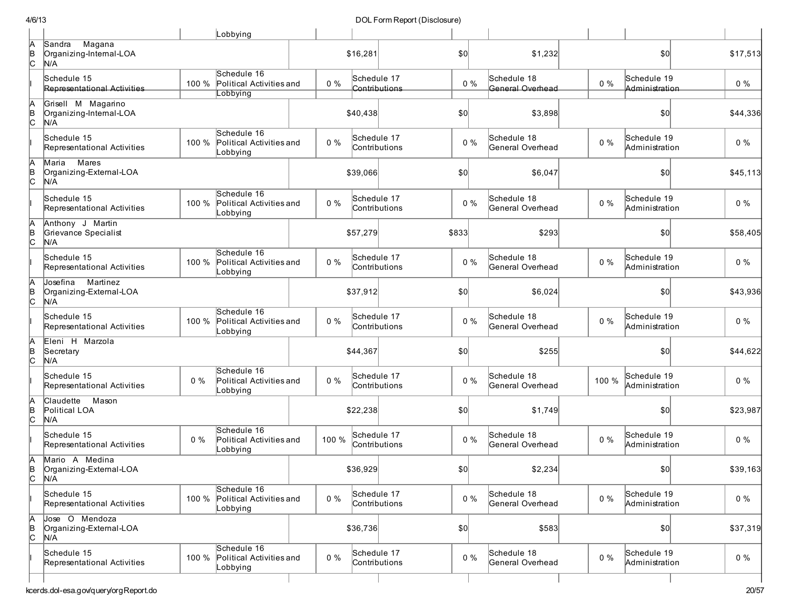|               |                                                        |       | Lobbying                                            |       |                              |               |       |                                 |       |                               |          |
|---------------|--------------------------------------------------------|-------|-----------------------------------------------------|-------|------------------------------|---------------|-------|---------------------------------|-------|-------------------------------|----------|
| A<br> B<br> C | Magana<br>Sandra<br>Organizing-Internal-LOA<br>N/A     |       |                                                     |       | \$16,281                     |               | \$0   | \$1,232                         |       | \$0                           | \$17,513 |
|               | Schedule 15<br>Representational Activities             | 100 % | Schedule 16<br>Political Activities and<br>_obbying | $0\%$ | Schedule 17                  | Contributions | $0\%$ | Schedule 18<br>General Overhead | $0\%$ | Schedule 19<br>Administration | $0\%$    |
| A<br>B<br>C   | Grisell M Magarino<br>Organizing-Internal-LOA<br>N/A   |       |                                                     |       | \$40,438                     |               | \$0   | \$3,898                         |       | \$0                           | \$44,336 |
|               | Schedule 15<br>Representational Activities             | 100 % | Schedule 16<br>Political Activities and<br>Lobbying | $0\%$ | Schedule 17                  | Contributions | $0\%$ | Schedule 18<br>General Overhead | $0\%$ | Schedule 19<br>Administration | $0\%$    |
| A<br>∣<br>C   | Mares<br>Maria<br>Organizing-External-LOA<br>N/A       |       |                                                     |       | \$39,066                     |               | \$0   | \$6,047                         |       | \$0                           | \$45,113 |
|               | Schedule 15<br>Representational Activities             | 100 % | Schedule 16<br>Political Activities and<br>Lobbying | $0\%$ | Schedule 17<br>Contributions |               | $0\%$ | Schedule 18<br>General Overhead | $0\%$ | Schedule 19<br>Administration | $0\%$    |
| A<br>∣<br>C   | Anthony J Martin<br>Grievance Specialist<br>N/A        |       |                                                     |       | \$57,279                     |               | \$833 | \$293                           |       | \$0                           | \$58,405 |
|               | Schedule 15<br>Representational Activities             | 100 % | Schedule 16<br>Political Activities and<br>Lobbying | $0\%$ | Schedule 17<br>Contributions |               | $0\%$ | Schedule 18<br>General Overhead | $0\%$ | Schedule 19<br>Administration | $0\%$    |
| A<br> B<br> C | Martinez<br>Josefina<br>Organizing-External-LOA<br>N/A |       |                                                     |       | \$37,912                     |               | \$0   | \$6,024                         |       | \$0                           | \$43,936 |
|               | Schedule 15<br>Representational Activities             | 100 % | Schedule 16<br>Political Activities and<br>Lobbying | $0\%$ | Schedule 17<br>Contributions |               | $0\%$ | Schedule 18<br>General Overhead | $0\%$ | Schedule 19<br>Administration | $0\%$    |
| A<br> в<br> С | Eleni H Marzola<br>Secretary<br>N/A                    |       |                                                     |       | \$44,367                     |               | \$0]  | \$255                           |       | \$0                           | \$44,622 |
|               | Schedule 15<br>Representational Activities             | $0\%$ | Schedule 16<br>Political Activities and<br>Lobbying | $0\%$ | Schedule 17<br>Contributions |               | $0\%$ | Schedule 18<br>General Overhead | 100 % | Schedule 19<br>Administration | $0\%$    |
| A<br> в<br> С | Claudette<br>Mason<br>Political LOA<br>N/A             |       |                                                     |       | \$22,238                     |               | \$0   | \$1,749                         |       | \$0                           | \$23,987 |
|               | Schedule 15<br>Representational Activities             | $0\%$ | Schedule 16<br>Political Activities and<br>Lobbying | 100 % | Schedule 17<br>Contributions |               | $0\%$ | Schedule 18<br>General Overhead | $0\%$ | Schedule 19<br>Administration | $0\%$    |
| A<br>β        | Mario A Medina<br>Organizing-External-LOA<br> N/A      |       |                                                     |       | \$36,929                     |               | 50    | \$2,234                         |       | \$0                           | \$39,163 |
|               | Schedule 15<br>Representational Activities             | 100 % | Schedule 16<br>Political Activities and<br>Lobbying | $0\%$ | Schedule 17<br>Contributions |               | $0\%$ | Schedule 18<br>General Overhead | $0\%$ | Schedule 19<br>Administration | $0\%$    |
| A<br>B<br>C   | Jose O Mendoza<br>Organizing-External-LOA<br>N/A       |       |                                                     |       | \$36,736                     |               | \$0   | \$583                           |       | \$0                           | \$37,319 |
|               | Schedule 15<br>Representational Activities             | 100 % | Schedule 16<br>Political Activities and<br>Lobbying | $0\%$ | Schedule 17<br>Contributions |               | $0\%$ | Schedule 18<br>General Overhead | $0\%$ | Schedule 19<br>Administration | $0\%$    |
|               |                                                        |       |                                                     |       |                              |               |       |                                 |       |                               |          |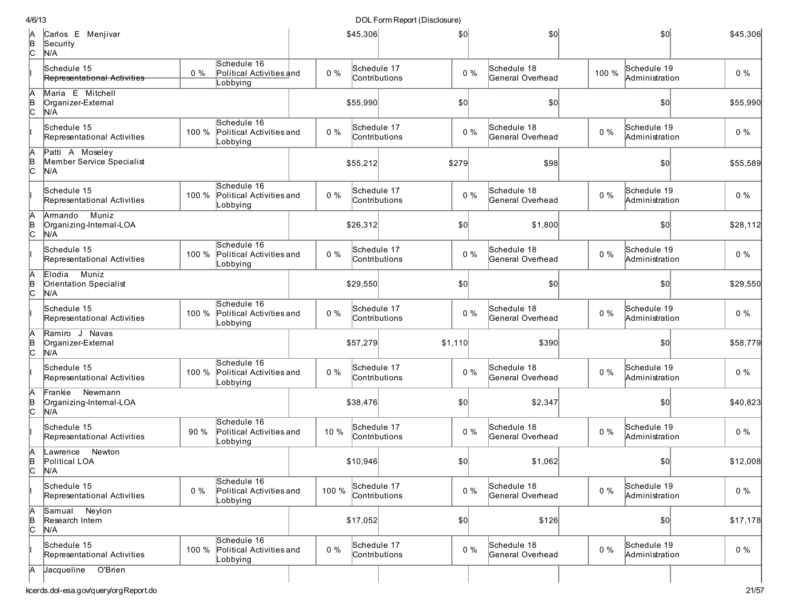| B<br>C        | Carlos E Menjivar<br>Security<br>N/A                |       |                                                     |       | \$45,306    |               | $\vert \mathcal{S} \vert$ | \$0                             |       | \$0                           | \$45,306 |
|---------------|-----------------------------------------------------|-------|-----------------------------------------------------|-------|-------------|---------------|---------------------------|---------------------------------|-------|-------------------------------|----------|
|               | Schedule 15<br>Representational Activities          | $0\%$ | Schedule 16<br>Political Activities and<br>Lobbying | $0\%$ | Schedule 17 | Contributions | $0\%$                     | Schedule 18<br>General Overhead | 100 % | Schedule 19<br>Administration | $0\%$    |
| A<br> в<br> С | Maria E Mitchell<br>Organizer-External<br>N/A       |       |                                                     |       | \$55,990    |               | $ 10\rangle$              | 0                               |       | 50                            | \$55,990 |
|               | Schedule 15<br>Representational Activities          | 100 % | Schedule 16<br>Political Activities and<br>Lobbying | $0\%$ | Schedule 17 | Contributions | $0\%$                     | Schedule 18<br>General Overhead | $0\%$ | Schedule 19<br>Administration | $0\%$    |
| А<br>B<br>C   | Patti A Moseley<br>Member Service Specialist<br>N/A |       |                                                     |       | \$55,212    |               | \$279                     | \$98                            |       | \$0                           | \$55,589 |
|               | Schedule 15<br>Representational Activities          | 100 % | Schedule 16<br>Political Activities and<br>Lobbying | $0\%$ | Schedule 17 | Contributions | $0\%$                     | Schedule 18<br>General Overhead | $0\%$ | Schedule 19<br>Administration | $0\%$    |
| А<br>B<br>C   | Muniz<br>Armando<br>Organizing-Internal-LOA<br>N/A  |       |                                                     |       | \$26,312    |               | \$0]                      | \$1,800                         |       | \$0                           | \$28,112 |
|               | Schedule 15<br>Representational Activities          | 100 % | Schedule 16<br>Political Activities and<br>Lobbying | $0\%$ | Schedule 17 | Contributions | $0\%$                     | Schedule 18<br>General Overhead | $0\%$ | Schedule 19<br>Administration | $0\%$    |
| IA<br>∣<br>c  | Muniz<br>Elodia<br>Orientation Specialist<br>N/A    |       |                                                     |       | \$29,550    |               | \$0                       | \$0                             |       | \$0                           | \$29,550 |
|               | Schedule 15<br>Representational Activities          | 100 % | Schedule 16<br>Political Activities and<br>Lobbying | $0\%$ | Schedule 17 | Contributions | $0\%$                     | Schedule 18<br>General Overhead | $0\%$ | Schedule 19<br>Administration | $0\%$    |
| A<br>B<br>C   | Ramiro J Navas<br>Organizer-External<br>N/A         |       |                                                     |       | \$57,279    |               | \$1,110                   | \$390                           |       | \$0                           | \$58,779 |
|               | Schedule 15<br>Representational Activities          | 100 % | Schedule 16<br>Political Activities and<br>Lobbying | $0\%$ | Schedule 17 | Contributions | $0\%$                     | Schedule 18<br>General Overhead | $0\%$ | Schedule 19<br>Administration | $0\%$    |
| A<br>B<br>C   | Frankie Newmann<br>Organizing-Internal-LOA<br>N/A   |       |                                                     |       | \$38,476    |               | $ 10\rangle$              | \$2,347                         |       | 50                            | \$40,823 |
|               | Schedule 15<br>Representational Activities          | 90 %  | Schedule 16<br>Political Activities and<br>Lobbying | 10 %  | Schedule 17 | Contributions | $0\%$                     | Schedule 18<br>General Overhead | $0\%$ | Schedule 19<br>Administration | $0\%$    |
| А<br> в<br> С | Newton<br>Lawrence<br>Political LOA<br>N/A          |       |                                                     |       | \$10,946    |               | \$0                       | \$1,062                         |       | \$0                           | \$12,008 |
|               | Schedule 15<br>Representational Activities          | $0\%$ | Schedule 16<br>Political Activities and<br>Lobbying | 100 % | Schedule 17 | Contributions | $0\%$                     | Schedule 18<br>General Overhead | $0\%$ | Schedule 19<br>Administration | $0\%$    |
| A<br> в<br> С | Samual Neylon<br>Research Intern<br>N/A             |       |                                                     |       | \$17,052    |               | \$0                       | \$126                           |       | \$0                           | \$17,178 |
|               | Schedule 15<br>Representational Activities          | 100 % | Schedule 16<br>Political Activities and<br>Lobbying | $0\%$ | Schedule 17 | Contributions | $0\%$                     | Schedule 18<br>General Overhead | $0\%$ | Schedule 19<br>Administration | $0\%$    |
| IА            | Jacqueline O'Brien                                  |       |                                                     |       |             |               |                           |                                 |       |                               |          |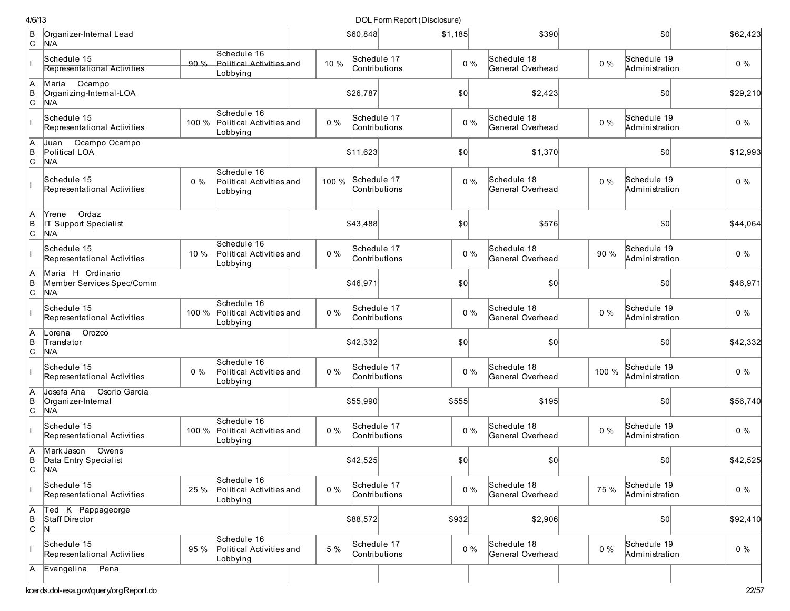| 4/6/13        |                                                          |       |                                                     |       |          | DOL Form Report (Disclosure) |         |       |                                 |       |                               |          |
|---------------|----------------------------------------------------------|-------|-----------------------------------------------------|-------|----------|------------------------------|---------|-------|---------------------------------|-------|-------------------------------|----------|
| B<br> C       | Organizer-Internal Lead<br>N/A                           |       |                                                     |       | \$60,848 |                              | \$1,185 |       | \$390                           |       | \$0                           | \$62,423 |
|               | Schedule 15<br><b>Representational Activities</b>        | 90%   | Schedule 16<br>Political Activities and<br>Lobbying | 10 %  |          | Schedule 17<br>Contributions |         | $0\%$ | Schedule 18<br>General Overhead | $0\%$ | Schedule 19<br>Administration | $0\%$    |
| A<br> B<br> C | Ocampo<br>Maria<br>Organizing-Internal-LOA<br>N/A        |       |                                                     |       | \$26,787 |                              | \$0     |       | \$2,423                         |       | \$0                           | \$29,210 |
|               | Schedule 15<br>Representational Activities               | 100 % | Schedule 16<br>Political Activities and<br>Lobbying | $0\%$ |          | Schedule 17<br>Contributions |         | $0\%$ | Schedule 18<br>General Overhead | $0\%$ | Schedule 19<br>Administration | $0\%$    |
| A<br> в<br> С | Ocampo Ocampo<br>Juan<br>Political LOA<br>N/A            |       |                                                     |       | \$11,623 |                              | \$0]    |       | \$1,370                         |       | \$0                           | \$12,993 |
|               | Schedule 15<br>Representational Activities               | 0%    | Schedule 16<br>Political Activities and<br>Lobbying | 100 % |          | Schedule 17<br>Contributions |         | $0\%$ | Schedule 18<br>General Overhead | $0\%$ | Schedule 19<br>Administration | $0\%$    |
| ΙA<br>в<br>С  | Ordaz<br>Yrene<br>IT Support Specialist<br>N/A           |       |                                                     |       | \$43,488 |                              | \$0]    |       | \$576                           |       | \$0                           | \$44,064 |
|               | Schedule 15<br>Representational Activities               | 10 %  | Schedule 16<br>Political Activities and<br>Lobbying | $0\%$ |          | Schedule 17<br>Contributions |         | $0\%$ | Schedule 18<br>General Overhead | 90 %  | Schedule 19<br>Administration | $0\%$    |
| IA<br>∣<br>c  | Maria H Ordinario<br>Member Services Spec/Comm<br>N/A    |       |                                                     |       | \$46,971 |                              | \$0]    |       | \$0                             |       | \$0                           | \$46,971 |
|               | Schedule 15<br>Representational Activities               | 100 % | Schedule 16<br>Political Activities and<br>Lobbying | $0\%$ |          | Schedule 17<br>Contributions |         | $0\%$ | Schedule 18<br>General Overhead | $0\%$ | Schedule 19<br>Administration | $0\%$    |
| А<br> B<br> C | Orozco<br>Lorena<br>Translator<br>N/A                    |       |                                                     |       | \$42,332 |                              | \$0]    |       | \$0                             |       | \$0                           | \$42,332 |
|               | Schedule 15<br>Representational Activities               | 0%    | Schedule 16<br>Political Activities and<br>Lobbying | $0\%$ |          | Schedule 17<br>Contributions |         | $0\%$ | Schedule 18<br>General Overhead | 100 % | Schedule 19<br>Administration | $0\%$    |
| ΙA<br>B<br>C  | Josefa Ana<br>Osorio Garcia<br>Organizer-Internal<br>N/A |       |                                                     |       | \$55,990 |                              | \$555   |       | \$195                           |       | \$0                           | \$56,740 |
|               | Schedule 15<br>Representational Activities               | 100 % | Schedule 16<br>Political Activities and<br>Lobbying | $0\%$ |          | Schedule 17<br>Contributions |         | $0\%$ | Schedule 18<br>General Overhead | $0\%$ | Schedule 19<br>Administration | $0\%$    |
| IA<br>B<br>C  | Mark Jason<br>Owens<br>Data Entry Specialist<br>N/A      |       |                                                     |       | \$42,525 |                              | \$0     |       | \$0                             |       | \$0                           | \$42,525 |
|               | Schedule 15<br>Representational Activities               | 25 %  | Schedule 16<br>Political Activities and<br>Lobbying | $0\%$ |          | Schedule 17<br>Contributions |         | $0\%$ | Schedule 18<br>General Overhead | 75 %  | Schedule 19<br>Administration | $0\%$    |
| A<br>B<br>C   | Ted K Pappageorge<br>Staff Director<br>N                 |       |                                                     |       | \$88,572 |                              | \$932   |       | \$2,906                         |       | 50                            | \$92,410 |
|               | Schedule 15<br>Representational Activities               | 95 %  | Schedule 16<br>Political Activities and<br>Lobbying | 5 %   |          | Schedule 17<br>Contributions |         | $0\%$ | Schedule 18<br>General Overhead | $0\%$ | Schedule 19<br>Administration | $0\%$    |
| А             | Pena<br>Evangelina                                       |       |                                                     |       |          |                              |         |       |                                 |       |                               |          |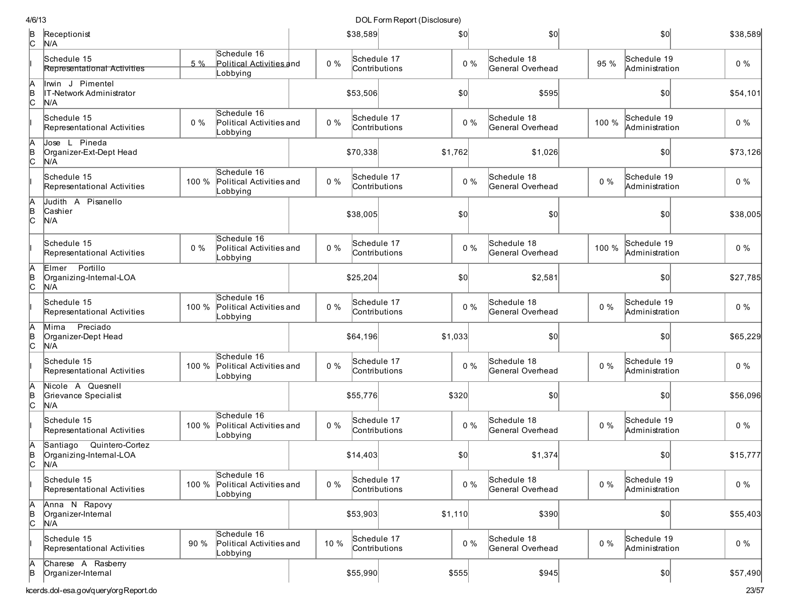| 4/6/13        |                                                               |       |                                                     |       |                              | DOL Form Report (Disclosure) |         |       |                                 |       |                               |          |
|---------------|---------------------------------------------------------------|-------|-----------------------------------------------------|-------|------------------------------|------------------------------|---------|-------|---------------------------------|-------|-------------------------------|----------|
| B<br> C       | Receptionist<br>N/A                                           |       |                                                     |       | \$38,589                     |                              | \$0     |       | \$0]                            |       | \$0                           | \$38,589 |
|               | Schedule 15<br>Representational Activities                    | $5\%$ | Schedule 16<br>Political Activities and<br>Lobbying | $0\%$ | Schedule 17<br>Contributions |                              |         | $0\%$ | Schedule 18<br>General Overhead | 95 %  | Schedule 19<br>Administration | $0\%$    |
| $\frac{A}{C}$ | Inwin J Pimentel<br>IT-Network Administrator<br>N/A           |       |                                                     |       | \$53,506                     |                              | \$0     |       | \$595                           |       | \$0                           | \$54,101 |
|               | Schedule 15<br>Representational Activities                    | $0\%$ | Schedule 16<br>Political Activities and<br>Lobbying | $0\%$ | Schedule 17<br>Contributions |                              |         | $0\%$ | Schedule 18<br>General Overhead | 100 % | Schedule 19<br>Administration | $0\%$    |
| A<br>B<br>C   | Jose L Pineda<br>Organizer-Ext-Dept Head<br>N/A               |       |                                                     |       | \$70,338                     |                              | \$1,762 |       | \$1,026                         |       | \$0                           | \$73,126 |
|               | Schedule 15<br>Representational Activities                    | 100 % | Schedule 16<br>Political Activities and<br>Lobbying | $0\%$ | Schedule 17<br>Contributions |                              |         | $0\%$ | Schedule 18<br>General Overhead | $0\%$ | Schedule 19<br>Administration | $0\%$    |
| A<br>B<br>C   | Judith A Pisanello<br>Cashier<br>N/A                          |       |                                                     |       | \$38,005                     |                              | \$0     |       | \$0                             |       | \$0                           | \$38,005 |
|               | Schedule 15<br>Representational Activities                    | $0\%$ | Schedule 16<br>Political Activities and<br>Lobbying | $0\%$ | Schedule 17<br>Contributions |                              |         | $0\%$ | Schedule 18<br>General Overhead | 100 % | Schedule 19<br>Administration | $0\%$    |
| A<br>∣<br>C   | Elmer Portillo<br>Organizing-Internal-LOA<br>N/A              |       |                                                     |       | \$25,204                     |                              | \$0     |       | \$2,581                         |       | \$0                           | \$27,785 |
|               | Schedule 15<br>Representational Activities                    | 100 % | Schedule 16<br>Political Activities and<br>Lobbying | $0\%$ | Schedule 17<br>Contributions |                              |         | $0\%$ | Schedule 18<br>General Overhead | $0\%$ | Schedule 19<br>Administration | $0\%$    |
| Ā<br>∣<br>C   | Preciado<br>Mima<br>Organizer-Dept Head<br>N/A                |       |                                                     |       | \$64,196                     |                              | \$1,033 |       | \$0                             |       | \$0                           | \$65,229 |
|               | Schedule 15<br>Representational Activities                    | 100 % | Schedule 16<br>Political Activities and<br>Lobbying | $0\%$ | Schedule 17<br>Contributions |                              |         | $0\%$ | Schedule 18<br>General Overhead | $0\%$ | Schedule 19<br>Administration | $0\%$    |
| A<br> в<br> С | Nicole A Quesnell<br>Grievance Specialist<br>N/A              |       |                                                     |       | \$55,776                     |                              | \$320   |       | \$0                             |       | \$0                           | \$56,096 |
|               | Schedule 15<br>Representational Activities                    | 100 % | Schedule 16<br>Political Activities and<br>Lobbying | $0\%$ | Schedule 17<br>Contributions |                              |         | $0\%$ | Schedule 18<br>General Overhead | $0\%$ | Schedule 19<br>Administration | $0\%$    |
| Ā<br>∣<br>P   | Quintero-Cortez<br>Santiago<br>Organizing-Internal-LOA<br>N/A |       |                                                     |       | \$14,403                     |                              | \$0     |       | \$1,374                         |       | \$0                           | \$15,777 |
|               | Schedule 15<br>Representational Activities                    | 100 % | Schedule 16<br>Political Activities and<br>Lobbying | $0\%$ | Schedule 17<br>Contributions |                              |         | $0\%$ | Schedule 18<br>General Overhead | $0\%$ | Schedule 19<br>Administration | $0\%$    |
| A<br>∣e<br> C | Anna N Rapovy<br>Organizer-Internal<br>N/A                    |       |                                                     |       | \$53,903                     |                              | \$1,110 |       | \$390                           |       | \$0                           | \$55,403 |
|               | Schedule 15<br>Representational Activities                    | 90%   | Schedule 16<br>Political Activities and<br>Lobbying | 10 %  | Schedule 17<br>Contributions |                              |         | $0\%$ | Schedule 18<br>General Overhead | $0\%$ | Schedule 19<br>Administration | $0\%$    |
| h<br>B        | Charese A Rasberry<br>Organizer-Internal                      |       |                                                     |       | \$55,990                     |                              | \$555   |       | \$945                           |       | 10                            | \$57,490 |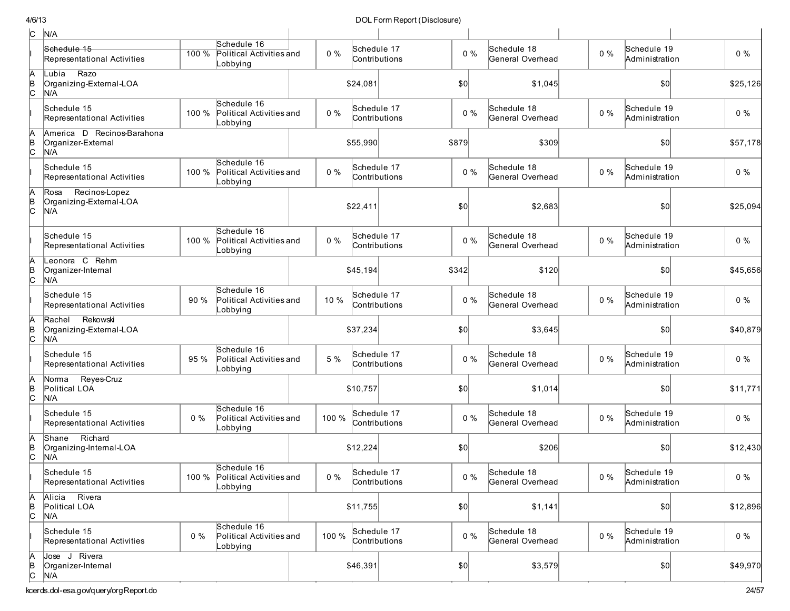| c             | N/A                                                     |       |                                                           |       |                              |               |              |       |                                 |       |                               |          |
|---------------|---------------------------------------------------------|-------|-----------------------------------------------------------|-------|------------------------------|---------------|--------------|-------|---------------------------------|-------|-------------------------------|----------|
|               | Schedule 15<br>Representational Activities              | 100 % | Schedule 16<br>Political Activities and<br>Lobbying       | $0\%$ | Schedule 17                  | Contributions | $0\%$        |       | Schedule 18<br>General Overhead | $0\%$ | Schedule 19<br>Administration | $0\%$    |
| $\frac{A}{C}$ | Razo<br>Lubia<br>Organizing-External-LOA<br>N/A         |       |                                                           |       | \$24,081                     |               | \$0          |       | \$1,045                         |       | \$0                           | \$25,126 |
|               | Schedule 15<br>Representational Activities              | 100 % | Schedule 16<br>Political Activities and<br>Lobbying       | $0\%$ | Schedule 17<br>Contributions |               | $0\%$        |       | Schedule 18<br>General Overhead | $0\%$ | Schedule 19<br>Administration | $0\%$    |
| $\frac{A}{C}$ | America D Recinos-Barahona<br>Organizer-External<br>N/A |       |                                                           |       | \$55,990                     |               | \$879        |       | \$309                           |       | \$0                           | \$57,178 |
|               | Schedule 15<br>Representational Activities              | 100 % | Schedule 16<br>Political Activities and<br>Lobbying       | $0\%$ | Schedule 17<br>Contributions |               | $0\%$        |       | Schedule 18<br>General Overhead | $0\%$ | Schedule 19<br>Administration | $0\%$    |
| A<br>B<br>C   | Recinos-Lopez<br>Rosa<br>Organizing-External-LOA<br>N/A |       |                                                           |       | \$22,411                     |               | \$0          |       | \$2,683                         |       | \$0                           | \$25,094 |
|               | Schedule 15<br>Representational Activities              | 100 % | Schedule 16<br>Political Activities and<br>Lobbying       | $0\%$ | Schedule 17                  | Contributions | $0\%$        |       | Schedule 18<br>General Overhead | $0\%$ | Schedule 19<br>Administration | $0\%$    |
| A<br>B<br>C   | Leonora C Rehm<br>Organizer-Internal<br>N/A             |       |                                                           |       | \$45,194                     |               | \$342        |       | \$120                           |       | \$0                           | \$45,656 |
|               | Schedule 15<br>Representational Activities              | 90 %  | Schedule 16<br>Political Activities and<br>Lobbying       | 10 %  | Schedule 17<br>Contributions |               | $0\%$        |       | Schedule 18<br>General Overhead | $0\%$ | Schedule 19<br>Administration | $0\%$    |
| A<br>B<br>C   | Rekowski<br>Rachel<br>Organizing-External-LOA<br>N/A    |       |                                                           |       | \$37,234                     |               | \$0          |       | \$3,645                         |       | 50                            | \$40,879 |
|               | Schedule 15<br>Representational Activities              | 95%   | Schedule 16<br>Political Activities and<br>Lobbying       | 5 %   | Schedule 17                  | Contributions | $0\%$        |       | Schedule 18<br>General Overhead | $0\%$ | Schedule 19<br>Administration | $0\%$    |
| A<br>B<br>C   | Reyes-Cruz<br>Norma<br>Political LOA<br>N/A             |       |                                                           |       | \$10,757                     |               | \$0          |       | \$1,014                         |       | \$0                           | \$11,771 |
|               | Schedule 15<br>Representational Activities              | 0%    | Schedule 16<br>Political Activities and<br>Lobbying       | 100 % | Schedule 17                  | Contributions | $0\%$        |       | Schedule 18<br>General Overhead | $0\%$ | Schedule 19<br>Administration | $0\%$    |
| A<br>B<br>C   | Shane Richard<br>Organizing-Internal-LOA<br>N/A         |       |                                                           |       | \$12,224                     |               | \$0          |       | \$206                           |       | \$0                           | \$12,430 |
|               | Schedule 15<br>Representational Activities              |       | Schedule 16<br>100 % Political Activities and<br>Lobbying | $0\%$ | Schedule 17<br>Contributions |               |              | $0\%$ | Schedule 18<br>General Overhead | $0\%$ | Schedule 19<br>Administration | $0\%$    |
| A<br>B<br>C   | Alicia Rivera<br>Political LOA<br>N/A                   |       |                                                           |       | \$11,755                     |               | \$0          |       | \$1,141                         |       | \$0                           | \$12,896 |
|               | Schedule 15<br>Representational Activities              | $0\%$ | Schedule 16<br>Political Activities and<br>Lobbying       | 100 % | Schedule 17<br>Contributions |               | $0\%$        |       | Schedule 18<br>General Overhead | $0\%$ | Schedule 19<br>Administration | $0\%$    |
| A<br>B<br>C   | Jose J Rivera<br>Organizer-Internal<br>N/A              |       |                                                           |       | \$46,391                     |               | $ 10\rangle$ |       | \$3,579                         |       | $ 10\rangle$                  | \$49,970 |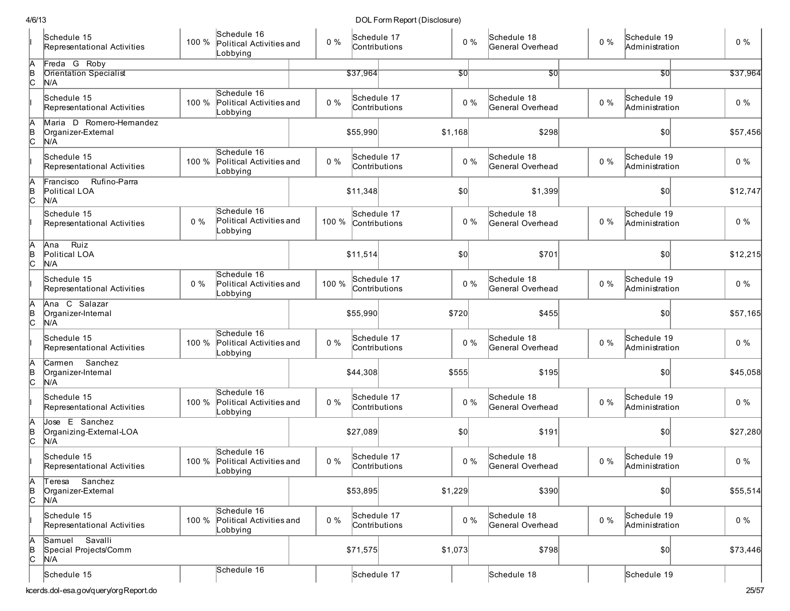| 4/6/13      |                                                       |       |                                                           |       |                              | DOL Form Report (Disclosure) |         |       |                                 |       |                               |          |
|-------------|-------------------------------------------------------|-------|-----------------------------------------------------------|-------|------------------------------|------------------------------|---------|-------|---------------------------------|-------|-------------------------------|----------|
|             | Schedule 15<br>Representational Activities            | 100 % | Schedule 16<br>Political Activities and<br>Lobbying       | $0\%$ | Schedule 17<br>Contributions |                              |         | $0\%$ | Schedule 18<br>General Overhead | $0\%$ | Schedule 19<br>Administration | $0\%$    |
| A<br>B<br>C | Freda G Roby<br><b>Orientation Specialist</b><br>N/A  |       |                                                           |       | \$37,964                     |                              | 50      |       | 30                              |       | \$0                           | \$37,964 |
|             | Schedule 15<br>Representational Activities            | 100 % | Schedule 16<br>Political Activities and<br>Lobbying       | 0%    | Schedule 17<br>Contributions |                              |         | $0\%$ | Schedule 18<br>General Overhead | $0\%$ | Schedule 19<br>Administration | $0\%$    |
| A<br>B<br>C | Maria D Romero-Hernandez<br>Organizer-External<br>N/A |       |                                                           |       | \$55,990                     |                              | \$1,168 |       | \$298                           |       | \$0                           | \$57,456 |
|             | Schedule 15<br>Representational Activities            | 100 % | Schedule 16<br>Political Activities and<br>Lobbying       | $0\%$ | Schedule 17<br>Contributions |                              |         | $0\%$ | Schedule 18<br>General Overhead | $0\%$ | Schedule 19<br>Administration | $0\%$    |
| A<br>B<br>C | Rufino-Parra<br>Francisco<br>Political LOA<br>N/A     |       |                                                           |       | \$11,348                     |                              | \$0     |       | \$1,399                         |       | \$0                           | \$12,747 |
|             | Schedule 15<br>Representational Activities            | 0%    | Schedule 16<br>Political Activities and<br>Lobbying       | 100 % | Schedule 17<br>Contributions |                              |         | $0\%$ | Schedule 18<br>General Overhead | $0\%$ | Schedule 19<br>Administration | $0\%$    |
| A<br>B<br>C | Ruiz<br>Ana<br>Political LOA<br>N/A                   |       |                                                           |       | \$11,514                     |                              | \$0     |       | \$701                           |       | \$0                           | \$12,215 |
|             | Schedule 15<br>Representational Activities            | 0%    | Schedule 16<br>Political Activities and<br>Lobbying       | 100 % | Schedule 17<br>Contributions |                              |         | $0\%$ | Schedule 18<br>General Overhead | $0\%$ | Schedule 19<br>Administration | $0\%$    |
| A<br>B<br>C | Ana C Salazar<br>Organizer-Internal<br>N/A            |       |                                                           |       | \$55,990                     |                              | \$720   |       | \$455                           |       | \$0                           | \$57,165 |
|             | Schedule 15<br>Representational Activities            | 100 % | Schedule 16<br>Political Activities and<br>Lobbying       | $0\%$ | Schedule 17<br>Contributions |                              |         | $0\%$ | Schedule 18<br>General Overhead | $0\%$ | Schedule 19<br>Administration | $0\%$    |
| A<br>B<br>C | Carmen Sanchez<br>Organizer-Internal<br>N/A           |       |                                                           |       | \$44,308                     |                              | \$555   |       | \$195                           |       | \$0                           | \$45,058 |
|             | Schedule 15<br>Representational Activities            | 100 % | Schedule 16<br>Political Activities and<br>Lobbying       | 0%    | Schedule 17<br>Contributions |                              |         | $0\%$ | Schedule 18<br>General Overhead | $0\%$ | Schedule 19<br>Administration | $0\%$    |
| A<br>B<br>C | Jose E Sanchez<br>Organizing-External-LOA<br>N/A      |       |                                                           |       | \$27,089                     |                              | \$0     |       | \$191                           |       | \$0                           | \$27,280 |
|             | Schedule 15<br>Representational Activities            |       | Schedule 16<br>100 % Political Activities and<br>Lobbying | $0\%$ | Schedule 17<br>Contributions |                              |         | $0\%$ | Schedule 18<br>General Overhead | $0\%$ | Schedule 19<br>Administration | $0\%$    |
| A<br>B<br>C | Sanchez<br>Teresa<br>Organizer-External<br>N/A        |       |                                                           |       | \$53,895                     |                              | \$1,229 |       | \$390                           |       | $ 10\rangle$                  | \$55,514 |
|             | Schedule 15<br>Representational Activities            | 100 % | Schedule 16<br>Political Activities and<br>obbying_       | $0\%$ | Schedule 17<br>Contributions |                              |         | $0\%$ | Schedule 18<br>General Overhead | $0\%$ | Schedule 19<br>Administration | $0\%$    |
| A<br>B<br>C | Savalli<br>Samuel<br>Special Projects/Comm<br>N/A     |       |                                                           |       | \$71,575                     |                              | \$1,073 |       | \$798                           |       | $ 10\rangle$                  | \$73,446 |
|             | Schedule 15                                           |       | Schedule 16                                               |       | Schedule 17                  |                              |         |       | Schedule 18                     |       | Schedule 19                   |          |
|             | kcerds.dol-esa.gov/query/orgReport.do                 |       |                                                           |       |                              |                              |         |       |                                 |       |                               | 25/57    |

kcerds.dol-esa.gov/query/orgReport.do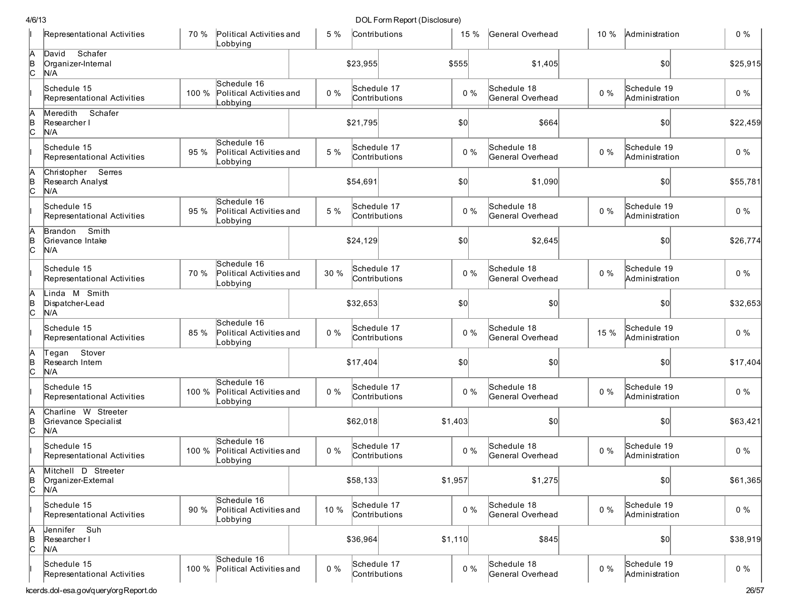|               | Representational Activities                        | 70 %  | Political Activities and<br>Lobbying                | 5 %   | Contributions                |              | 15 %  | General Overhead                | $10 \%$ | Administration                | $0\%$    |
|---------------|----------------------------------------------------|-------|-----------------------------------------------------|-------|------------------------------|--------------|-------|---------------------------------|---------|-------------------------------|----------|
| Ā<br>B<br>C   | Schafer<br>David<br>Organizer-Internal<br>N/A      |       |                                                     |       | \$23,955                     | \$555        |       | \$1,405                         |         | 50                            | \$25,915 |
|               | Schedule 15<br>Representational Activities         | 100 % | Schedule 16<br>Political Activities and<br>_obbying | $0\%$ | Schedule 17<br>Contributions |              | $0\%$ | Schedule 18<br>General Overhead | $0\%$   | Schedule 19<br>Administration | $0\%$    |
| A<br>B<br>C   | Meredith<br>Schafer<br>Researcher I<br>N/A         |       |                                                     |       | \$21,795                     | $ 10\rangle$ |       | \$664                           |         | \$0                           | \$22,459 |
|               | Schedule 15<br>Representational Activities         | 95 %  | Schedule 16<br>Political Activities and<br>_obbying | 5 %   | Schedule 17<br>Contributions |              | $0\%$ | Schedule 18<br>General Overhead | $0\%$   | Schedule 19<br>Administration | $0\%$    |
| A<br>B<br>C   | Christopher Serres<br>Research Analyst<br>N/A      |       |                                                     |       | \$54,691                     | \$0          |       | \$1,090                         |         | \$0                           | \$55,781 |
|               | Schedule 15<br>Representational Activities         | 95 %  | Schedule 16<br>Political Activities and<br>_obbying | 5 %   | Schedule 17<br>Contributions |              | $0\%$ | Schedule 18<br>General Overhead | $0\%$   | Schedule 19<br>Administration | $0\%$    |
| A<br> B<br> C | Brandon Smith<br>Grievance Intake<br>N/A           |       |                                                     |       | \$24,129                     | \$0          |       | \$2,645                         |         | \$0                           | \$26,774 |
|               | Schedule 15<br>Representational Activities         | 70 %  | Schedule 16<br>Political Activities and<br>Lobbying | 30 %  | Schedule 17<br>Contributions |              | $0\%$ | Schedule 18<br>General Overhead | $0\%$   | Schedule 19<br>Administration | $0\%$    |
| A<br>B<br>C   | Linda M Smith<br>Dispatcher-Lead<br>N/A            |       |                                                     |       | \$32,653                     | \$0          |       | \$0                             |         | 50                            | \$32,653 |
|               | Schedule 15<br>Representational Activities         | 85 %  | Schedule 16<br>Political Activities and<br>Lobbying | $0\%$ | Schedule 17<br>Contributions |              | $0\%$ | Schedule 18<br>General Overhead | 15 %    | Schedule 19<br>Administration | $0\%$    |
| A<br>B<br>C   | Tegan Stover<br>Research Intern<br>N/A             |       |                                                     |       | \$17,404                     | \$0          |       | \$0                             |         | \$0                           | \$17,404 |
|               | Schedule 15<br>Representational Activities         | 100 % | Schedule 16<br>Political Activities and<br>Lobbying | $0\%$ | Schedule 17<br>Contributions |              | $0\%$ | Schedule 18<br>General Overhead | $0\%$   | Schedule 19<br>Administration | $0\%$    |
| $\frac{A}{C}$ | Charline W Streeter<br>Grievance Specialist<br>N/A |       |                                                     |       | \$62,018                     | \$1,403      |       | \$0                             |         | 50                            | \$63,421 |
|               | Schedule 15<br>Representational Activities         | 100 % | Schedule 16<br>Political Activities and<br>Lobbying | $0\%$ | Schedule 17<br>Contributions |              | $0\%$ | Schedule 18<br>General Overhead | $0\%$   | Schedule 19<br>Administration | $0\%$    |
| В<br> C       | Mitchell D Streeter<br>Organizer-External<br>N/A   |       |                                                     |       | \$58,133                     | \$1,957      |       | \$1,275                         |         | \$0                           | \$61,365 |
|               | Schedule 15<br>Representational Activities         | 90%   | Schedule 16<br>Political Activities and<br>Lobbying | 10 %  | Schedule 17<br>Contributions |              | $0\%$ | Schedule 18<br>General Overhead | $0\%$   | Schedule 19<br>Administration | $0\%$    |
| A<br>B<br>C   | Jennifer Suh<br>Researcher I<br>N/A                |       |                                                     |       | \$36,964                     | \$1,110      |       | \$845                           |         | \$0                           | \$38,919 |
|               | Schedule 15<br>Representational Activities         | 100 % | Schedule 16<br>Political Activities and             | $0\%$ | Schedule 17<br>Contributions |              | $0\%$ | Schedule 18<br>General Overhead | $0\%$   | Schedule 19<br>Administration | $0\%$    |
|               | kcerds.dol-esa.gov/query/orgReport.do              |       |                                                     |       |                              |              |       |                                 |         |                               | 26/57    |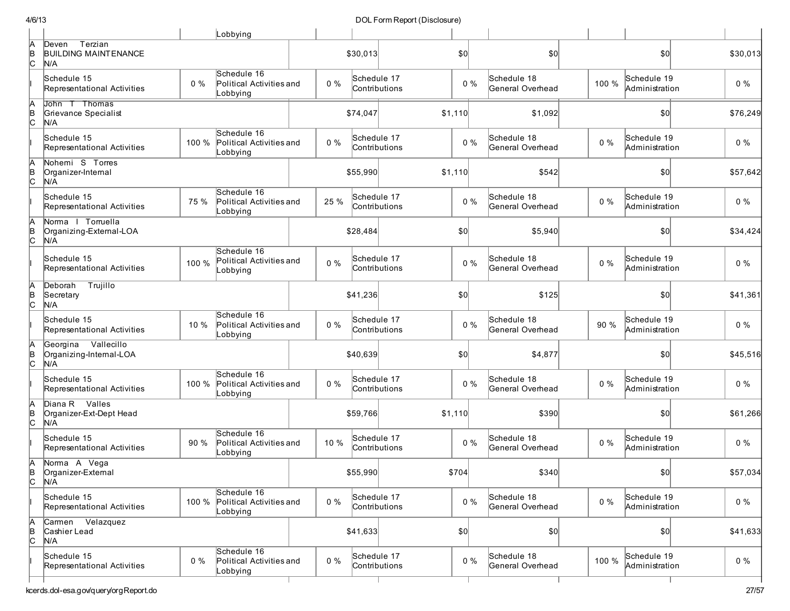|   |                                                          |       | Lobbying                                                 |       |                              |              |       |                                 |       |                               |          |
|---|----------------------------------------------------------|-------|----------------------------------------------------------|-------|------------------------------|--------------|-------|---------------------------------|-------|-------------------------------|----------|
|   | Terzian<br>Deven<br><b>BUILDING MAINTENANCE</b><br>N/A   |       |                                                          |       | \$30,013                     | \$0          |       | \$0                             |       | \$0                           | \$30,013 |
|   | Schedule 15<br>Representational Activities               | $0\%$ | Schedule 16<br>Political Activities and<br>Lobbying      | $0\%$ | Schedule 17<br>Contributions |              | $0\%$ | Schedule 18<br>General Overhead | 100 % | Schedule 19<br>Administration | $0\%$    |
|   | John T Thomas<br>Grievance Specialist<br>N/A             |       |                                                          |       | \$74,047                     | \$1,110      |       | \$1,092                         |       | 50                            | \$76,249 |
|   | Schedule 15<br>Representational Activities               | 100 % | Schedule 16<br>Political Activities and<br>_obbying      | $0\%$ | Schedule 17<br>Contributions |              | $0\%$ | Schedule 18<br>General Overhead | $0\%$ | Schedule 19<br>Administration | $0\%$    |
|   | Nohemi S Torres<br>Organizer-Internal<br>N/A             |       |                                                          |       | \$55,990                     | \$1,110      |       | \$542                           |       | \$0                           | \$57.642 |
|   | Schedule 15<br>Representational Activities               | 75 %  | Schedule 16<br>Political Activities and<br>_obbying      | 25 %  | Schedule 17<br>Contributions |              | $0\%$ | Schedule 18<br>General Overhead | $0\%$ | Schedule 19<br>Administration | $0\%$    |
| A | Norma   Torruella<br>Organizing-External-LOA<br>N/A      |       |                                                          |       | \$28,484                     | \$0          |       | \$5,940                         |       | \$0                           | \$34,424 |
|   | Schedule 15<br>Representational Activities               | 100 % | Schedule 16<br>Political Activities and<br>obbying       | $0\%$ | Schedule 17<br>Contributions |              | $0\%$ | Schedule 18<br>General Overhead | $0\%$ | Schedule 19<br>Administration | $0\%$    |
|   | Trujillo<br>Deborah<br>Secretary<br>N/A                  |       |                                                          |       | \$41,236                     | \$0          |       | \$125                           |       | \$0                           | \$41,361 |
|   | Schedule 15<br>Representational Activities               | 10 %  | Schedule 16<br>Political Activities and<br>Lobbying      | $0\%$ | Schedule 17<br>Contributions |              | $0\%$ | Schedule 18<br>General Overhead | 90 %  | Schedule 19<br>Administration | $0\%$    |
|   | Vallecillo<br>Georgina<br>Organizing-Internal-LOA<br>N/A |       |                                                          |       | \$40,639                     | \$0          |       | \$4,877                         |       | \$0                           | \$45,516 |
|   | Schedule 15<br>Representational Activities               | 100 % | Schedule 16<br>Political Activities and<br>Lobbying      | $0\%$ | Schedule 17<br>Contributions |              | $0\%$ | Schedule 18<br>General Overhead | $0\%$ | Schedule 19<br>Administration | $0\%$    |
|   | Diana R Valles<br>Organizer-Ext-Dept Head<br>N/A         |       |                                                          |       | \$59,766                     | \$1,110      |       | \$390                           |       | \$0                           | \$61,266 |
|   | Schedule 15<br>Representational Activities               | 90 %  | Schedule 16<br>Political Activities and<br>Lobbying      | 10 %  | Schedule 17<br>Contributions |              | $0\%$ | Schedule 18<br>General Overhead | $0\%$ | Schedule 19<br>Administration | $0\%$    |
|   | Norma A Vega<br>Organizer-External<br>N/A                |       |                                                          |       | \$55,990                     | \$704        |       | \$340                           |       | $ 10\rangle$                  | \$57,034 |
|   | Schedule 15<br>Representational Activities               |       | Schedule 16<br>100 % Political Activities and<br>obbying | $0\%$ | Schedule 17<br>Contributions |              | $0\%$ | Schedule 18<br>General Overhead | $0\%$ | Schedule 19<br>Administration | $0\%$    |
| A | Carmen Velazquez<br>Cashier Lead<br>N/A                  |       |                                                          |       | \$41,633                     | $ 10\rangle$ |       | \$0]                            |       | \$0]                          | \$41,633 |
|   | Schedule 15<br>Representational Activities               | $0\%$ | Schedule 16<br>Political Activities and<br>Lobbying      | $0\%$ | Schedule 17<br>Contributions |              | $0\%$ | Schedule 18<br>General Overhead | 100 % | Schedule 19<br>Administration | $0\%$    |
|   |                                                          |       |                                                          |       |                              |              |       |                                 |       |                               |          |

Т

DOL Form Report (Disclosure)

4/ 6/ 1 3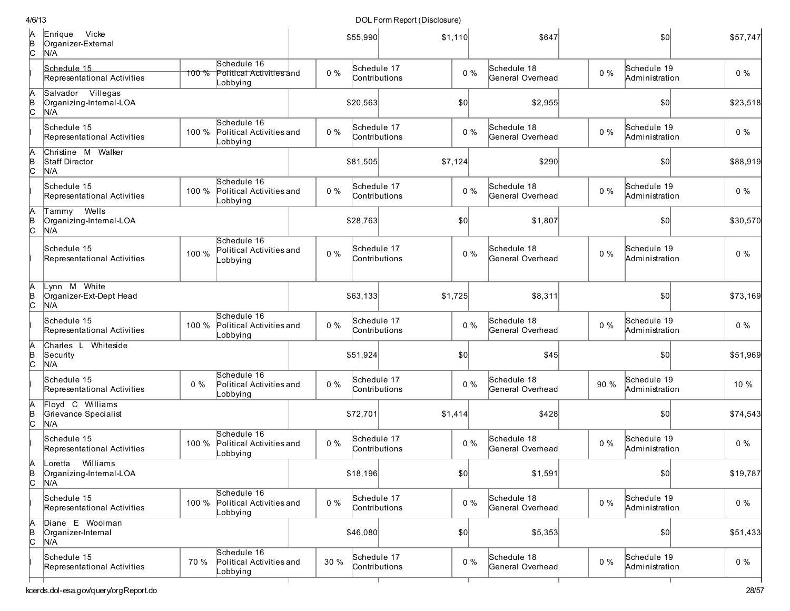|        | Enrique Vicke<br>Organizer-External<br>N/A          |       |                                                     |       | \$55,990                     | \$1,110 | \$647                           |       | \$0                           | \$57,747 |
|--------|-----------------------------------------------------|-------|-----------------------------------------------------|-------|------------------------------|---------|---------------------------------|-------|-------------------------------|----------|
|        | Schedule 15<br>Representational Activities          | 100%  | Schedule 16<br>Political Activities and<br>_obbying | $0\%$ | Schedule 17<br>Contributions | $0\%$   | Schedule 18<br>General Overhead | $0\%$ | Schedule 19<br>Administration | $0\%$    |
|        | Salvador Villegas<br>Organizing-Internal-LOA<br>N/A |       |                                                     |       | \$20,563                     | \$0     | \$2,955                         |       | \$0                           | \$23,518 |
|        | Schedule 15<br>Representational Activities          | 100 % | Schedule 16<br>Political Activities and<br>_obbying | $0\%$ | Schedule 17<br>Contributions | $0\%$   | Schedule 18<br>General Overhead | $0\%$ | Schedule 19<br>Administration | $0\%$    |
|        | Christine M Walker<br>Staff Director<br>N/A         |       |                                                     |       | \$81,505                     | \$7,124 | \$290                           |       | \$0                           | \$88,919 |
|        | Schedule 15<br>Representational Activities          | 100 % | Schedule 16<br>Political Activities and<br>_obbying | $0\%$ | Schedule 17<br>Contributions | $0\%$   | Schedule 18<br>General Overhead | $0\%$ | Schedule 19<br>Administration | $0\%$    |
|        | Wells<br>Tammy<br>Organizing-Internal-LOA<br>N/A    |       |                                                     |       | \$28,763                     | \$0     | \$1,807                         |       | \$0                           | \$30,570 |
|        | Schedule 15<br>Representational Activities          | 100 % | Schedule 16<br>Political Activities and<br>Lobbying | $0\%$ | Schedule 17<br>Contributions | $0\%$   | Schedule 18<br>General Overhead | $0\%$ | Schedule 19<br>Administration | $0\%$    |
|        | Lynn M White<br>Organizer-Ext-Dept Head<br>N/A      |       |                                                     |       | \$63,133                     | \$1,725 | \$8,311                         |       | \$0                           | \$73,169 |
|        | Schedule 15<br>Representational Activities          | 100 % | Schedule 16<br>Political Activities and<br>Lobbying | $0\%$ | Schedule 17<br>Contributions | $0\%$   | Schedule 18<br>General Overhead | $0\%$ | Schedule 19<br>Administration | $0\%$    |
|        | Charles L Whiteside<br>Security<br>N/A              |       |                                                     |       | \$51,924                     | \$0     | \$45                            |       | \$0]                          | \$51,969 |
|        | Schedule 15<br>Representational Activities          | $0\%$ | Schedule 16<br>Political Activities and<br>Lobbying | $0\%$ | Schedule 17<br>Contributions | $0\%$   | Schedule 18<br>General Overhead | 90 %  | Schedule 19<br>Administration | 10 %     |
| C.     | Floyd C Williams<br>Grievance Specialist<br>N/A     |       |                                                     |       | \$72,701                     | \$1,414 | \$428                           |       | \$0                           | \$74,543 |
|        | Schedule 15<br>Representational Activities          | 100 % | Schedule 16<br>Political Activities and<br>Lobbying | $0\%$ | Schedule 17<br>Contributions | $0\%$   | Schedule 18<br>General Overhead | $0\%$ | Schedule 19<br>Administration | $0\%$    |
| C      | Loretta Williams<br>Organizing-Intemal-LOA<br>N/A   |       |                                                     |       | \$18,196                     | 50      | \$1,591                         |       | \$0                           | \$19,787 |
|        | Schedule 15<br>Representational Activities          | 100 % | Schedule 16<br>Political Activities and<br>Lobbying | $0\%$ | Schedule 17<br>Contributions | $0\%$   | Schedule 18<br>General Overhead | $0\%$ | Schedule 19<br>Administration | $0\%$    |
| A<br>С | Diane E Woolman<br>Organizer-Internal<br>N/A        |       |                                                     |       | \$46,080                     | \$0     | \$5,353                         |       | \$0                           | \$51,433 |
|        | Schedule 15<br>Representational Activities          | 70 %  | Schedule 16<br>Political Activities and<br>Lobbying | 30 %  | Schedule 17<br>Contributions | $0\%$   | Schedule 18<br>General Overhead | $0\%$ | Schedule 19<br>Administration | $0\%$    |
|        |                                                     |       |                                                     |       |                              |         |                                 |       |                               |          |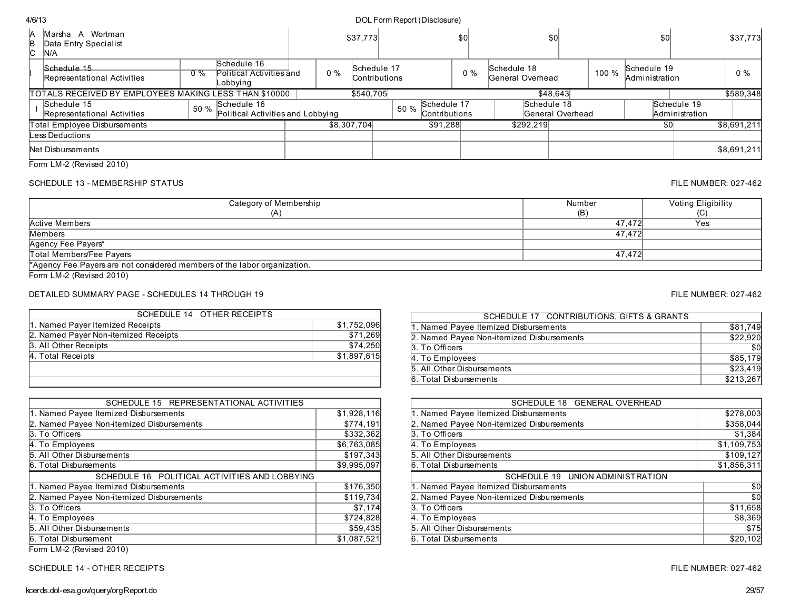| <b>IA</b><br>B<br>lC. | Wortman<br>Marsha A<br>Data Entry Specialist<br>IN/A  |       |                                                     |    | \$37,773                            |                                      | \$0   |                                 | \$0              |       | \$0                           |                               | \$37,773    |
|-----------------------|-------------------------------------------------------|-------|-----------------------------------------------------|----|-------------------------------------|--------------------------------------|-------|---------------------------------|------------------|-------|-------------------------------|-------------------------------|-------------|
|                       | Schedule 15<br>Representational Activities            | $0\%$ | Schedule 16<br>Political Activities and<br>Lobbying | 0% | Schedule 17<br><b>Contributions</b> |                                      | $0\%$ | Schedule 18<br>General Overhead |                  | 100 % | Schedule 19<br>Administration |                               | $0\%$       |
|                       | TOTALS RECEIVED BY EMPLOYEES MAKING LESS THAN \$10000 |       |                                                     |    | \$540,705                           |                                      |       |                                 | \$48,643         |       |                               |                               | \$589,348   |
|                       | Schedule 15<br>Representational Activities            | 50 %  | Schedule 16<br>Political Activities and Lobbying    |    |                                     | Schedule 17<br>50 %<br>Contributions |       | Schedule 18                     | General Overhead |       |                               | Schedule 19<br>Administration |             |
|                       | Total Employee Disbursements                          |       |                                                     |    | \$8,307,704                         | \$91,288                             |       | \$292.219                       |                  |       | \$0                           |                               | \$8,691,211 |
|                       | Less Deductions                                       |       |                                                     |    |                                     |                                      |       |                                 |                  |       |                               |                               |             |
|                       | Net Disbursements                                     |       |                                                     |    |                                     |                                      |       |                                 |                  |       |                               |                               | \$8,691,211 |
|                       | _  _                                                  |       |                                                     |    |                                     |                                      |       |                                 |                  |       |                               |                               |             |

Form LM-2 (Revised 2010)

## SCHEDULE 13 - MEMBERSHIP STATUS FILE NUMBER: 027-462

| Category of Membership                                                   | Number | Voting Eligibility |
|--------------------------------------------------------------------------|--------|--------------------|
| íΑ                                                                       | (B)    | (C)                |
| Active Members                                                           | 47.472 | Yes                |
| Members                                                                  | 47.472 |                    |
| Agency Fee Payers*                                                       |        |                    |
| Total Members/Fee Payers                                                 | 47.472 |                    |
| *Agency Fee Payers are not considered members of the labor organization. |        |                    |

Form LM-2 (Revised 2010)

## DETAILED SUMMARY PAGE - SCHEDULES 14 THROUGH 19 FILE NUMBER: 027-462

| \$1,752,096 |
|-------------|
| \$71,269    |
| \$74,250    |
| \$1,897,615 |
|             |
|             |
|             |

| SCHEDULE 15 REPRESENTATIONAL ACTIVITIES       |             |
|-----------------------------------------------|-------------|
| 1. Named Payee Itemized Disbursements         | \$1,928,116 |
| 2. Named Payee Non-itemized Disbursements     | \$774,191   |
| 3. To Officers                                | \$332,362   |
| 4. To Employees                               | \$6,763,085 |
| 5. All Other Disbursements                    | \$197,343   |
| 6. Total Disbursements                        | \$9,995,097 |
| SCHEDULE 16 POLITICAL ACTIVITIES AND LOBBYING |             |
| 1. Named Payee Itemized Disbursements         | \$176,350   |
| 2. Named Payee Non-itemized Disbursements     | \$119,734   |
| 3. To Officers                                | \$7,174     |
| 4. To Employees                               | \$724,828   |
| 5. All Other Disbursements                    | \$59,435    |
|                                               |             |
| 6. Total Disbursement                         | \$1,087,521 |

Form LM-2 (Revised 2010)

SCHEDULE 14 - OTHER RECEIPTS FILE NUMBER: 027-462

| SCHEDULE 17 CONTRIBUTIONS, GIFTS & GRANTS |           |
|-------------------------------------------|-----------|
| 1. Named Payee Itemized Disbursements     | \$81.749  |
| 2. Named Payee Non-itemized Disbursements | \$22,920  |
| 3. To Officers                            | \$0       |
| 4. To Employees                           | \$85.179  |
| 5. All Other Disbursements                | \$23.419  |
| 6. Total Disbursements                    | \$213,267 |

| SCHEDULE 18 GENERAL OVERHEAD              |             |
|-------------------------------------------|-------------|
| 1. Named Payee Itemized Disbursements     | \$278,003   |
| 2. Named Payee Non-itemized Disbursements | \$358,044   |
| 3. To Officers                            | \$1,384     |
| 4. To Employees                           | \$1,109,753 |
| 5. All Other Disbursements                | \$109,127   |
| 6. Total Disbursements                    | \$1,856,311 |
|                                           |             |
| SCHEDULE 19 UNION ADMINISTRATION          |             |
| 1. Named Payee Itemized Disbursements     | \$0         |
| 2. Named Payee Non-itemized Disbursements | \$0         |
|                                           | \$11,658    |
| 3. To Officers<br>4. To Employees         | \$8,369     |
| 5. All Other Disbursements                | \$75        |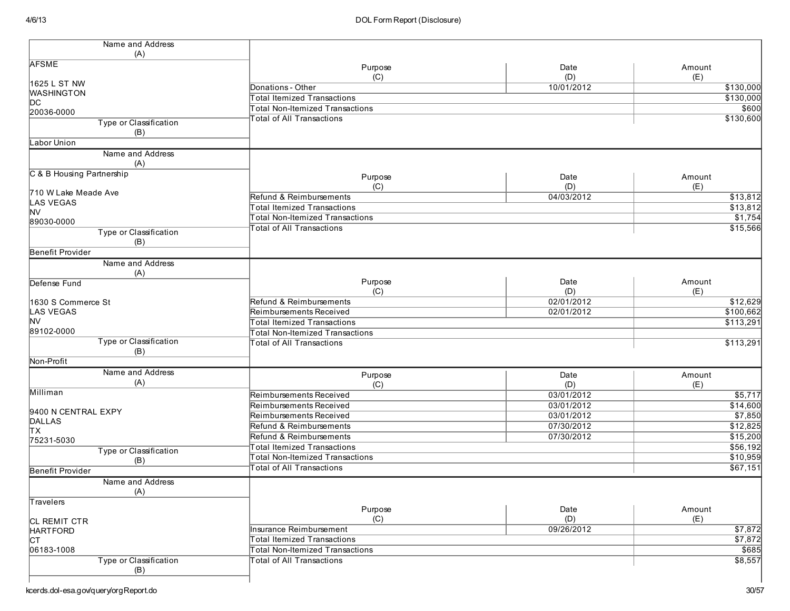| Name and Address              |                                        |            |                |
|-------------------------------|----------------------------------------|------------|----------------|
| (A)                           |                                        |            |                |
| <b>AFSME</b>                  | Purpose                                | Date       | Amount         |
| 1625 L ST NW                  | (C)                                    | (D)        | (E)            |
| <b>WASHINGTON</b>             | Donations - Other                      | 10/01/2012 | \$130,000      |
| DС                            | <b>Total Itemized Transactions</b>     |            | \$130,000      |
| 20036-0000                    | <b>Total Non-Itemized Transactions</b> |            | \$600          |
| Type or Classification        | <b>Total of All Transactions</b>       |            | \$130,600      |
| (B)                           |                                        |            |                |
| Labor Union                   |                                        |            |                |
| Name and Address              |                                        |            |                |
| (A)                           |                                        |            |                |
| C & B Housing Partnership     | Purpose                                | Date       | Amount         |
|                               | (C)                                    | (D)        | (E)            |
| 710 W Lake Meade Ave          | Refund & Reimbursements                | 04/03/2012 | 313,812        |
| <b>LAS VEGAS</b>              | <b>Total Itemized Transactions</b>     |            | \$13,812       |
| <b>NV</b>                     | <b>Total Non-Itemized Transactions</b> |            | \$1,754        |
| 89030-0000                    | <b>Total of All Transactions</b>       |            | \$15,566       |
| Type or Classification        |                                        |            |                |
| (B)                           |                                        |            |                |
| Benefit Provider              |                                        |            |                |
| Name and Address              |                                        |            |                |
| (A)                           |                                        |            |                |
| Defense Fund                  | Purpose                                | Date       | Amount         |
|                               | (C)                                    | (D)        | (E)            |
| 1630 S Commerce St            | Refund & Reimbursements                | 02/01/2012 | \$12,629       |
| LAS VEGAS                     | Reimbursements Received                | 02/01/2012 | \$100,662      |
| <b>NV</b>                     | <b>Total Itemized Transactions</b>     |            | \$113,291      |
| 89102-0000                    | <b>Total Non-Itemized Transactions</b> |            |                |
| Type or Classification        | <b>Total of All Transactions</b>       |            | \$113,291      |
| (B)                           |                                        |            |                |
| Non-Profit                    |                                        |            |                |
| Name and Address              | Purpose                                | Date       | Amount         |
| (A)                           | (C)                                    | (D)        | (E)            |
| Milliman                      | Reimbursements Received                | 03/01/2012 | \$5,717        |
|                               | Reimbursements Received                | 03/01/2012 | \$14,600       |
| 9400 N CENTRAL EXPY           | Reimbursements Received                | 03/01/2012 | \$7,850        |
| DALLAS                        | Refund & Reimbursements                | 07/30/2012 | \$12,825       |
| lтx                           | Refund & Reimbursements                | 07/30/2012 | \$15,200       |
| 75231-5030                    | <b>Total Itemized Transactions</b>     |            | \$56,192       |
| Type or Classification        | <b>Total Non-Itemized Transactions</b> |            | \$10,959       |
| (B)                           | <b>Total of All Transactions</b>       |            | \$67,151       |
| <b>Benefit Provider</b>       |                                        |            |                |
| Name and Address              |                                        |            |                |
| (A)                           |                                        |            |                |
| Travelers                     |                                        |            |                |
|                               | Purpose<br>(C)                         | Date       | Amount         |
| CL REMIT CTR                  |                                        | (D)        | (E)<br>\$7,872 |
| <b>HARTFORD</b>               | Insurance Reimbursement                | 09/26/2012 |                |
| IСТ                           | <b>Total Itemized Transactions</b>     |            | \$7,872        |
| 06183-1008                    | Total Non-Itemized Transactions        |            | \$685          |
| Type or Classification<br>(B) | <b>Total of All Transactions</b>       |            | \$8,557        |
|                               |                                        |            |                |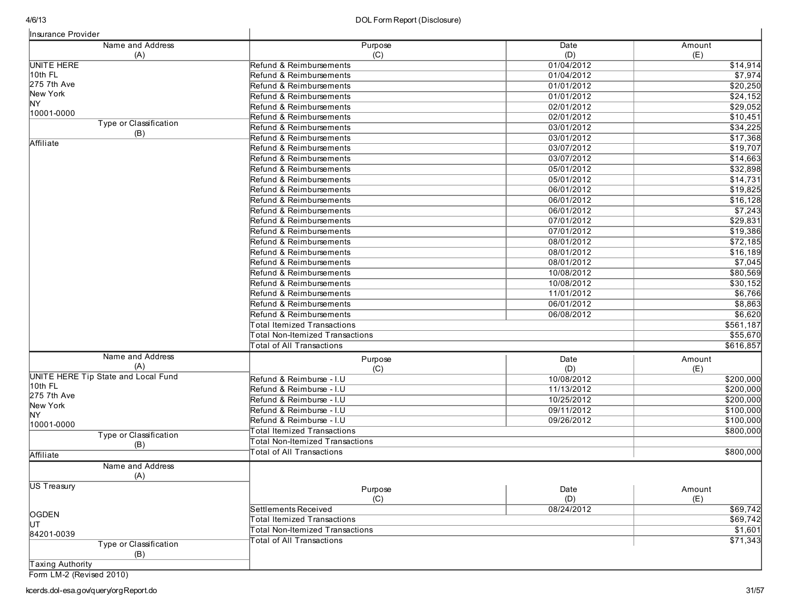| Insurance Provider                             |                                        |                          |                     |
|------------------------------------------------|----------------------------------------|--------------------------|---------------------|
| Name and Address<br>(A)                        | Purpose<br>(C)                         | Date<br>(D)              | Amount<br>(E)       |
| <b>UNITE HERE</b>                              | Refund & Reimbursements                | 01/04/2012               | \$14,914            |
| 10th FL                                        | Refund & Reimbursements                | 01/04/2012               | \$7,974             |
| 275 7th Ave                                    | Refund & Reimbursements                | 01/01/2012               | \$20,250            |
| New York                                       | Refund & Reimbursements                | 01/01/2012               | \$24,152            |
| NY.                                            | Refund & Reimbursements                | 02/01/2012               | \$29,052            |
| 10001-0000                                     | Refund & Reimbursements                | 02/01/2012               | \$10,451            |
| Type or Classification                         | Refund & Reimbursements                | 03/01/2012               | 34,225              |
| (B)                                            | Refund & Reimbursements                | 03/01/2012               | \$17,368            |
| Affiliate                                      | Refund & Reimbursements                | 03/07/2012               | \$19,707            |
|                                                | Refund & Reimbursements                | 03/07/2012               | \$14,663            |
|                                                | Refund & Reimbursements                | 05/01/2012               | \$32,898            |
|                                                | Refund & Reimbursements                | 05/01/2012               | \$14,731            |
|                                                | Refund & Reimbursements                | 06/01/2012               | \$19,825            |
|                                                | Refund & Reimbursements                | 06/01/2012               | \$16,128            |
|                                                | Refund & Reimbursements                | 06/01/2012               | \$7,243             |
|                                                | Refund & Reimbursements                | 07/01/2012               | \$29,831            |
|                                                | Refund & Reimbursements                | 07/01/2012               | \$19,386            |
|                                                | Refund & Reimbursements                | 08/01/2012               | \$72,185            |
|                                                | Refund & Reimbursements                |                          |                     |
|                                                | Refund & Reimbursements                | 08/01/2012<br>08/01/2012 | \$16,189<br>\$7,045 |
|                                                | Refund & Reimbursements                |                          |                     |
|                                                |                                        | 10/08/2012               | \$80,569            |
|                                                | Refund & Reimbursements                | 10/08/2012               | \$30,152            |
|                                                | Refund & Reimbursements                | 11/01/2012               | \$6,766             |
|                                                | Refund & Reimbursements                | 06/01/2012               | \$8,863             |
|                                                | Refund & Reimbursements                | 06/08/2012               | \$6,620             |
|                                                | <b>Total Itemized Transactions</b>     |                          | \$561,187           |
|                                                | <b>Total Non-Itemized Transactions</b> |                          | \$55,670            |
|                                                | <b>Total of All Transactions</b>       |                          | \$616,857           |
| Name and Address                               | Purpose                                | Date                     | Amount              |
| (A)                                            | (C)                                    | (D)                      | (E)                 |
| UNITE HERE Tip State and Local Fund<br>10th FL | Refund & Reimburse - I.U               | 10/08/2012               | \$200,000           |
| 275 7th Ave                                    | Refund & Reimburse - I.U               | 11/13/2012               | \$200,000           |
| New York                                       | Refund & Reimburse - I.U               | 10/25/2012               | \$200,000           |
| NY.                                            | Refund & Reimburse - I.U               | 09/11/2012               | \$100,000           |
| 10001-0000                                     | Refund & Reimburse - I.U               | 09/26/2012               | \$100,000           |
| Type or Classification                         | <b>Total Itemized Transactions</b>     |                          | \$800,000           |
| (B)                                            | <b>Total Non-Itemized Transactions</b> |                          |                     |
| Affiliate                                      | <b>Total of All Transactions</b>       |                          | \$800,000           |
| Name and Address<br>(A)                        |                                        |                          |                     |
| US Treasury                                    |                                        |                          |                     |
|                                                | Purpose<br>(C)                         | Date<br>(D)              | Amount<br>(E)       |
| OGDEN                                          | Settlements Received                   | 08/24/2012               | \$69,742            |
| ĮUТ                                            | <b>Total Itemized Transactions</b>     |                          | $\sqrt{$69,742}$    |
| 84201-0039                                     | <b>Total Non-Itemized Transactions</b> |                          | \$1,601             |
| Type or Classification                         | <b>Total of All Transactions</b>       |                          | \$71,343            |
| (B)                                            |                                        |                          |                     |
| Taxing Authority                               |                                        |                          |                     |
| Form LM-2 (Revised 2010)                       |                                        |                          |                     |
| cerds.dol-esa.gov/query/orgReport.do           |                                        |                          | 31/57               |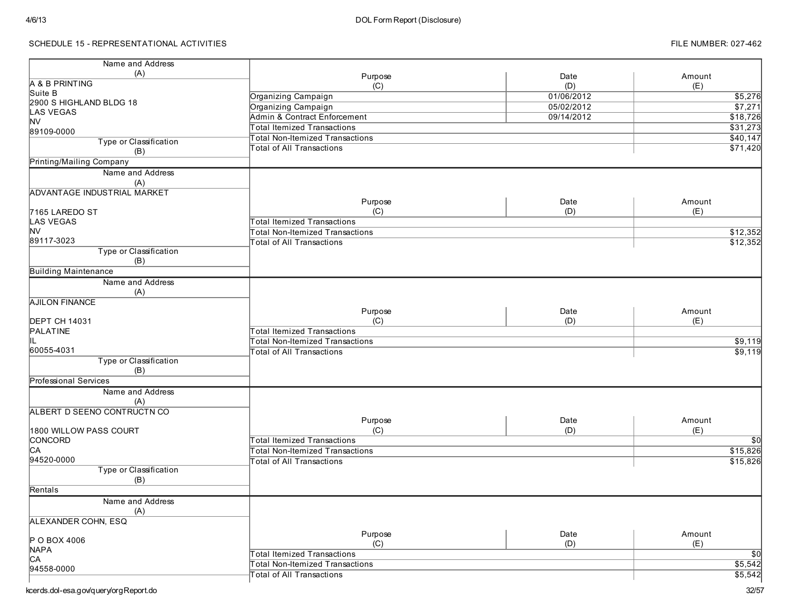## SCHEDULE 15 - REPRESENTATIONAL ACTIVITIES

| (A)<br>Purpose<br>Date<br>Amount<br>A & B PRINTING<br>(E)<br>(C)<br>(D)<br>Suite B<br>\$5,276<br>Organizing Campaign<br>01/06/2012<br>2900 S HIGHLAND BLDG 18<br>$\sqrt{$7,271}$<br>05/02/2012<br>Organizing Campaign<br><b>LAS VEGAS</b><br>09/14/2012<br>Admin & Contract Enforcement<br>\$18,726<br><b>NV</b><br>\$31,273<br><b>Total Itemized Transactions</b><br>89109-0000<br>\$40,147<br><b>Total Non-Itemized Transactions</b><br>Type or Classification<br>\$71,420<br><b>Total of All Transactions</b><br>(B)<br>Printing/Mailing Company<br>Name and Address<br>(A)<br>ADVANTAGE INDUSTRIAL MARKET<br>Purpose<br>Date<br>Amount<br>(C)<br>(D)<br>(E)<br>7165 LAREDO ST<br><b>LAS VEGAS</b><br><b>Total Itemized Transactions</b><br><b>NV</b><br>\$12,352<br><b>Total Non-Itemized Transactions</b><br>89117-3023<br>\$12,352<br>Total of All Transactions<br>Type or Classification<br>(B)<br><b>Building Maintenance</b><br>Name and Address<br>(A)<br><b>AJILON FINANCE</b><br>Purpose<br>Date<br>Amount<br>(C)<br>(E)<br><b>DEPT CH 14031</b><br>(D)<br>PALATINE<br><b>Total Itemized Transactions</b><br>IL<br>Total Non-Itemized Transactions<br>60055-4031<br><b>Total of All Transactions</b><br>Type or Classification<br>(B)<br>Professional Services<br>Name and Address<br>(A)<br>ALBERT D SEENO CONTRUCTN CO<br>Purpose<br>Date<br>Amount<br>(C)<br>(E)<br>(D)<br>1800 WILLOW PASS COURT<br>CONCORD<br><b>Total Itemized Transactions</b><br>$\sqrt{50}$<br>C <sub>A</sub><br>\$15,826<br>Total Non-Itemized Transactions<br>94520-0000<br>\$15,826<br><b>Total of All Transactions</b><br>Type or Classification<br>(B)<br>Rentals<br>Name and Address<br>(A)<br>ALEXANDER COHN, ESQ<br>Purpose<br>Date<br>Amount<br>P O BOX 4006<br>(C)<br>(D)<br>(E)<br><b>NAPA</b><br>$\overline{50}$<br>Total Itemized Transactions<br>CA<br>\$5,542<br><b>Total Non-Itemized Transactions</b><br>94558-0000<br>\$5,542<br><b>Total of All Transactions</b> | Name and Address |  |  |
|--------------------------------------------------------------------------------------------------------------------------------------------------------------------------------------------------------------------------------------------------------------------------------------------------------------------------------------------------------------------------------------------------------------------------------------------------------------------------------------------------------------------------------------------------------------------------------------------------------------------------------------------------------------------------------------------------------------------------------------------------------------------------------------------------------------------------------------------------------------------------------------------------------------------------------------------------------------------------------------------------------------------------------------------------------------------------------------------------------------------------------------------------------------------------------------------------------------------------------------------------------------------------------------------------------------------------------------------------------------------------------------------------------------------------------------------------------------------------------------------------------------------------------------------------------------------------------------------------------------------------------------------------------------------------------------------------------------------------------------------------------------------------------------------------------------------------------------------------------------------------------------------------------------------------------------------------------------------------|------------------|--|--|
|                                                                                                                                                                                                                                                                                                                                                                                                                                                                                                                                                                                                                                                                                                                                                                                                                                                                                                                                                                                                                                                                                                                                                                                                                                                                                                                                                                                                                                                                                                                                                                                                                                                                                                                                                                                                                                                                                                                                                                          |                  |  |  |
| \$9,119<br>\$9,119                                                                                                                                                                                                                                                                                                                                                                                                                                                                                                                                                                                                                                                                                                                                                                                                                                                                                                                                                                                                                                                                                                                                                                                                                                                                                                                                                                                                                                                                                                                                                                                                                                                                                                                                                                                                                                                                                                                                                       |                  |  |  |
|                                                                                                                                                                                                                                                                                                                                                                                                                                                                                                                                                                                                                                                                                                                                                                                                                                                                                                                                                                                                                                                                                                                                                                                                                                                                                                                                                                                                                                                                                                                                                                                                                                                                                                                                                                                                                                                                                                                                                                          |                  |  |  |
|                                                                                                                                                                                                                                                                                                                                                                                                                                                                                                                                                                                                                                                                                                                                                                                                                                                                                                                                                                                                                                                                                                                                                                                                                                                                                                                                                                                                                                                                                                                                                                                                                                                                                                                                                                                                                                                                                                                                                                          |                  |  |  |
|                                                                                                                                                                                                                                                                                                                                                                                                                                                                                                                                                                                                                                                                                                                                                                                                                                                                                                                                                                                                                                                                                                                                                                                                                                                                                                                                                                                                                                                                                                                                                                                                                                                                                                                                                                                                                                                                                                                                                                          |                  |  |  |
|                                                                                                                                                                                                                                                                                                                                                                                                                                                                                                                                                                                                                                                                                                                                                                                                                                                                                                                                                                                                                                                                                                                                                                                                                                                                                                                                                                                                                                                                                                                                                                                                                                                                                                                                                                                                                                                                                                                                                                          |                  |  |  |
|                                                                                                                                                                                                                                                                                                                                                                                                                                                                                                                                                                                                                                                                                                                                                                                                                                                                                                                                                                                                                                                                                                                                                                                                                                                                                                                                                                                                                                                                                                                                                                                                                                                                                                                                                                                                                                                                                                                                                                          |                  |  |  |
|                                                                                                                                                                                                                                                                                                                                                                                                                                                                                                                                                                                                                                                                                                                                                                                                                                                                                                                                                                                                                                                                                                                                                                                                                                                                                                                                                                                                                                                                                                                                                                                                                                                                                                                                                                                                                                                                                                                                                                          |                  |  |  |
|                                                                                                                                                                                                                                                                                                                                                                                                                                                                                                                                                                                                                                                                                                                                                                                                                                                                                                                                                                                                                                                                                                                                                                                                                                                                                                                                                                                                                                                                                                                                                                                                                                                                                                                                                                                                                                                                                                                                                                          |                  |  |  |
|                                                                                                                                                                                                                                                                                                                                                                                                                                                                                                                                                                                                                                                                                                                                                                                                                                                                                                                                                                                                                                                                                                                                                                                                                                                                                                                                                                                                                                                                                                                                                                                                                                                                                                                                                                                                                                                                                                                                                                          |                  |  |  |
|                                                                                                                                                                                                                                                                                                                                                                                                                                                                                                                                                                                                                                                                                                                                                                                                                                                                                                                                                                                                                                                                                                                                                                                                                                                                                                                                                                                                                                                                                                                                                                                                                                                                                                                                                                                                                                                                                                                                                                          |                  |  |  |
|                                                                                                                                                                                                                                                                                                                                                                                                                                                                                                                                                                                                                                                                                                                                                                                                                                                                                                                                                                                                                                                                                                                                                                                                                                                                                                                                                                                                                                                                                                                                                                                                                                                                                                                                                                                                                                                                                                                                                                          |                  |  |  |
|                                                                                                                                                                                                                                                                                                                                                                                                                                                                                                                                                                                                                                                                                                                                                                                                                                                                                                                                                                                                                                                                                                                                                                                                                                                                                                                                                                                                                                                                                                                                                                                                                                                                                                                                                                                                                                                                                                                                                                          |                  |  |  |
|                                                                                                                                                                                                                                                                                                                                                                                                                                                                                                                                                                                                                                                                                                                                                                                                                                                                                                                                                                                                                                                                                                                                                                                                                                                                                                                                                                                                                                                                                                                                                                                                                                                                                                                                                                                                                                                                                                                                                                          |                  |  |  |
|                                                                                                                                                                                                                                                                                                                                                                                                                                                                                                                                                                                                                                                                                                                                                                                                                                                                                                                                                                                                                                                                                                                                                                                                                                                                                                                                                                                                                                                                                                                                                                                                                                                                                                                                                                                                                                                                                                                                                                          |                  |  |  |
|                                                                                                                                                                                                                                                                                                                                                                                                                                                                                                                                                                                                                                                                                                                                                                                                                                                                                                                                                                                                                                                                                                                                                                                                                                                                                                                                                                                                                                                                                                                                                                                                                                                                                                                                                                                                                                                                                                                                                                          |                  |  |  |
|                                                                                                                                                                                                                                                                                                                                                                                                                                                                                                                                                                                                                                                                                                                                                                                                                                                                                                                                                                                                                                                                                                                                                                                                                                                                                                                                                                                                                                                                                                                                                                                                                                                                                                                                                                                                                                                                                                                                                                          |                  |  |  |
|                                                                                                                                                                                                                                                                                                                                                                                                                                                                                                                                                                                                                                                                                                                                                                                                                                                                                                                                                                                                                                                                                                                                                                                                                                                                                                                                                                                                                                                                                                                                                                                                                                                                                                                                                                                                                                                                                                                                                                          |                  |  |  |
|                                                                                                                                                                                                                                                                                                                                                                                                                                                                                                                                                                                                                                                                                                                                                                                                                                                                                                                                                                                                                                                                                                                                                                                                                                                                                                                                                                                                                                                                                                                                                                                                                                                                                                                                                                                                                                                                                                                                                                          |                  |  |  |
|                                                                                                                                                                                                                                                                                                                                                                                                                                                                                                                                                                                                                                                                                                                                                                                                                                                                                                                                                                                                                                                                                                                                                                                                                                                                                                                                                                                                                                                                                                                                                                                                                                                                                                                                                                                                                                                                                                                                                                          |                  |  |  |
|                                                                                                                                                                                                                                                                                                                                                                                                                                                                                                                                                                                                                                                                                                                                                                                                                                                                                                                                                                                                                                                                                                                                                                                                                                                                                                                                                                                                                                                                                                                                                                                                                                                                                                                                                                                                                                                                                                                                                                          |                  |  |  |
|                                                                                                                                                                                                                                                                                                                                                                                                                                                                                                                                                                                                                                                                                                                                                                                                                                                                                                                                                                                                                                                                                                                                                                                                                                                                                                                                                                                                                                                                                                                                                                                                                                                                                                                                                                                                                                                                                                                                                                          |                  |  |  |
|                                                                                                                                                                                                                                                                                                                                                                                                                                                                                                                                                                                                                                                                                                                                                                                                                                                                                                                                                                                                                                                                                                                                                                                                                                                                                                                                                                                                                                                                                                                                                                                                                                                                                                                                                                                                                                                                                                                                                                          |                  |  |  |
|                                                                                                                                                                                                                                                                                                                                                                                                                                                                                                                                                                                                                                                                                                                                                                                                                                                                                                                                                                                                                                                                                                                                                                                                                                                                                                                                                                                                                                                                                                                                                                                                                                                                                                                                                                                                                                                                                                                                                                          |                  |  |  |
|                                                                                                                                                                                                                                                                                                                                                                                                                                                                                                                                                                                                                                                                                                                                                                                                                                                                                                                                                                                                                                                                                                                                                                                                                                                                                                                                                                                                                                                                                                                                                                                                                                                                                                                                                                                                                                                                                                                                                                          |                  |  |  |
|                                                                                                                                                                                                                                                                                                                                                                                                                                                                                                                                                                                                                                                                                                                                                                                                                                                                                                                                                                                                                                                                                                                                                                                                                                                                                                                                                                                                                                                                                                                                                                                                                                                                                                                                                                                                                                                                                                                                                                          |                  |  |  |
|                                                                                                                                                                                                                                                                                                                                                                                                                                                                                                                                                                                                                                                                                                                                                                                                                                                                                                                                                                                                                                                                                                                                                                                                                                                                                                                                                                                                                                                                                                                                                                                                                                                                                                                                                                                                                                                                                                                                                                          |                  |  |  |
|                                                                                                                                                                                                                                                                                                                                                                                                                                                                                                                                                                                                                                                                                                                                                                                                                                                                                                                                                                                                                                                                                                                                                                                                                                                                                                                                                                                                                                                                                                                                                                                                                                                                                                                                                                                                                                                                                                                                                                          |                  |  |  |
|                                                                                                                                                                                                                                                                                                                                                                                                                                                                                                                                                                                                                                                                                                                                                                                                                                                                                                                                                                                                                                                                                                                                                                                                                                                                                                                                                                                                                                                                                                                                                                                                                                                                                                                                                                                                                                                                                                                                                                          |                  |  |  |
|                                                                                                                                                                                                                                                                                                                                                                                                                                                                                                                                                                                                                                                                                                                                                                                                                                                                                                                                                                                                                                                                                                                                                                                                                                                                                                                                                                                                                                                                                                                                                                                                                                                                                                                                                                                                                                                                                                                                                                          |                  |  |  |
|                                                                                                                                                                                                                                                                                                                                                                                                                                                                                                                                                                                                                                                                                                                                                                                                                                                                                                                                                                                                                                                                                                                                                                                                                                                                                                                                                                                                                                                                                                                                                                                                                                                                                                                                                                                                                                                                                                                                                                          |                  |  |  |
|                                                                                                                                                                                                                                                                                                                                                                                                                                                                                                                                                                                                                                                                                                                                                                                                                                                                                                                                                                                                                                                                                                                                                                                                                                                                                                                                                                                                                                                                                                                                                                                                                                                                                                                                                                                                                                                                                                                                                                          |                  |  |  |
|                                                                                                                                                                                                                                                                                                                                                                                                                                                                                                                                                                                                                                                                                                                                                                                                                                                                                                                                                                                                                                                                                                                                                                                                                                                                                                                                                                                                                                                                                                                                                                                                                                                                                                                                                                                                                                                                                                                                                                          |                  |  |  |
|                                                                                                                                                                                                                                                                                                                                                                                                                                                                                                                                                                                                                                                                                                                                                                                                                                                                                                                                                                                                                                                                                                                                                                                                                                                                                                                                                                                                                                                                                                                                                                                                                                                                                                                                                                                                                                                                                                                                                                          |                  |  |  |
|                                                                                                                                                                                                                                                                                                                                                                                                                                                                                                                                                                                                                                                                                                                                                                                                                                                                                                                                                                                                                                                                                                                                                                                                                                                                                                                                                                                                                                                                                                                                                                                                                                                                                                                                                                                                                                                                                                                                                                          |                  |  |  |
|                                                                                                                                                                                                                                                                                                                                                                                                                                                                                                                                                                                                                                                                                                                                                                                                                                                                                                                                                                                                                                                                                                                                                                                                                                                                                                                                                                                                                                                                                                                                                                                                                                                                                                                                                                                                                                                                                                                                                                          |                  |  |  |
|                                                                                                                                                                                                                                                                                                                                                                                                                                                                                                                                                                                                                                                                                                                                                                                                                                                                                                                                                                                                                                                                                                                                                                                                                                                                                                                                                                                                                                                                                                                                                                                                                                                                                                                                                                                                                                                                                                                                                                          |                  |  |  |
|                                                                                                                                                                                                                                                                                                                                                                                                                                                                                                                                                                                                                                                                                                                                                                                                                                                                                                                                                                                                                                                                                                                                                                                                                                                                                                                                                                                                                                                                                                                                                                                                                                                                                                                                                                                                                                                                                                                                                                          |                  |  |  |
|                                                                                                                                                                                                                                                                                                                                                                                                                                                                                                                                                                                                                                                                                                                                                                                                                                                                                                                                                                                                                                                                                                                                                                                                                                                                                                                                                                                                                                                                                                                                                                                                                                                                                                                                                                                                                                                                                                                                                                          |                  |  |  |
|                                                                                                                                                                                                                                                                                                                                                                                                                                                                                                                                                                                                                                                                                                                                                                                                                                                                                                                                                                                                                                                                                                                                                                                                                                                                                                                                                                                                                                                                                                                                                                                                                                                                                                                                                                                                                                                                                                                                                                          |                  |  |  |
|                                                                                                                                                                                                                                                                                                                                                                                                                                                                                                                                                                                                                                                                                                                                                                                                                                                                                                                                                                                                                                                                                                                                                                                                                                                                                                                                                                                                                                                                                                                                                                                                                                                                                                                                                                                                                                                                                                                                                                          |                  |  |  |
|                                                                                                                                                                                                                                                                                                                                                                                                                                                                                                                                                                                                                                                                                                                                                                                                                                                                                                                                                                                                                                                                                                                                                                                                                                                                                                                                                                                                                                                                                                                                                                                                                                                                                                                                                                                                                                                                                                                                                                          |                  |  |  |
|                                                                                                                                                                                                                                                                                                                                                                                                                                                                                                                                                                                                                                                                                                                                                                                                                                                                                                                                                                                                                                                                                                                                                                                                                                                                                                                                                                                                                                                                                                                                                                                                                                                                                                                                                                                                                                                                                                                                                                          |                  |  |  |
|                                                                                                                                                                                                                                                                                                                                                                                                                                                                                                                                                                                                                                                                                                                                                                                                                                                                                                                                                                                                                                                                                                                                                                                                                                                                                                                                                                                                                                                                                                                                                                                                                                                                                                                                                                                                                                                                                                                                                                          |                  |  |  |
|                                                                                                                                                                                                                                                                                                                                                                                                                                                                                                                                                                                                                                                                                                                                                                                                                                                                                                                                                                                                                                                                                                                                                                                                                                                                                                                                                                                                                                                                                                                                                                                                                                                                                                                                                                                                                                                                                                                                                                          |                  |  |  |
|                                                                                                                                                                                                                                                                                                                                                                                                                                                                                                                                                                                                                                                                                                                                                                                                                                                                                                                                                                                                                                                                                                                                                                                                                                                                                                                                                                                                                                                                                                                                                                                                                                                                                                                                                                                                                                                                                                                                                                          |                  |  |  |
|                                                                                                                                                                                                                                                                                                                                                                                                                                                                                                                                                                                                                                                                                                                                                                                                                                                                                                                                                                                                                                                                                                                                                                                                                                                                                                                                                                                                                                                                                                                                                                                                                                                                                                                                                                                                                                                                                                                                                                          |                  |  |  |
|                                                                                                                                                                                                                                                                                                                                                                                                                                                                                                                                                                                                                                                                                                                                                                                                                                                                                                                                                                                                                                                                                                                                                                                                                                                                                                                                                                                                                                                                                                                                                                                                                                                                                                                                                                                                                                                                                                                                                                          |                  |  |  |
|                                                                                                                                                                                                                                                                                                                                                                                                                                                                                                                                                                                                                                                                                                                                                                                                                                                                                                                                                                                                                                                                                                                                                                                                                                                                                                                                                                                                                                                                                                                                                                                                                                                                                                                                                                                                                                                                                                                                                                          |                  |  |  |
|                                                                                                                                                                                                                                                                                                                                                                                                                                                                                                                                                                                                                                                                                                                                                                                                                                                                                                                                                                                                                                                                                                                                                                                                                                                                                                                                                                                                                                                                                                                                                                                                                                                                                                                                                                                                                                                                                                                                                                          |                  |  |  |
|                                                                                                                                                                                                                                                                                                                                                                                                                                                                                                                                                                                                                                                                                                                                                                                                                                                                                                                                                                                                                                                                                                                                                                                                                                                                                                                                                                                                                                                                                                                                                                                                                                                                                                                                                                                                                                                                                                                                                                          |                  |  |  |
|                                                                                                                                                                                                                                                                                                                                                                                                                                                                                                                                                                                                                                                                                                                                                                                                                                                                                                                                                                                                                                                                                                                                                                                                                                                                                                                                                                                                                                                                                                                                                                                                                                                                                                                                                                                                                                                                                                                                                                          |                  |  |  |
|                                                                                                                                                                                                                                                                                                                                                                                                                                                                                                                                                                                                                                                                                                                                                                                                                                                                                                                                                                                                                                                                                                                                                                                                                                                                                                                                                                                                                                                                                                                                                                                                                                                                                                                                                                                                                                                                                                                                                                          |                  |  |  |
|                                                                                                                                                                                                                                                                                                                                                                                                                                                                                                                                                                                                                                                                                                                                                                                                                                                                                                                                                                                                                                                                                                                                                                                                                                                                                                                                                                                                                                                                                                                                                                                                                                                                                                                                                                                                                                                                                                                                                                          |                  |  |  |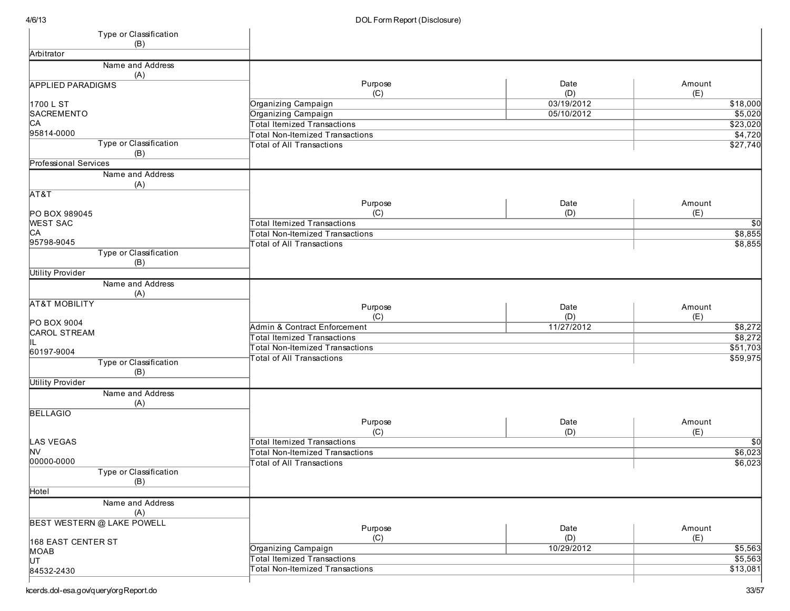| Type or Classification<br>(B)     |                                        |            |                |
|-----------------------------------|----------------------------------------|------------|----------------|
| Arbitrator                        |                                        |            |                |
| Name and Address                  |                                        |            |                |
| (A)                               |                                        |            |                |
| <b>APPLIED PARADIGMS</b>          | Purpose                                | Date       | Amount         |
|                                   | (C)                                    | (D)        | (E)            |
| 1700 L ST                         | Organizing Campaign                    | 03/19/2012 | \$18,000       |
| SACREMENTO                        | Organizing Campaign                    | 05/10/2012 | \$5,020        |
| CA                                | <b>Total Itemized Transactions</b>     |            | \$23,020       |
| 95814-0000                        | <b>Total Non-Itemized Transactions</b> |            | $\sqrt{4,720}$ |
| Type or Classification            | <b>Total of All Transactions</b>       |            | \$27,740       |
| (B)                               |                                        |            |                |
| <b>Professional Services</b>      |                                        |            |                |
| Name and Address                  |                                        |            |                |
| (A)                               |                                        |            |                |
| AT&T                              |                                        |            |                |
|                                   | Purpose                                | Date       | Amount         |
| PO BOX 989045                     | (C)                                    | (D)        | (E)            |
| <b>WEST SAC</b>                   | <b>Total Itemized Transactions</b>     |            | \$0            |
| CA                                | <b>Total Non-Itemized Transactions</b> |            | \$8,855        |
| 95798-9045                        | <b>Total of All Transactions</b>       |            | \$8,855        |
| Type or Classification            |                                        |            |                |
| (B)                               |                                        |            |                |
| <b>Utility Provider</b>           |                                        |            |                |
| Name and Address                  |                                        |            |                |
|                                   |                                        |            |                |
| (A)                               |                                        |            |                |
| <b>AT&amp;T MOBILITY</b>          | Purpose                                | Date       | Amount         |
|                                   | (C)                                    | (D)        | (E)            |
| PO BOX 9004                       | Admin & Contract Enforcement           | 11/27/2012 | \$8,272        |
| <b>CAROL STREAM</b>               | <b>Total Itemized Transactions</b>     |            | \$8,272        |
|                                   | <b>Total Non-Itemized Transactions</b> |            | \$51,703       |
| 60197-9004                        | <b>Total of All Transactions</b>       |            | \$59,975       |
| Type or Classification            |                                        |            |                |
| (B)                               |                                        |            |                |
| <b>Utility Provider</b>           |                                        |            |                |
| Name and Address                  |                                        |            |                |
| (A)                               |                                        |            |                |
| <b>BELLAGIO</b>                   |                                        |            |                |
|                                   | Purpose                                | Date       | Amount         |
|                                   | (C)                                    | (D)        | (E)            |
| <b>LAS VEGAS</b>                  | <b>Total Itemized Transactions</b>     |            | \$0            |
| M∨                                | <b>Total Non-Itemized Transactions</b> |            | \$6,023        |
| 00000-0000                        | <b>Total of All Transactions</b>       |            | \$6,023        |
| Type or Classification            |                                        |            |                |
| (B)                               |                                        |            |                |
| Hotel                             |                                        |            |                |
| Name and Address                  |                                        |            |                |
| (A)                               |                                        |            |                |
| <b>BEST WESTERN @ LAKE POWELL</b> |                                        |            |                |
|                                   | Purpose                                | Date       | Amount         |
| 168 EAST CENTER ST                | (C)                                    | (D)        | (E)            |
| MOAB                              | Organizing Campaign                    | 10/29/2012 | \$5,563        |
| l∪т                               | <b>Total Itemized Transactions</b>     |            | \$5,563        |
| 84532-2430                        | <b>Total Non-Itemized Transactions</b> |            | \$13,081       |
|                                   |                                        |            |                |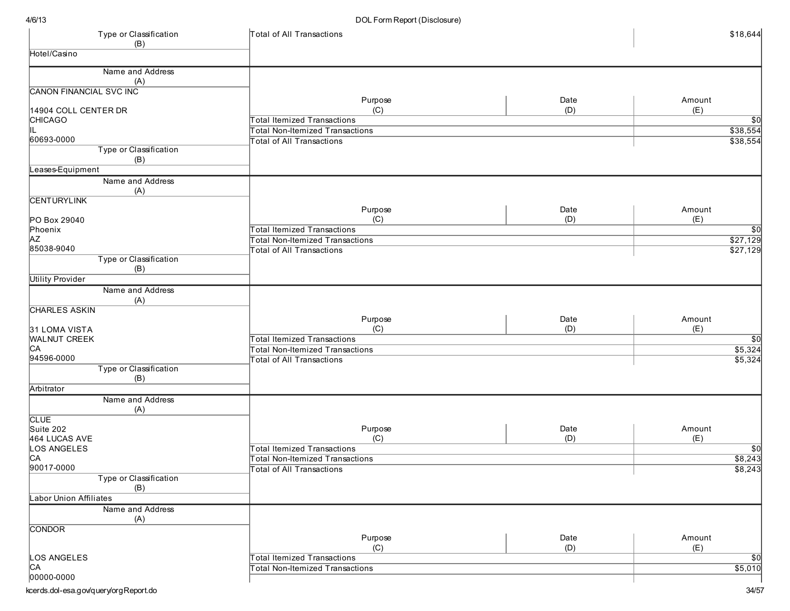| Type or Classification<br>(B)  | Total of All Transactions                                                    |      | \$18,644                   |
|--------------------------------|------------------------------------------------------------------------------|------|----------------------------|
| Hotel/Casino                   |                                                                              |      |                            |
| Name and Address               |                                                                              |      |                            |
| (A)                            |                                                                              |      |                            |
| <b>CANON FINANCIAL SVC INC</b> |                                                                              |      |                            |
|                                | Purpose                                                                      | Date | Amount                     |
| 14904 COLL CENTER DR           | (C)                                                                          | (D)  | (E)                        |
| <b>CHICAGO</b>                 | <b>Total Itemized Transactions</b>                                           |      | $\overline{50}$            |
| IL.<br>60693-0000              | <b>Total Non-Itemized Transactions</b>                                       |      | \$38,554                   |
| Type or Classification         | <b>Total of All Transactions</b>                                             |      | \$38,554                   |
| (B)                            |                                                                              |      |                            |
| Leases-Equipment               |                                                                              |      |                            |
| Name and Address               |                                                                              |      |                            |
| (A)                            |                                                                              |      |                            |
| <b>CENTURYLINK</b>             |                                                                              |      |                            |
|                                | Purpose                                                                      | Date | Amount                     |
| PO Box 29040                   | (C)                                                                          | (D)  | (E)                        |
| Phoenix<br><b>AZ</b>           | <b>Total Itemized Transactions</b>                                           |      | \$0                        |
| 85038-9040                     | <b>Total Non-Itemized Transactions</b><br><b>Total of All Transactions</b>   |      | \$27,129<br>\$27,129       |
| Type or Classification         |                                                                              |      |                            |
| (B)                            |                                                                              |      |                            |
| <b>Utility Provider</b>        |                                                                              |      |                            |
| Name and Address               |                                                                              |      |                            |
| (A)                            |                                                                              |      |                            |
| <b>CHARLES ASKIN</b>           |                                                                              |      |                            |
|                                | Purpose                                                                      | Date | Amount                     |
| 31 LOMA VISTA                  | (C)                                                                          | (D)  | (E)                        |
| <b>WALNUT CREEK</b>            | Total Itemized Transactions                                                  |      | $\sqrt{50}$                |
| CA<br>94596-0000               | Total Non-Itemized Transactions                                              |      | \$5,324<br>\$5,324         |
| Type or Classification         | <b>Total of All Transactions</b>                                             |      |                            |
| (B)                            |                                                                              |      |                            |
| Arbitrator                     |                                                                              |      |                            |
| Name and Address               |                                                                              |      |                            |
| (A)                            |                                                                              |      |                            |
| <b>CLUE</b>                    |                                                                              |      |                            |
| Suite 202                      | Purpose                                                                      | Date | Amount                     |
| 464 LUCAS AVE                  | (C)                                                                          | (D)  | (E)                        |
| LOS ANGELES<br>CA              | <b>Total Itemized Transactions</b><br><b>Total Non-Itemized Transactions</b> |      | $\sqrt{50}$<br>\$8,243     |
| 90017-0000                     | Total of All Transactions                                                    |      | \$8,243                    |
| Type or Classification         |                                                                              |      |                            |
| (B)                            |                                                                              |      |                            |
| <b>Labor Union Affiliates</b>  |                                                                              |      |                            |
| Name and Address               |                                                                              |      |                            |
| (A)                            |                                                                              |      |                            |
| <b>CONDOR</b>                  |                                                                              |      |                            |
|                                | Purpose                                                                      | Date | Amount                     |
|                                | (C)                                                                          | (D)  | (E)                        |
| LOS ANGELES<br>CA              | Total Itemized Transactions<br><b>Total Non-Itemized Transactions</b>        |      | $\overline{30}$<br>\$5,010 |
| 00000-0000                     |                                                                              |      |                            |
|                                |                                                                              |      |                            |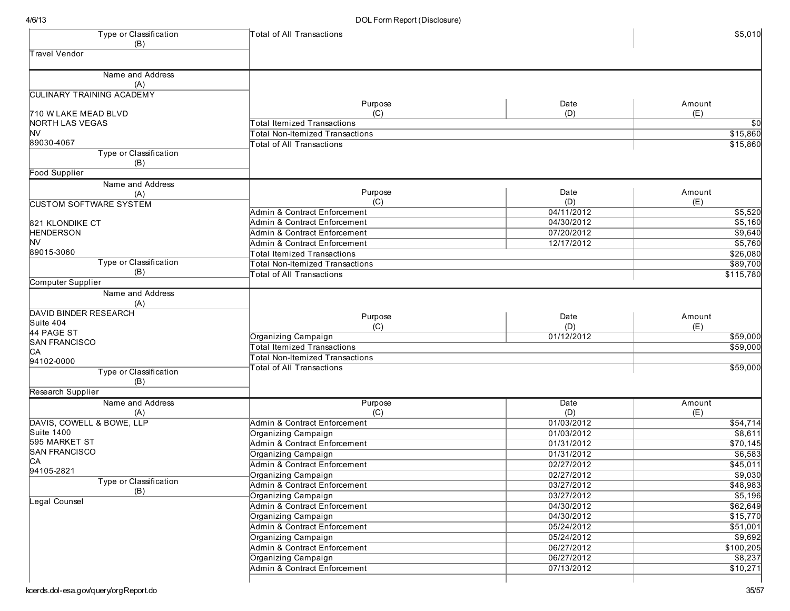| Type or Classification           | Total of All Transactions               |            | \$5,010         |
|----------------------------------|-----------------------------------------|------------|-----------------|
| (B)<br><b>Travel Vendor</b>      |                                         |            |                 |
|                                  |                                         |            |                 |
| Name and Address<br>(A)          |                                         |            |                 |
| <b>CULINARY TRAINING ACADEMY</b> |                                         |            |                 |
|                                  | Purpose                                 | Date       | Amount          |
| 710 W LAKE MEAD BLVD             | (C)                                     | (D)        | (E)             |
| NORTH LAS VEGAS                  | <b>Total Itemized Transactions</b>      |            | $\overline{30}$ |
| <b>NV</b>                        | <b>Total Non-Itemized Transactions</b>  |            | \$15,860        |
| 89030-4067                       | <b>Total of All Transactions</b>        |            | \$15,860        |
| Type or Classification           |                                         |            |                 |
| (B)<br>Food Supplier             |                                         |            |                 |
| Name and Address                 |                                         |            |                 |
| (A)                              | Purpose                                 | Date       | Amount          |
| <b>CUSTOM SOFTWARE SYSTEM</b>    | (C)                                     | (D)        | (E)             |
|                                  | Admin & Contract Enforcement            | 04/11/2012 | \$5,520         |
| 821 KLONDIKE CT                  | Admin & Contract Enforcement            | 04/30/2012 | \$5,160         |
| <b>HENDERSON</b>                 | Admin & Contract Enforcement            | 07/20/2012 | \$9,640         |
| <b>NV</b>                        | Admin & Contract Enforcement            | 12/17/2012 | \$5,760         |
| 89015-3060                       | <b>Total Itemized Transactions</b>      |            | \$26,080        |
| <b>Type or Classification</b>    | <b>Total Non-Itemized Transactions</b>  |            | \$89,700        |
| (B)                              | <b>Total of All Transactions</b>        |            | \$115,780       |
| Computer Supplier                |                                         |            |                 |
| Name and Address                 |                                         |            |                 |
| (A)                              |                                         |            |                 |
| <b>DAVID BINDER RESEARCH</b>     | Purpose                                 | Date       | Amount          |
| Suite 404                        | (C)                                     | (D)        | (E)             |
| 44 PAGE ST                       | Organizing Campaign                     | 01/12/2012 | \$59,000        |
| <b>SAN FRANCISCO</b>             | <b>Total Itemized Transactions</b>      |            | \$59,000        |
| C <sub>A</sub>                   | <b>Total Non-Itemized Transactions</b>  |            |                 |
| 94102-0000                       | <b>Total of All Transactions</b>        |            | \$59,000        |
| <b>Type or Classification</b>    |                                         |            |                 |
| (B)                              |                                         |            |                 |
| Research Supplier                |                                         |            |                 |
| Name and Address                 | Purpose                                 | Date       | Amount          |
| (A)<br>DAVIS, COWELL & BOWE, LLP | (C)                                     | (D)        | (E)             |
| Suite 1400                       | Admin & Contract Enforcement            | 01/03/2012 | \$54,714        |
| 595 MARKET ST                    | Organizing Campaign                     | 01/03/2012 | \$8,611         |
| <b>SAN FRANCISCO</b>             | Admin & Contract Enforcement            | 01/31/2012 | \$70,145        |
| C <sub>A</sub>                   | Organizing Campaign                     | 01/31/2012 | \$6,583         |
| 94105-2821                       | Admin & Contract Enforcement            | 02/27/2012 | \$45,011        |
| Type or Classification           | Organizing Campaign                     | 02/27/2012 | \$9,030         |
| (B)                              | Admin & Contract Enforcement            | 03/27/2012 | \$48,983        |
| Legal Counsel                    | Organizing Campaign                     | 03/27/2012 | \$5,196         |
|                                  | Admin & Contract Enforcement            | 04/30/2012 | \$62,649        |
|                                  | Organizing Campaign                     | 04/30/2012 | \$15,770        |
|                                  | Admin & Contract Enforcement            | 05/24/2012 | \$51,001        |
|                                  | Organizing Campaign                     | 05/24/2012 | 59,692          |
|                                  | Admin & Contract Enforcement            | 06/27/2012 | \$100,205       |
|                                  | Organizing Campaign                     | 06/27/2012 | \$8,237         |
|                                  | <b>Admin &amp; Contract Enforcement</b> | 07/13/2012 | \$10,271        |
|                                  |                                         |            |                 |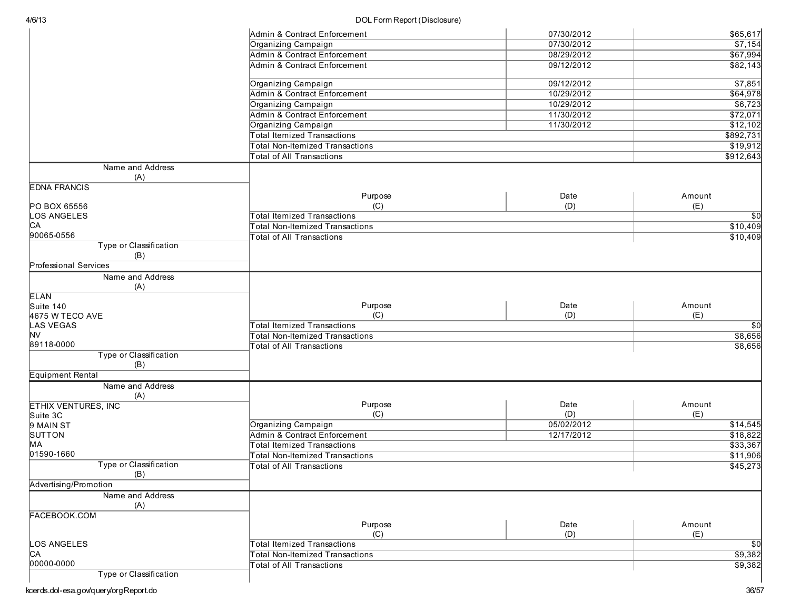| 4/6/13                        | DOL Form Report (Disclosure)           |            |                 |
|-------------------------------|----------------------------------------|------------|-----------------|
|                               | Admin & Contract Enforcement           | 07/30/2012 | \$65,617        |
|                               | Organizing Campaign                    | 07/30/2012 | \$7,154         |
|                               | Admin & Contract Enforcement           | 08/29/2012 | \$67,994        |
|                               | Admin & Contract Enforcement           | 09/12/2012 | \$82,143        |
|                               | Organizing Campaign                    | 09/12/2012 | \$7,851         |
|                               | Admin & Contract Enforcement           | 10/29/2012 | \$64,978        |
|                               | Organizing Campaign                    | 10/29/2012 | \$6,723         |
|                               | Admin & Contract Enforcement           | 11/30/2012 | \$72,071        |
|                               | Organizing Campaign                    | 11/30/2012 | \$12,102        |
|                               | <b>Total Itemized Transactions</b>     |            | \$892,731       |
|                               | <b>Total Non-Itemized Transactions</b> |            | \$19,912        |
|                               | <b>Total of All Transactions</b>       |            | \$912,643       |
| Name and Address              |                                        |            |                 |
| (A)                           |                                        |            |                 |
| <b>EDNA FRANCIS</b>           |                                        |            |                 |
|                               | Purpose                                | Date       | Amount          |
| PO BOX 65556                  | (C)                                    | (D)        | (E)             |
| LOS ANGELES                   | <b>Total Itemized Transactions</b>     |            | $\overline{50}$ |
| CА                            | Total Non-Itemized Transactions        |            | \$10,409        |
| 90065-0556                    | <b>Total of All Transactions</b>       |            | \$10,409        |
| Type or Classification<br>(B) |                                        |            |                 |
| <b>Professional Services</b>  |                                        |            |                 |
| Name and Address              |                                        |            |                 |
| (A)                           |                                        |            |                 |
| <b>ELAN</b>                   |                                        |            |                 |
| Suite 140                     | Purpose                                | Date       | Amount          |
| 4675 W TECO AVE               | (C)                                    | (D)        | (E)             |
| LAS VEGAS                     | <b>Total Itemized Transactions</b>     |            | $\overline{50}$ |
| <b>NV</b>                     | Total Non-Itemized Transactions        |            | \$8,656         |
| 89118-0000                    | <b>Total of All Transactions</b>       |            | \$8,656         |
| Type or Classification<br>(B) |                                        |            |                 |
| <b>Equipment Rental</b>       |                                        |            |                 |
| Name and Address              |                                        |            |                 |
| (A)                           |                                        |            |                 |
| <b>ETHIX VENTURES, INC</b>    | Purpose                                | Date       | Amount          |
| Suite 3C                      | (C)                                    | (D)        | (E)             |
| 9 MAIN ST                     | Organizing Campaign                    | 05/02/2012 | \$14,545        |
| SUTTON                        | Admin & Contract Enforcement           | 12/17/2012 | \$18,822        |
| MA                            | <b>Total Itemized Transactions</b>     |            | \$33,367        |
| 01590-1660                    | <b>Total Non-Itemized Transactions</b> |            | \$11,906        |
| Type or Classification<br>(B) | Total of All Transactions              |            | \$45,273        |
| Advertising/Promotion         |                                        |            |                 |
| Name and Address              |                                        |            |                 |
| (A)                           |                                        |            |                 |
| <b>FACEBOOK.COM</b>           | Purpose                                | Date       | Amount          |
|                               | (C)                                    | (D)        | (E)             |
| LOS ANGELES                   | Total Itemized Transactions            |            | \$0             |
| IСA                           | Total Non-Itemized Transactions        |            | \$9,382         |
| 00000-0000                    | <b>Total of All Transactions</b>       |            | \$9,382         |
| Type or Classification        |                                        |            |                 |
|                               |                                        |            |                 |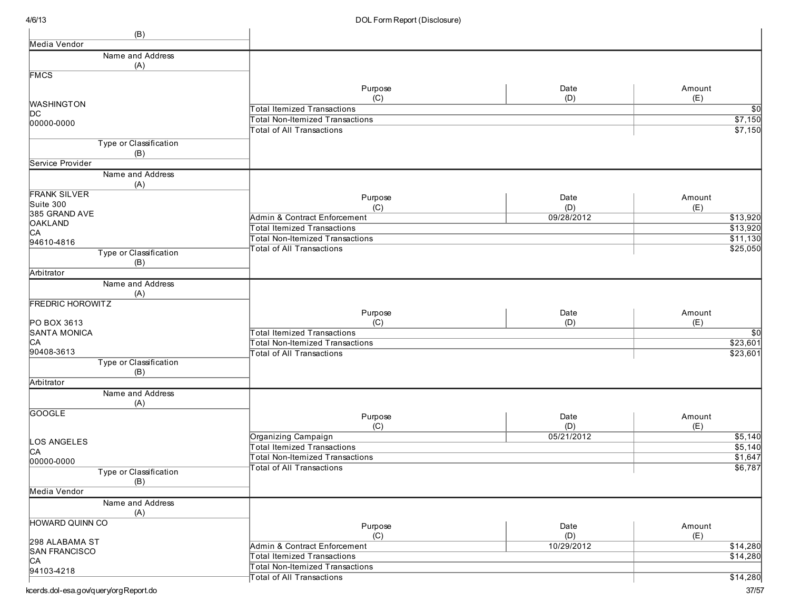| (B)                     |                                        |            |                 |
|-------------------------|----------------------------------------|------------|-----------------|
| Media Vendor            |                                        |            |                 |
| Name and Address        |                                        |            |                 |
| (A)                     |                                        |            |                 |
| <b>FMCS</b>             |                                        |            |                 |
|                         | Purpose                                | Date       | Amount          |
|                         | (C)                                    | (D)        | (E)             |
| <b>WASHINGTON</b>       | <b>Total Itemized Transactions</b>     |            | $\overline{50}$ |
| DC                      | <b>Total Non-Itemized Transactions</b> |            | \$7,150         |
| 00000-0000              |                                        |            |                 |
|                         | <b>Total of All Transactions</b>       |            | \$7,150         |
| Type or Classification  |                                        |            |                 |
| (B)                     |                                        |            |                 |
| Service Provider        |                                        |            |                 |
| Name and Address        |                                        |            |                 |
| (A)                     |                                        |            |                 |
| <b>FRANK SILVER</b>     | Purpose                                | Date       | Amount          |
| Suite 300               | (C)                                    | (D)        | (E)             |
| 385 GRAND AVE           | Admin & Contract Enforcement           | 09/28/2012 | \$13,920        |
| <b>OAKLAND</b>          | <b>Total Itemized Transactions</b>     |            | \$13,920        |
| CA                      |                                        |            |                 |
| 94610-4816              | <b>Total Non-Itemized Transactions</b> |            | \$11,130        |
| Type or Classification  | <b>Total of All Transactions</b>       |            | \$25,050        |
| (B)                     |                                        |            |                 |
| Arbitrator              |                                        |            |                 |
| Name and Address        |                                        |            |                 |
| (A)                     |                                        |            |                 |
| <b>FREDRIC HOROWITZ</b> |                                        |            |                 |
|                         | Purpose                                | Date       | Amount          |
| PO BOX 3613             | (C)                                    | (D)        | (E)             |
| <b>SANTA MONICA</b>     | <b>Total Itemized Transactions</b>     |            | $\overline{30}$ |
| C <sub>A</sub>          | <b>Total Non-Itemized Transactions</b> |            | \$23,601        |
| 90408-3613              | <b>Total of All Transactions</b>       |            | \$23,601        |
| Type or Classification  |                                        |            |                 |
| (B)                     |                                        |            |                 |
| Arbitrator              |                                        |            |                 |
| Name and Address        |                                        |            |                 |
| (A)                     |                                        |            |                 |
| <b>GOOGLE</b>           |                                        |            |                 |
|                         | Purpose                                | Date       | Amount          |
|                         | (C)                                    | (D)        | (E)             |
| LOS ANGELES             | Organizing Campaign                    | 05/21/2012 | \$5,140         |
| C <sub>A</sub>          | <b>Total Itemized Transactions</b>     |            | 55,140          |
| 00000-0000              | <b>Total Non-Itemized Transactions</b> |            | \$1,647         |
| Type or Classification  | <b>Total of All Transactions</b>       |            | \$6,787         |
| (B)                     |                                        |            |                 |
| Media Vendor            |                                        |            |                 |
|                         |                                        |            |                 |
| Name and Address        |                                        |            |                 |
| (A)                     |                                        |            |                 |
| <b>HOWARD QUINN CO</b>  | Purpose                                | Date       | Amount          |
|                         | (C)                                    | (D)        | (E)             |
| 298 ALABAMA ST          | Admin & Contract Enforcement           | 10/29/2012 | \$14,280        |
| <b>SAN FRANCISCO</b>    | <b>Total Itemized Transactions</b>     |            | \$14,280        |
| CA                      | <b>Total Non-Itemized Transactions</b> |            |                 |
| 94103-4218              | <b>Total of All Transactions</b>       |            | \$14,280        |
|                         |                                        |            |                 |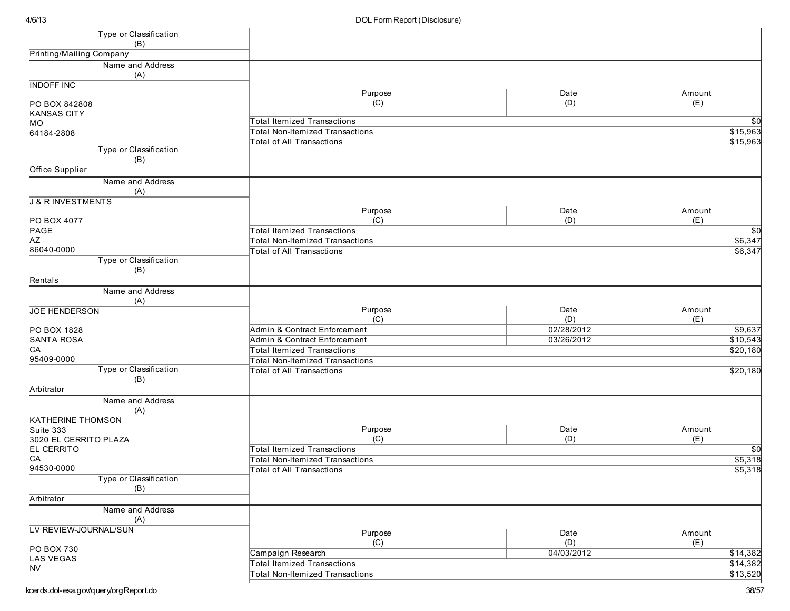| Type or Classification<br>(B) |                                        |            |                 |
|-------------------------------|----------------------------------------|------------|-----------------|
| Printing/Mailing Company      |                                        |            |                 |
| Name and Address              |                                        |            |                 |
| (A)                           |                                        |            |                 |
| <b>INDOFF INC</b>             |                                        |            |                 |
|                               | Purpose                                | Date       | Amount          |
| PO BOX 842808                 | (C)                                    | (D)        | (E)             |
| <b>KANSAS CITY</b>            | <b>Total Itemized Transactions</b>     |            | \$0             |
| MO                            | <b>Total Non-Itemized Transactions</b> |            | \$15,963        |
| 64184-2808                    | <b>Total of All Transactions</b>       |            | \$15,963        |
| Type or Classification        |                                        |            |                 |
| (B)                           |                                        |            |                 |
| Office Supplier               |                                        |            |                 |
| Name and Address              |                                        |            |                 |
| (A)                           |                                        |            |                 |
| <b>J &amp; R INVESTMENTS</b>  |                                        |            |                 |
|                               | Purpose                                | Date       | Amount          |
| PO BOX 4077                   | (C)                                    | (D)        | (E)             |
| PAGE                          | <b>Total Itemized Transactions</b>     |            | \$0             |
| <b>AZ</b>                     | <b>Total Non-Itemized Transactions</b> |            | \$6,347         |
| 86040-0000                    | <b>Total of All Transactions</b>       |            | \$6,347         |
| Type or Classification        |                                        |            |                 |
| (B)                           |                                        |            |                 |
| Rentals                       |                                        |            |                 |
| Name and Address              |                                        |            |                 |
| (A)                           | Purpose                                | Date       | Amount          |
| <b>JOE HENDERSON</b>          | (C)                                    | (D)        | (E)             |
| PO BOX 1828                   | Admin & Contract Enforcement           | 02/28/2012 | \$9,637         |
| <b>SANTA ROSA</b>             | Admin & Contract Enforcement           | 03/26/2012 | \$10,543        |
| CA                            | <b>Total Itemized Transactions</b>     |            | \$20,180        |
| 95409-0000                    | <b>Total Non-Itemized Transactions</b> |            |                 |
| Type or Classification        | <b>Total of All Transactions</b>       |            | \$20,180        |
| (B)                           |                                        |            |                 |
| Arbitrator                    |                                        |            |                 |
| Name and Address              |                                        |            |                 |
| (A)                           |                                        |            |                 |
| <b>KATHERINE THOMSON</b>      |                                        |            |                 |
| Suite 333                     | Purpose                                | Date       | Amount          |
| 3020 EL CERRITO PLAZA         | (C)                                    | (D)        | (E)             |
| <b>EL CERRITO</b>             | <b>Total Itemized Transactions</b>     |            | $\overline{50}$ |
| C <sub>A</sub>                | <b>Total Non-Itemized Transactions</b> |            | \$5,318         |
| 94530-0000                    | <b>Total of All Transactions</b>       |            | \$5,318         |
| Type or Classification        |                                        |            |                 |
| (B)                           |                                        |            |                 |
| Arbitrator                    |                                        |            |                 |
| Name and Address              |                                        |            |                 |
| (A)                           |                                        |            |                 |
| LV REVIEW-JOURNAL/SUN         | Purpose                                | Date       | Amount          |
| PO BOX 730                    | (C)                                    | (D)        | (E)             |
| LAS VEGAS                     | Campaign Research                      | 04/03/2012 | \$14,382        |
| <b>NV</b>                     | <b>Total Itemized Transactions</b>     |            | \$14,382        |
|                               | <b>Total Non-Itemized Transactions</b> |            | \$13,520        |
|                               |                                        |            |                 |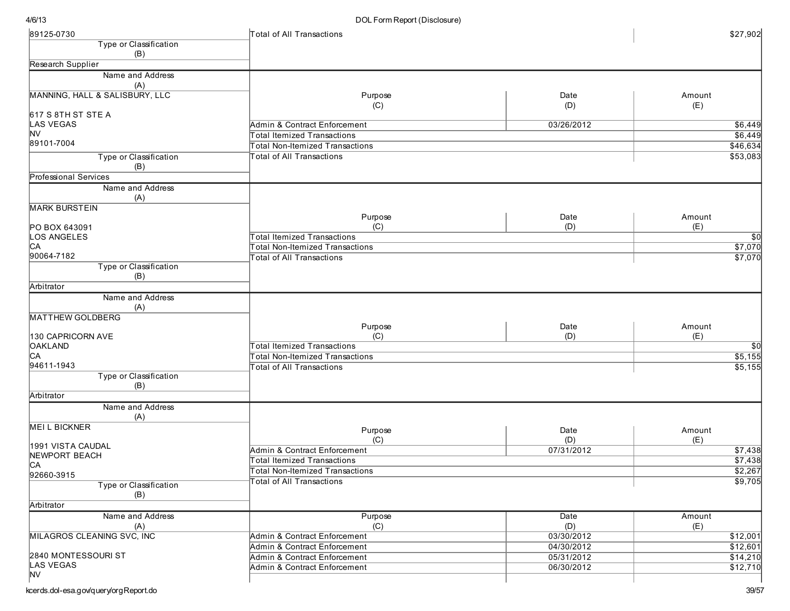| <b>Type or Classification</b><br>(B)<br>Research Supplier<br>Name and Address<br>(A)<br>Purpose<br>Date<br>Amount<br>(D)<br>(E)<br>(C)<br><b>LAS VEGAS</b><br>Admin & Contract Enforcement<br>03/26/2012<br><b>NV</b><br>\$6,449<br>Total Itemized Transactions<br>89101-7004<br>\$46,634<br>Total Non-Itemized Transactions<br>\$53,083<br><b>Total of All Transactions</b><br>Type or Classification<br>(B)<br>Name and Address<br>(A)<br>Purpose<br>Date<br>Amount<br>(C)<br>(D)<br>(E)<br>PO BOX 643091<br>LOS ANGELES<br><b>Total Itemized Transactions</b><br>$\overline{50}$<br>CA<br>\$7,070<br><b>Total Non-Itemized Transactions</b><br>90064-7182<br>\$7,070<br><b>Total of All Transactions</b><br>Type or Classification<br>(B)<br>Arbitrator<br>Name and Address<br>(A)<br><b>MATTHEW GOLDBERG</b><br>Purpose<br>Date<br>Amount<br>(C)<br>(D)<br>(E)<br>130 CAPRICORN AVE<br><b>OAKLAND</b><br><b>Total Itemized Transactions</b><br>$\sqrt{50}$<br>\$5,155<br>Total Non-Itemized Transactions<br>\$5,155<br><b>Total of All Transactions</b><br>Type or Classification<br>(B)<br>Arbitrator<br>Name and Address<br>(A)<br>Purpose<br>Date<br>Amount<br>(C)<br>(D)<br>(E)<br>1991 VISTA CAUDAL<br>Admin & Contract Enforcement<br>07/31/2012<br>\$7,438<br>NEWPORT BEACH<br>\$7,438<br><b>Total Itemized Transactions</b><br>CA<br>\$2,267<br><b>Total Non-Itemized Transactions</b><br>92660-3915<br>Total of All Transactions<br>\$9,705<br>Type or Classification<br>(B)<br>Arbitrator<br>Name and Address<br>Purpose<br>Date<br>Amount<br>(C)<br>(D)<br>(E)<br>(A)<br>MILAGROS CLEANING SVC, INC<br>\$12,001<br>Admin & Contract Enforcement<br>03/30/2012<br>04/30/2012<br>\$12,601<br>Admin & Contract Enforcement<br><b>Admin &amp; Contract Enforcement</b><br>05/31/2012<br>\$14,210<br><b>Admin &amp; Contract Enforcement</b><br>06/30/2012<br>\$12,710 | 89125-0730                     | Total of All Transactions | \$27,902 |
|----------------------------------------------------------------------------------------------------------------------------------------------------------------------------------------------------------------------------------------------------------------------------------------------------------------------------------------------------------------------------------------------------------------------------------------------------------------------------------------------------------------------------------------------------------------------------------------------------------------------------------------------------------------------------------------------------------------------------------------------------------------------------------------------------------------------------------------------------------------------------------------------------------------------------------------------------------------------------------------------------------------------------------------------------------------------------------------------------------------------------------------------------------------------------------------------------------------------------------------------------------------------------------------------------------------------------------------------------------------------------------------------------------------------------------------------------------------------------------------------------------------------------------------------------------------------------------------------------------------------------------------------------------------------------------------------------------------------------------------------------------------------------------------------------------------------------------------------------------------------------------|--------------------------------|---------------------------|----------|
|                                                                                                                                                                                                                                                                                                                                                                                                                                                                                                                                                                                                                                                                                                                                                                                                                                                                                                                                                                                                                                                                                                                                                                                                                                                                                                                                                                                                                                                                                                                                                                                                                                                                                                                                                                                                                                                                                  |                                |                           |          |
|                                                                                                                                                                                                                                                                                                                                                                                                                                                                                                                                                                                                                                                                                                                                                                                                                                                                                                                                                                                                                                                                                                                                                                                                                                                                                                                                                                                                                                                                                                                                                                                                                                                                                                                                                                                                                                                                                  |                                |                           |          |
|                                                                                                                                                                                                                                                                                                                                                                                                                                                                                                                                                                                                                                                                                                                                                                                                                                                                                                                                                                                                                                                                                                                                                                                                                                                                                                                                                                                                                                                                                                                                                                                                                                                                                                                                                                                                                                                                                  |                                |                           |          |
|                                                                                                                                                                                                                                                                                                                                                                                                                                                                                                                                                                                                                                                                                                                                                                                                                                                                                                                                                                                                                                                                                                                                                                                                                                                                                                                                                                                                                                                                                                                                                                                                                                                                                                                                                                                                                                                                                  |                                |                           |          |
|                                                                                                                                                                                                                                                                                                                                                                                                                                                                                                                                                                                                                                                                                                                                                                                                                                                                                                                                                                                                                                                                                                                                                                                                                                                                                                                                                                                                                                                                                                                                                                                                                                                                                                                                                                                                                                                                                  | MANNING, HALL & SALISBURY, LLC |                           |          |
|                                                                                                                                                                                                                                                                                                                                                                                                                                                                                                                                                                                                                                                                                                                                                                                                                                                                                                                                                                                                                                                                                                                                                                                                                                                                                                                                                                                                                                                                                                                                                                                                                                                                                                                                                                                                                                                                                  |                                |                           |          |
|                                                                                                                                                                                                                                                                                                                                                                                                                                                                                                                                                                                                                                                                                                                                                                                                                                                                                                                                                                                                                                                                                                                                                                                                                                                                                                                                                                                                                                                                                                                                                                                                                                                                                                                                                                                                                                                                                  | 617 S 8TH ST STE A             |                           |          |
|                                                                                                                                                                                                                                                                                                                                                                                                                                                                                                                                                                                                                                                                                                                                                                                                                                                                                                                                                                                                                                                                                                                                                                                                                                                                                                                                                                                                                                                                                                                                                                                                                                                                                                                                                                                                                                                                                  |                                |                           | \$6,449  |
|                                                                                                                                                                                                                                                                                                                                                                                                                                                                                                                                                                                                                                                                                                                                                                                                                                                                                                                                                                                                                                                                                                                                                                                                                                                                                                                                                                                                                                                                                                                                                                                                                                                                                                                                                                                                                                                                                  |                                |                           |          |
|                                                                                                                                                                                                                                                                                                                                                                                                                                                                                                                                                                                                                                                                                                                                                                                                                                                                                                                                                                                                                                                                                                                                                                                                                                                                                                                                                                                                                                                                                                                                                                                                                                                                                                                                                                                                                                                                                  |                                |                           |          |
|                                                                                                                                                                                                                                                                                                                                                                                                                                                                                                                                                                                                                                                                                                                                                                                                                                                                                                                                                                                                                                                                                                                                                                                                                                                                                                                                                                                                                                                                                                                                                                                                                                                                                                                                                                                                                                                                                  |                                |                           |          |
|                                                                                                                                                                                                                                                                                                                                                                                                                                                                                                                                                                                                                                                                                                                                                                                                                                                                                                                                                                                                                                                                                                                                                                                                                                                                                                                                                                                                                                                                                                                                                                                                                                                                                                                                                                                                                                                                                  | Professional Services          |                           |          |
|                                                                                                                                                                                                                                                                                                                                                                                                                                                                                                                                                                                                                                                                                                                                                                                                                                                                                                                                                                                                                                                                                                                                                                                                                                                                                                                                                                                                                                                                                                                                                                                                                                                                                                                                                                                                                                                                                  |                                |                           |          |
|                                                                                                                                                                                                                                                                                                                                                                                                                                                                                                                                                                                                                                                                                                                                                                                                                                                                                                                                                                                                                                                                                                                                                                                                                                                                                                                                                                                                                                                                                                                                                                                                                                                                                                                                                                                                                                                                                  |                                |                           |          |
|                                                                                                                                                                                                                                                                                                                                                                                                                                                                                                                                                                                                                                                                                                                                                                                                                                                                                                                                                                                                                                                                                                                                                                                                                                                                                                                                                                                                                                                                                                                                                                                                                                                                                                                                                                                                                                                                                  | <b>MARK BURSTEIN</b>           |                           |          |
|                                                                                                                                                                                                                                                                                                                                                                                                                                                                                                                                                                                                                                                                                                                                                                                                                                                                                                                                                                                                                                                                                                                                                                                                                                                                                                                                                                                                                                                                                                                                                                                                                                                                                                                                                                                                                                                                                  |                                |                           |          |
|                                                                                                                                                                                                                                                                                                                                                                                                                                                                                                                                                                                                                                                                                                                                                                                                                                                                                                                                                                                                                                                                                                                                                                                                                                                                                                                                                                                                                                                                                                                                                                                                                                                                                                                                                                                                                                                                                  |                                |                           |          |
|                                                                                                                                                                                                                                                                                                                                                                                                                                                                                                                                                                                                                                                                                                                                                                                                                                                                                                                                                                                                                                                                                                                                                                                                                                                                                                                                                                                                                                                                                                                                                                                                                                                                                                                                                                                                                                                                                  |                                |                           |          |
|                                                                                                                                                                                                                                                                                                                                                                                                                                                                                                                                                                                                                                                                                                                                                                                                                                                                                                                                                                                                                                                                                                                                                                                                                                                                                                                                                                                                                                                                                                                                                                                                                                                                                                                                                                                                                                                                                  |                                |                           |          |
|                                                                                                                                                                                                                                                                                                                                                                                                                                                                                                                                                                                                                                                                                                                                                                                                                                                                                                                                                                                                                                                                                                                                                                                                                                                                                                                                                                                                                                                                                                                                                                                                                                                                                                                                                                                                                                                                                  |                                |                           |          |
|                                                                                                                                                                                                                                                                                                                                                                                                                                                                                                                                                                                                                                                                                                                                                                                                                                                                                                                                                                                                                                                                                                                                                                                                                                                                                                                                                                                                                                                                                                                                                                                                                                                                                                                                                                                                                                                                                  |                                |                           |          |
|                                                                                                                                                                                                                                                                                                                                                                                                                                                                                                                                                                                                                                                                                                                                                                                                                                                                                                                                                                                                                                                                                                                                                                                                                                                                                                                                                                                                                                                                                                                                                                                                                                                                                                                                                                                                                                                                                  |                                |                           |          |
|                                                                                                                                                                                                                                                                                                                                                                                                                                                                                                                                                                                                                                                                                                                                                                                                                                                                                                                                                                                                                                                                                                                                                                                                                                                                                                                                                                                                                                                                                                                                                                                                                                                                                                                                                                                                                                                                                  |                                |                           |          |
|                                                                                                                                                                                                                                                                                                                                                                                                                                                                                                                                                                                                                                                                                                                                                                                                                                                                                                                                                                                                                                                                                                                                                                                                                                                                                                                                                                                                                                                                                                                                                                                                                                                                                                                                                                                                                                                                                  |                                |                           |          |
|                                                                                                                                                                                                                                                                                                                                                                                                                                                                                                                                                                                                                                                                                                                                                                                                                                                                                                                                                                                                                                                                                                                                                                                                                                                                                                                                                                                                                                                                                                                                                                                                                                                                                                                                                                                                                                                                                  |                                |                           |          |
|                                                                                                                                                                                                                                                                                                                                                                                                                                                                                                                                                                                                                                                                                                                                                                                                                                                                                                                                                                                                                                                                                                                                                                                                                                                                                                                                                                                                                                                                                                                                                                                                                                                                                                                                                                                                                                                                                  |                                |                           |          |
|                                                                                                                                                                                                                                                                                                                                                                                                                                                                                                                                                                                                                                                                                                                                                                                                                                                                                                                                                                                                                                                                                                                                                                                                                                                                                                                                                                                                                                                                                                                                                                                                                                                                                                                                                                                                                                                                                  |                                |                           |          |
|                                                                                                                                                                                                                                                                                                                                                                                                                                                                                                                                                                                                                                                                                                                                                                                                                                                                                                                                                                                                                                                                                                                                                                                                                                                                                                                                                                                                                                                                                                                                                                                                                                                                                                                                                                                                                                                                                  | C <sub>A</sub>                 |                           |          |
|                                                                                                                                                                                                                                                                                                                                                                                                                                                                                                                                                                                                                                                                                                                                                                                                                                                                                                                                                                                                                                                                                                                                                                                                                                                                                                                                                                                                                                                                                                                                                                                                                                                                                                                                                                                                                                                                                  | 94611-1943                     |                           |          |
|                                                                                                                                                                                                                                                                                                                                                                                                                                                                                                                                                                                                                                                                                                                                                                                                                                                                                                                                                                                                                                                                                                                                                                                                                                                                                                                                                                                                                                                                                                                                                                                                                                                                                                                                                                                                                                                                                  |                                |                           |          |
|                                                                                                                                                                                                                                                                                                                                                                                                                                                                                                                                                                                                                                                                                                                                                                                                                                                                                                                                                                                                                                                                                                                                                                                                                                                                                                                                                                                                                                                                                                                                                                                                                                                                                                                                                                                                                                                                                  |                                |                           |          |
|                                                                                                                                                                                                                                                                                                                                                                                                                                                                                                                                                                                                                                                                                                                                                                                                                                                                                                                                                                                                                                                                                                                                                                                                                                                                                                                                                                                                                                                                                                                                                                                                                                                                                                                                                                                                                                                                                  |                                |                           |          |
|                                                                                                                                                                                                                                                                                                                                                                                                                                                                                                                                                                                                                                                                                                                                                                                                                                                                                                                                                                                                                                                                                                                                                                                                                                                                                                                                                                                                                                                                                                                                                                                                                                                                                                                                                                                                                                                                                  |                                |                           |          |
|                                                                                                                                                                                                                                                                                                                                                                                                                                                                                                                                                                                                                                                                                                                                                                                                                                                                                                                                                                                                                                                                                                                                                                                                                                                                                                                                                                                                                                                                                                                                                                                                                                                                                                                                                                                                                                                                                  | <b>MEILBICKNER</b>             |                           |          |
|                                                                                                                                                                                                                                                                                                                                                                                                                                                                                                                                                                                                                                                                                                                                                                                                                                                                                                                                                                                                                                                                                                                                                                                                                                                                                                                                                                                                                                                                                                                                                                                                                                                                                                                                                                                                                                                                                  |                                |                           |          |
|                                                                                                                                                                                                                                                                                                                                                                                                                                                                                                                                                                                                                                                                                                                                                                                                                                                                                                                                                                                                                                                                                                                                                                                                                                                                                                                                                                                                                                                                                                                                                                                                                                                                                                                                                                                                                                                                                  |                                |                           |          |
|                                                                                                                                                                                                                                                                                                                                                                                                                                                                                                                                                                                                                                                                                                                                                                                                                                                                                                                                                                                                                                                                                                                                                                                                                                                                                                                                                                                                                                                                                                                                                                                                                                                                                                                                                                                                                                                                                  |                                |                           |          |
|                                                                                                                                                                                                                                                                                                                                                                                                                                                                                                                                                                                                                                                                                                                                                                                                                                                                                                                                                                                                                                                                                                                                                                                                                                                                                                                                                                                                                                                                                                                                                                                                                                                                                                                                                                                                                                                                                  |                                |                           |          |
|                                                                                                                                                                                                                                                                                                                                                                                                                                                                                                                                                                                                                                                                                                                                                                                                                                                                                                                                                                                                                                                                                                                                                                                                                                                                                                                                                                                                                                                                                                                                                                                                                                                                                                                                                                                                                                                                                  |                                |                           |          |
|                                                                                                                                                                                                                                                                                                                                                                                                                                                                                                                                                                                                                                                                                                                                                                                                                                                                                                                                                                                                                                                                                                                                                                                                                                                                                                                                                                                                                                                                                                                                                                                                                                                                                                                                                                                                                                                                                  |                                |                           |          |
|                                                                                                                                                                                                                                                                                                                                                                                                                                                                                                                                                                                                                                                                                                                                                                                                                                                                                                                                                                                                                                                                                                                                                                                                                                                                                                                                                                                                                                                                                                                                                                                                                                                                                                                                                                                                                                                                                  |                                |                           |          |
|                                                                                                                                                                                                                                                                                                                                                                                                                                                                                                                                                                                                                                                                                                                                                                                                                                                                                                                                                                                                                                                                                                                                                                                                                                                                                                                                                                                                                                                                                                                                                                                                                                                                                                                                                                                                                                                                                  |                                |                           |          |
|                                                                                                                                                                                                                                                                                                                                                                                                                                                                                                                                                                                                                                                                                                                                                                                                                                                                                                                                                                                                                                                                                                                                                                                                                                                                                                                                                                                                                                                                                                                                                                                                                                                                                                                                                                                                                                                                                  |                                |                           |          |
|                                                                                                                                                                                                                                                                                                                                                                                                                                                                                                                                                                                                                                                                                                                                                                                                                                                                                                                                                                                                                                                                                                                                                                                                                                                                                                                                                                                                                                                                                                                                                                                                                                                                                                                                                                                                                                                                                  |                                |                           |          |
|                                                                                                                                                                                                                                                                                                                                                                                                                                                                                                                                                                                                                                                                                                                                                                                                                                                                                                                                                                                                                                                                                                                                                                                                                                                                                                                                                                                                                                                                                                                                                                                                                                                                                                                                                                                                                                                                                  |                                |                           |          |
|                                                                                                                                                                                                                                                                                                                                                                                                                                                                                                                                                                                                                                                                                                                                                                                                                                                                                                                                                                                                                                                                                                                                                                                                                                                                                                                                                                                                                                                                                                                                                                                                                                                                                                                                                                                                                                                                                  | 2840 MONTESSOURI ST            |                           |          |
|                                                                                                                                                                                                                                                                                                                                                                                                                                                                                                                                                                                                                                                                                                                                                                                                                                                                                                                                                                                                                                                                                                                                                                                                                                                                                                                                                                                                                                                                                                                                                                                                                                                                                                                                                                                                                                                                                  | <b>LAS VEGAS</b>               |                           |          |
|                                                                                                                                                                                                                                                                                                                                                                                                                                                                                                                                                                                                                                                                                                                                                                                                                                                                                                                                                                                                                                                                                                                                                                                                                                                                                                                                                                                                                                                                                                                                                                                                                                                                                                                                                                                                                                                                                  | <b>NV</b>                      |                           |          |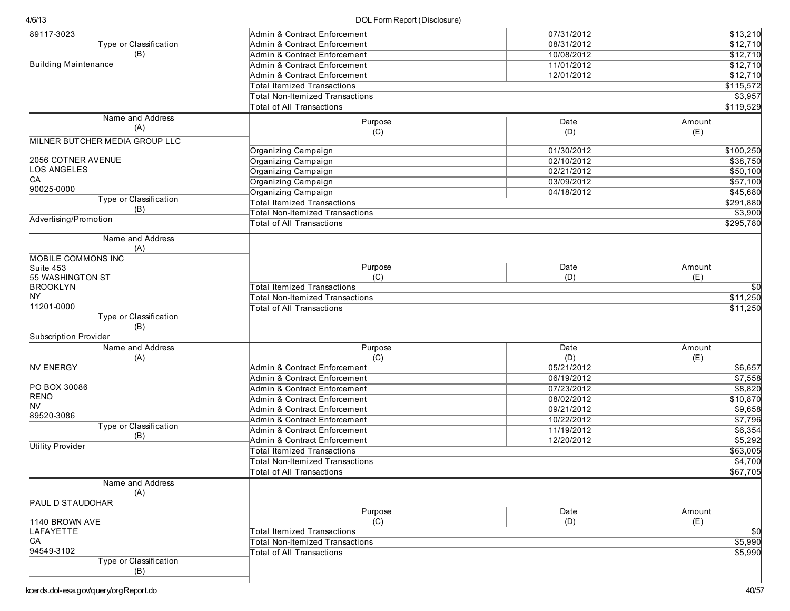| 89117-3023                          | Admin & Contract Enforcement           | 07/31/2012 | \$13,210  |
|-------------------------------------|----------------------------------------|------------|-----------|
| <b>Type or Classification</b>       | Admin & Contract Enforcement           | 08/31/2012 | \$12,710  |
| (B)                                 | Admin & Contract Enforcement           | 10/08/2012 | \$12,710  |
| <b>Building Maintenance</b>         | Admin & Contract Enforcement           | 11/01/2012 | \$12,710  |
|                                     | Admin & Contract Enforcement           | 12/01/2012 | \$12,710  |
|                                     | <b>Total Itemized Transactions</b>     |            | \$115,572 |
|                                     | <b>Total Non-Itemized Transactions</b> |            | \$3,957   |
|                                     | <b>Total of All Transactions</b>       |            | \$119,529 |
| Name and Address                    | Purpose                                | Date       | Amount    |
| (A)                                 | (C)                                    | (D)        | (E)       |
| MILNER BUTCHER MEDIA GROUP LLC      |                                        |            |           |
|                                     | Organizing Campaign                    | 01/30/2012 | \$100,250 |
| 2056 COTNER AVENUE                  | Organizing Campaign                    | 02/10/2012 | \$38,750  |
| <b>OS ANGELES</b>                   | Organizing Campaign                    | 02/21/2012 | \$50,100  |
| CА                                  | Organizing Campaign                    | 03/09/2012 | \$57,100  |
| 90025-0000                          | Organizing Campaign                    | 04/18/2012 | \$45,680  |
| Type or Classification              | <b>Total Itemized Transactions</b>     |            | \$291,880 |
| (B)                                 | <b>Total Non-Itemized Transactions</b> |            | \$3,900   |
| Advertising/Promotion               | <b>Total of All Transactions</b>       |            | \$295,780 |
|                                     |                                        |            |           |
| Name and Address                    |                                        |            |           |
| (A)                                 |                                        |            |           |
| <b>MOBILE COMMONS INC</b>           |                                        | Date       | Amount    |
| Suite 453                           | Purpose<br>(C)                         |            | (E)       |
| 55 WASHINGTON ST<br><b>BROOKLYN</b> | <b>Total Itemized Transactions</b>     | (D)        | \$0       |
| NY.                                 | <b>Total Non-Itemized Transactions</b> |            |           |
| 11201-0000                          | Total of All Transactions              |            | \$11,250  |
| Type or Classification              |                                        |            | \$11,250  |
| (B)                                 |                                        |            |           |
| Subscription Provider               |                                        |            |           |
| Name and Address                    | Purpose                                | Date       | Amount    |
| (A)                                 | (C)                                    | (D)        | (E)       |
| <b>NV ENERGY</b>                    | Admin & Contract Enforcement           | 05/21/2012 | \$6,657   |
|                                     | Admin & Contract Enforcement           | 06/19/2012 | \$7,558   |
| PO BOX 30086                        | Admin & Contract Enforcement           | 07/23/2012 | \$8,820   |
| RENO                                | Admin & Contract Enforcement           | 08/02/2012 | \$10,870  |
| <b>NV</b>                           | Admin & Contract Enforcement           | 09/21/2012 | \$9,658   |
| 89520-3086                          | Admin & Contract Enforcement           | 10/22/2012 | \$7,796   |
| Type or Classification              | Admin & Contract Enforcement           | 11/19/2012 | \$6,354   |
| (B)                                 | Admin & Contract Enforcement           | 12/20/2012 | \$5,292   |
| <b>Utility Provider</b>             |                                        |            | \$63,005  |
|                                     | <b>Total Itemized Transactions</b>     |            |           |
|                                     | <b>Total Non-Itemized Transactions</b> |            | \$4,700   |
|                                     | <b>Total of All Transactions</b>       |            | \$67,705  |
| Name and Address                    |                                        |            |           |
| (A)                                 |                                        |            |           |
| PAUL D STAUDOHAR                    | Purpose                                | Date       | Amount    |
| 1140 BROWN AVE                      | (C)                                    | (D)        | (E)       |
| LAFAYETTE                           | <b>Total Itemized Transactions</b>     |            | \$0       |
| CА                                  | <b>Total Non-Itemized Transactions</b> |            | \$5,990   |
| 94549-3102                          | Total of All Transactions              |            |           |
| Type or Classification              |                                        |            | \$5,990   |
| (B)                                 |                                        |            |           |
|                                     |                                        |            |           |
|                                     |                                        |            |           |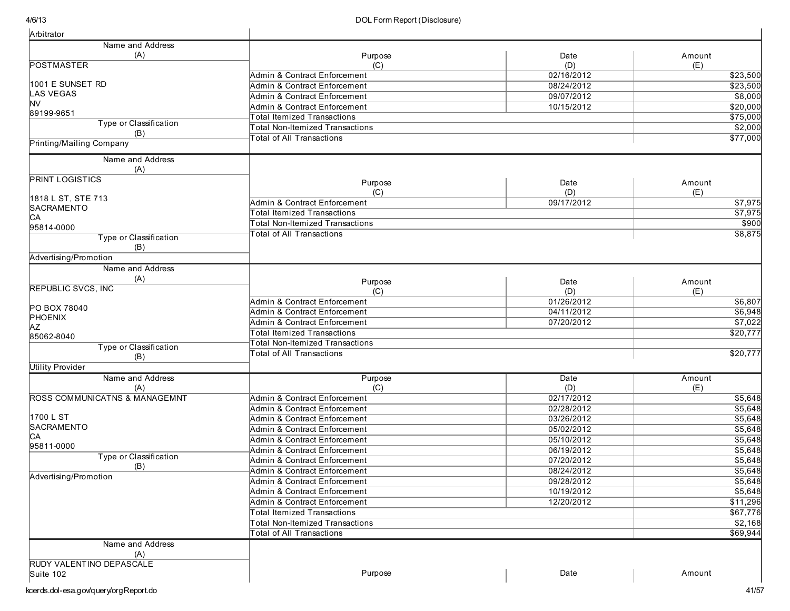| Arbitrator                               |                                        |            |                     |
|------------------------------------------|----------------------------------------|------------|---------------------|
| Name and Address                         |                                        |            |                     |
| (A)                                      | Purpose                                | Date       | Amount              |
| <b>POSTMASTER</b>                        | (C)                                    | (D)        | (E)                 |
|                                          | Admin & Contract Enforcement           | 02/16/2012 | \$23,500            |
| 1001 E SUNSET RD                         | Admin & Contract Enforcement           | 08/24/2012 | \$23,500            |
| <b>LAS VEGAS</b>                         | Admin & Contract Enforcement           | 09/07/2012 | \$8,000             |
| ΝV                                       | Admin & Contract Enforcement           | 10/15/2012 | \$20,000            |
| 89199-9651                               | <b>Total Itemized Transactions</b>     |            | \$75,000            |
| Type or Classification                   | <b>Total Non-Itemized Transactions</b> |            | \$2,000             |
| (B)<br>Printing/Mailing Company          | otal of All Transactions               |            | \$77,000            |
| Name and Address                         |                                        |            |                     |
| (A)                                      |                                        |            |                     |
| <b>PRINT LOGISTICS</b>                   | Purpose                                | Date       | Amount              |
|                                          | (C)                                    | (D)        | (E)                 |
| 1818 L ST, STE 713                       | Admin & Contract Enforcement           | 09/17/2012 | \$7,975             |
| <b>SACRAMENTO</b>                        | <b>Total Itemized Transactions</b>     |            | \$7,975             |
| <b>CA</b>                                | <b>Total Non-Itemized Transactions</b> |            | \$900               |
| 95814-0000                               | <b>Total of All Transactions</b>       |            | \$8,875             |
| Type or Classification                   |                                        |            |                     |
| (B)                                      |                                        |            |                     |
| Advertising/Promotion                    |                                        |            |                     |
| Name and Address                         |                                        |            |                     |
| (A)                                      | Purpose                                | Date       | Amount              |
| <b>REPUBLIC SVCS, INC</b>                | (C)                                    | (D)        | (E)                 |
|                                          | Admin & Contract Enforcement           | 01/26/2012 | \$6,807             |
| PO BOX 78040                             | Admin & Contract Enforcement           | 04/11/2012 | \$6,948             |
| PHOENIX<br>AΖ                            | Admin & Contract Enforcement           | 07/20/2012 | \$7,022             |
| 85062-8040                               | <b>Total Itemized Transactions</b>     |            | \$20,777            |
| Type or Classification                   | otal Non-Itemized Transactions         |            |                     |
| (B)                                      | <b>Total of All Transactions</b>       |            | \$20,777            |
| <b>Utility Provider</b>                  |                                        |            |                     |
| Name and Address                         | Purpose                                | Date       | Amount              |
| (A)                                      | (C)                                    | (D)        | (E)                 |
| <b>ROSS COMMUNICATNS &amp; MANAGEMNT</b> | Admin & Contract Enforcement           | 02/17/2012 | \$5,648             |
|                                          | Admin & Contract Enforcement           | 02/28/2012 | \$5,648             |
| 1700 L ST                                | Admin & Contract Enforcement           | 03/26/2012 | \$5,648             |
| SACRAMENTO                               | Admin & Contract Enforcement           | 05/02/2012 | \$5,648             |
| CA                                       | Admin & Contract Enforcement           | 05/10/2012 | \$5,648             |
| 95811-0000                               | Admin & Contract Enforcement           | 06/19/2012 | \$5,648             |
| Type or Classification                   | Admin & Contract Enforcement           | 07/20/2012 | \$5,648             |
| (B)                                      | Admin & Contract Enforcement           | 08/24/2012 | \$5,648             |
| Advertising/Promotion                    |                                        |            | \$5,648             |
|                                          | Admin & Contract Enforcement           | 09/28/2012 |                     |
|                                          | Admin & Contract Enforcement           | 10/19/2012 | \$5,648<br>\$11,296 |
|                                          | Admin & Contract Enforcement           | 12/20/2012 |                     |
|                                          | Total Itemized Transactions            |            | \$67,776            |
|                                          | Total Non-Itemized Transactions        |            | \$2,168             |
|                                          | Total of All Transactions              |            | \$69,944            |
| Name and Address                         |                                        |            |                     |
| (A)                                      |                                        |            |                     |
| RUDY VALENTINO DEPASCALE                 | Purpose                                | Date       | Amount              |
| Suite 102                                |                                        |            |                     |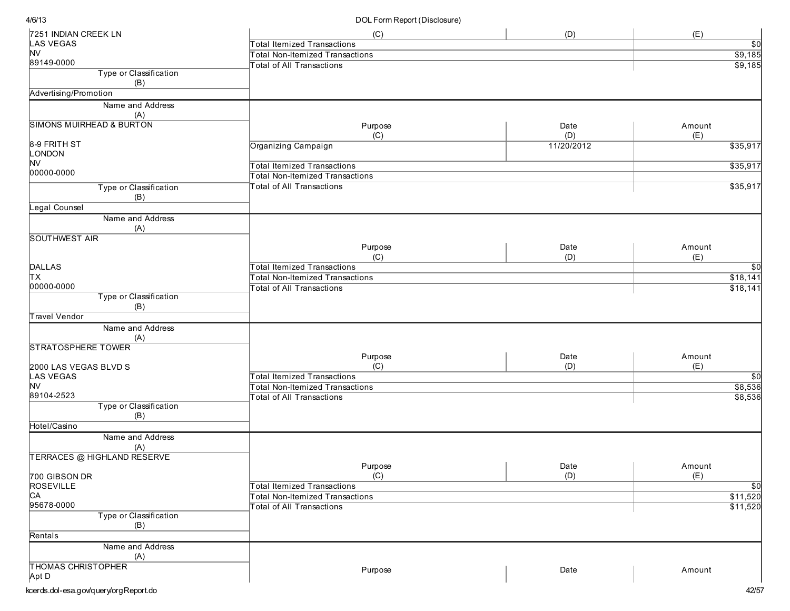| 7251 INDIAN CREEK LN                | (C)                                    | (D)        | (E)              |
|-------------------------------------|----------------------------------------|------------|------------------|
| LAS VEGAS                           | <b>Total Itemized Transactions</b>     |            | $\overline{50}$  |
| <b>NV</b>                           | <b>Total Non-Itemized Transactions</b> |            | \$9,185          |
| 89149-0000                          | <b>Total of All Transactions</b>       |            | \$9,185          |
| Type or Classification<br>(B)       |                                        |            |                  |
| Advertising/Promotion               |                                        |            |                  |
| Name and Address                    |                                        |            |                  |
| (A)                                 |                                        |            |                  |
| <b>SIMONS MUIRHEAD &amp; BURTON</b> | Purpose                                | Date       | Amount           |
|                                     | (C)                                    | (D)        | (E)              |
| 8-9 FRITH ST                        | Organizing Campaign                    | 11/20/2012 | \$35,917         |
| LONDON                              |                                        |            |                  |
| <b>NV</b>                           | <b>Total Itemized Transactions</b>     |            | \$35,917         |
| 00000-0000                          | <b>Total Non-Itemized Transactions</b> |            |                  |
| Type or Classification              | <b>Total of All Transactions</b>       |            | \$35,917         |
| (B)                                 |                                        |            |                  |
| Legal Counsel                       |                                        |            |                  |
| Name and Address                    |                                        |            |                  |
| (A)                                 |                                        |            |                  |
| <b>SOUTHWEST AIR</b>                |                                        |            |                  |
|                                     | Purpose                                | Date       | Amount           |
|                                     | (C)                                    | (D)        | (E)              |
| DALLAS                              | <b>Total Itemized Transactions</b>     |            | $\overline{30}$  |
| ΙTΧ                                 | <b>Total Non-Itemized Transactions</b> |            | \$18,141         |
| 00000-0000                          | <b>Total of All Transactions</b>       |            | \$18,141         |
| Type or Classification              |                                        |            |                  |
| (B)                                 |                                        |            |                  |
| <b>Travel Vendor</b>                |                                        |            |                  |
| Name and Address                    |                                        |            |                  |
| (A)                                 |                                        |            |                  |
| <b>STRATOSPHERE TOWER</b>           |                                        |            |                  |
|                                     | Purpose                                | Date       | Amount           |
| 2000 LAS VEGAS BLVD S               | (C)                                    | (D)        | (E)              |
| LAS VEGAS                           | <b>Total Itemized Transactions</b>     |            | $\overline{50}$  |
| <b>NV</b>                           | <b>Total Non-Itemized Transactions</b> |            | \$8,536          |
| 89104-2523                          | Total of All Transactions              |            | \$8,536          |
| Type or Classification<br>(B)       |                                        |            |                  |
| Hotel/Casino                        |                                        |            |                  |
| Name and Address                    |                                        |            |                  |
| (A)                                 |                                        |            |                  |
| <b>TERRACES @ HIGHLAND RESERVE</b>  |                                        |            |                  |
|                                     | Purpose                                | Date       | Amount           |
| 700 GIBSON DR                       | (C)                                    | (D)        | (E)              |
| ROSEVILLE                           | Total Itemized Transactions            |            | $\overline{\$0}$ |
| CA                                  | <b>Total Non-Itemized Transactions</b> |            | \$11,520         |
| 95678-0000                          | <b>Total of All Transactions</b>       |            | \$11,520         |
| Type or Classification              |                                        |            |                  |
| (B)                                 |                                        |            |                  |
| Rentals                             |                                        |            |                  |
| Name and Address                    |                                        |            |                  |
| (A)                                 |                                        |            |                  |
| <b>THOMAS CHRISTOPHER</b>           | Purpose                                | Date       | Amount           |
| Apt D                               |                                        |            |                  |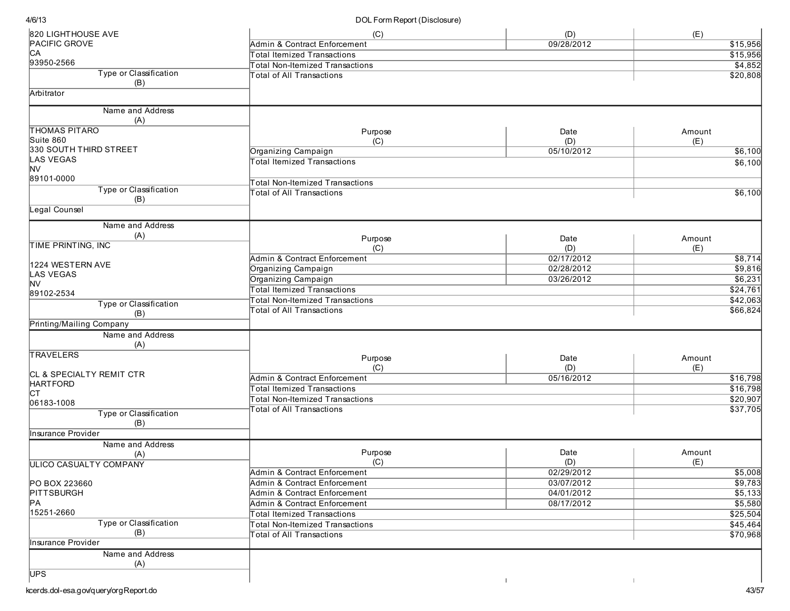| 820 LIGHTHOUSE AVE                | (C)                                                                        | (D)        | (E)                  |
|-----------------------------------|----------------------------------------------------------------------------|------------|----------------------|
| <b>PACIFIC GROVE</b>              | Admin & Contract Enforcement                                               | 09/28/2012 | \$15,956             |
| CA                                | <b>Total Itemized Transactions</b>                                         |            | \$15,956             |
| 93950-2566                        | <b>Total Non-Itemized Transactions</b>                                     |            | \$4,852              |
| Type or Classification            | <b>Total of All Transactions</b>                                           |            | \$20,808             |
| (B)                               |                                                                            |            |                      |
| Arbitrator                        |                                                                            |            |                      |
| Name and Address                  |                                                                            |            |                      |
| (A)                               |                                                                            |            |                      |
| <b>THOMAS PITARO</b><br>Suite 860 | Purpose                                                                    | Date       | Amount               |
| 330 SOUTH THIRD STREET            | (C)                                                                        | (D)        | (E)                  |
| LAS VEGAS                         | Organizing Campaign                                                        | 05/10/2012 | \$6,100              |
| NV                                | <b>Total Itemized Transactions</b>                                         |            | \$6,100              |
| 89101-0000                        |                                                                            |            |                      |
| Type or Classification            | <b>Total Non-Itemized Transactions</b>                                     |            |                      |
| (B)                               | <b>Total of All Transactions</b>                                           |            | \$6,100              |
| Legal Counsel                     |                                                                            |            |                      |
| Name and Address                  |                                                                            |            |                      |
| (A)                               | Purpose                                                                    | Date       | Amount               |
| TIME PRINTING, INC                | (C)                                                                        | (D)        | (E)                  |
|                                   | Admin & Contract Enforcement                                               | 02/17/2012 | \$8,714              |
| 1224 WESTERN AVE                  | Organizing Campaign                                                        | 02/28/2012 | \$9,816              |
| <b>LAS VEGAS</b>                  | Organizing Campaign                                                        | 03/26/2012 | \$6,231              |
| NV                                | <b>Total Itemized Transactions</b>                                         |            | \$24,761             |
| 89102-2534                        | <b>Total Non-Itemized Transactions</b>                                     |            | \$42,063             |
| Type or Classification            | <b>Total of All Transactions</b>                                           |            | \$66,824             |
| (B)<br>Printing/Mailing Company   |                                                                            |            |                      |
|                                   |                                                                            |            |                      |
| Name and Address<br>(A)           |                                                                            |            |                      |
| <b>TRAVELERS</b>                  | Purpose                                                                    | Date       | Amount               |
|                                   | (C)                                                                        | (D)        | (E)                  |
| CL & SPECIALTY REMIT CTR          | Admin & Contract Enforcement                                               | 05/16/2012 | \$16,798             |
| <b>HARTFORD</b>                   | <b>Total Itemized Transactions</b>                                         |            | \$16,798             |
| lст                               | <b>Total Non-Itemized Transactions</b>                                     |            | \$20,907             |
| 06183-1008                        | <b>Total of All Transactions</b>                                           |            | \$37,705             |
| Type or Classification            |                                                                            |            |                      |
| (B)                               |                                                                            |            |                      |
| Insurance Provider                |                                                                            |            |                      |
| Name and Address                  | Purpose                                                                    | Date       | Amount               |
| (A)                               | (C)                                                                        | (D)        | (E)                  |
| ULICO CASUALTY COMPANY            | Admin & Contract Enforcement                                               | 02/29/2012 | \$5,008              |
| PO BOX 223660                     | Admin & Contract Enforcement                                               | 03/07/2012 | \$9,783              |
| <b>PITTSBURGH</b>                 | Admin & Contract Enforcement                                               | 04/01/2012 | \$5,133              |
| PA                                | Admin & Contract Enforcement                                               | 08/17/2012 |                      |
| 15251-2660                        | <b>Total Itemized Transactions</b>                                         |            | \$5,580<br>\$25,504  |
| Type or Classification            |                                                                            |            |                      |
| (B)                               | <b>Total Non-Itemized Transactions</b><br><b>Total of All Transactions</b> |            | \$45,464<br>\$70,968 |
| Insurance Provider                |                                                                            |            |                      |
| Name and Address                  |                                                                            |            |                      |
| (A)                               |                                                                            |            |                      |
| <b>UPS</b>                        |                                                                            |            |                      |
|                                   |                                                                            |            |                      |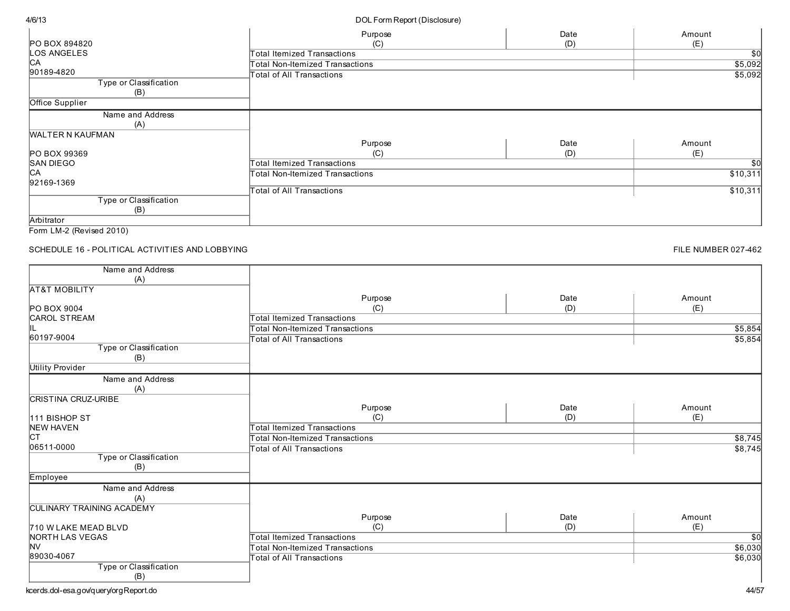|                          | Purpose                            | Date | Amount   |
|--------------------------|------------------------------------|------|----------|
| <b>PO BOX 894820</b>     | (C)                                | (D)  | (E)      |
| LOS ANGELES              | Total Itemized Transactions        |      | \$0      |
| <b>CA</b>                | Total Non-Itemized Transactions    |      | \$5,092  |
| 90189-4820               | Total of All Transactions          |      | \$5,092  |
| Type or Classification   |                                    |      |          |
| (B)                      |                                    |      |          |
| Office Supplier          |                                    |      |          |
| Name and Address         |                                    |      |          |
| (A)                      |                                    |      |          |
| <b>WALTER N KAUFMAN</b>  |                                    |      |          |
|                          | Purpose                            | Date | Amount   |
| <b>PO BOX 99369</b>      | (C)                                | (D)  | (E)      |
| <b>SAN DIEGO</b>         | <b>Total Itemized Transactions</b> |      | \$0      |
| C <sub>A</sub>           | Total Non-Itemized Transactions    |      | \$10,311 |
| 92169-1369               |                                    |      |          |
|                          | Total of All Transactions          |      | \$10,311 |
| Type or Classification   |                                    |      |          |
| (B)                      |                                    |      |          |
| Arbitrator               |                                    |      |          |
| Form LM-2 (Revised 2010) |                                    |      |          |

SCHEDULE 16 - POLITICAL ACTIVITIES AND LOBBYING

FILE NUMBER 027-462

| Name and Address                 |                                        |      |                 |
|----------------------------------|----------------------------------------|------|-----------------|
| (A)                              |                                        |      |                 |
| <b>AT&amp;T MOBILITY</b>         |                                        |      |                 |
|                                  | Purpose                                | Date | Amount          |
| <b>PO BOX 9004</b>               | (C)                                    | (D)  | (E)             |
| <b>CAROL STREAM</b>              | <b>Total Itemized Transactions</b>     |      |                 |
|                                  | <b>Total Non-Itemized Transactions</b> |      | \$5,854         |
| 60197-9004                       | <b>Total of All Transactions</b>       |      | \$5,854         |
| Type or Classification           |                                        |      |                 |
| (B)                              |                                        |      |                 |
| <b>Utility Provider</b>          |                                        |      |                 |
| Name and Address                 |                                        |      |                 |
| (A)                              |                                        |      |                 |
| <b>CRISTINA CRUZ-URIBE</b>       |                                        |      |                 |
|                                  | Purpose                                | Date | Amount          |
| <b>111 BISHOP ST</b>             | (C)                                    | (D)  | (E)             |
| <b>NEW HAVEN</b>                 | <b>Total Itemized Transactions</b>     |      |                 |
| <b>CT</b>                        | <b>Total Non-Itemized Transactions</b> |      | \$8,745         |
| 06511-0000                       | Total of All Transactions              |      | \$8,745         |
| Type or Classification           |                                        |      |                 |
| (B)                              |                                        |      |                 |
| Employee                         |                                        |      |                 |
| Name and Address                 |                                        |      |                 |
| (A)                              |                                        |      |                 |
| <b>CULINARY TRAINING ACADEMY</b> |                                        |      |                 |
|                                  | Purpose                                | Date | Amount          |
| 710 W LAKE MEAD BLVD             | (C)                                    | (D)  | (E)             |
| NORTH LAS VEGAS                  | <b>Total Itemized Transactions</b>     |      | $\overline{30}$ |
| <b>NV</b>                        | <b>Total Non-Itemized Transactions</b> |      | \$6,030         |
| 89030-4067                       | <b>Total of All Transactions</b>       |      | \$6,030         |
| Type or Classification           |                                        |      |                 |
| (B)                              |                                        |      |                 |

kcerds.dol-esa.gov/query/orgReport.do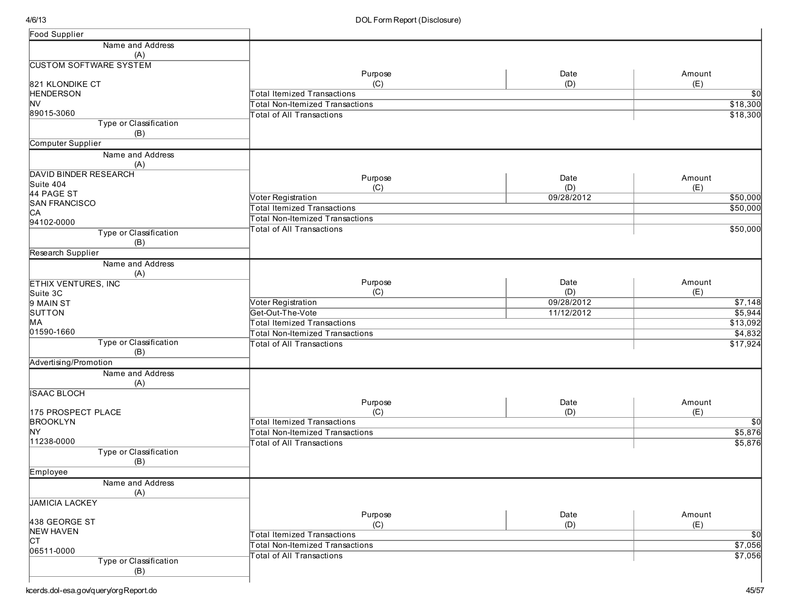| Food Supplier                      |                                        |            |                 |
|------------------------------------|----------------------------------------|------------|-----------------|
| Name and Address                   |                                        |            |                 |
| (A)                                |                                        |            |                 |
| <b>CUSTOM SOFTWARE SYSTEM</b>      |                                        |            |                 |
|                                    | Purpose                                | Date       | Amount          |
| 821 KLONDIKE CT                    | (C)                                    | (D)        | (E)             |
| <b>HENDERSON</b>                   | <b>Total Itemized Transactions</b>     |            | \$0             |
| <b>NV</b>                          | Total Non-Itemized Transactions        |            | \$18,300        |
| 89015-3060                         | <b>Total of All Transactions</b>       |            | \$18,300        |
| Type or Classification             |                                        |            |                 |
| (B)                                |                                        |            |                 |
| Computer Supplier                  |                                        |            |                 |
| Name and Address                   |                                        |            |                 |
| (A)                                |                                        |            |                 |
| <b>DAVID BINDER RESEARCH</b>       | Purpose                                | Date       | Amount          |
| Suite 404                          | (C)                                    | (D)        | (E)             |
| 44 PAGE ST<br><b>SAN FRANCISCO</b> | Voter Registration                     | 09/28/2012 | \$50,000        |
| C <sub>A</sub>                     | <b>Total Itemized Transactions</b>     |            | \$50,000        |
| 94102-0000                         | <b>Total Non-Itemized Transactions</b> |            |                 |
| Type or Classification             | <b>Total of All Transactions</b>       |            | \$50,000        |
| (B)                                |                                        |            |                 |
| Research Supplier                  |                                        |            |                 |
| Name and Address                   |                                        |            |                 |
| (A)                                |                                        |            |                 |
| <b>ETHIX VENTURES, INC</b>         | Purpose                                | Date       | Amount          |
| Suite 3C                           | (C)                                    | (D)        | (E)             |
| 9 MAIN ST                          | Voter Registration                     | 09/28/2012 | \$7,148         |
| SUTTON                             | Get-Out-The-Vote                       | 11/12/2012 | \$5,944         |
| MA                                 | <b>Total Itemized Transactions</b>     |            | \$13,092        |
| 01590-1660                         | <b>Total Non-Itemized Transactions</b> |            | \$4,832         |
| Type or Classification             | <b>Total of All Transactions</b>       |            | \$17,924        |
| (B)                                |                                        |            |                 |
| Advertising/Promotion              |                                        |            |                 |
| Name and Address                   |                                        |            |                 |
| (A)                                |                                        |            |                 |
| <b>ISAAC BLOCH</b>                 |                                        |            |                 |
|                                    | Purpose                                | Date       | Amount          |
| 175 PROSPECT PLACE                 | (C)                                    | (D)        | (E)             |
| <b>BROOKLYN</b>                    | <b>Total Itemized Transactions</b>     |            | $\overline{50}$ |
| NY                                 | <b>Total Non-Itemized Transactions</b> |            | \$5,876         |
| 11238-0000                         | <b>Total of All Transactions</b>       |            | \$5,876         |
| Type or Classification             |                                        |            |                 |
| (B)                                |                                        |            |                 |
| Employee                           |                                        |            |                 |
| Name and Address                   |                                        |            |                 |
| (A)                                |                                        |            |                 |
| <b>JAMICIA LACKEY</b>              |                                        |            |                 |
|                                    | Purpose                                | Date       | Amount          |
| 438 GEORGE ST                      | (C)                                    | (D)        | (E)             |
| <b>NEW HAVEN</b>                   | <b>Total Itemized Transactions</b>     |            | \$0             |
| <b>CT</b>                          | Total Non-Itemized Transactions        |            | \$7,056         |
| 06511-0000                         | <b>Total of All Transactions</b>       |            | \$7,056         |
| Type or Classification             |                                        |            |                 |
| (B)                                |                                        |            |                 |
|                                    |                                        |            |                 |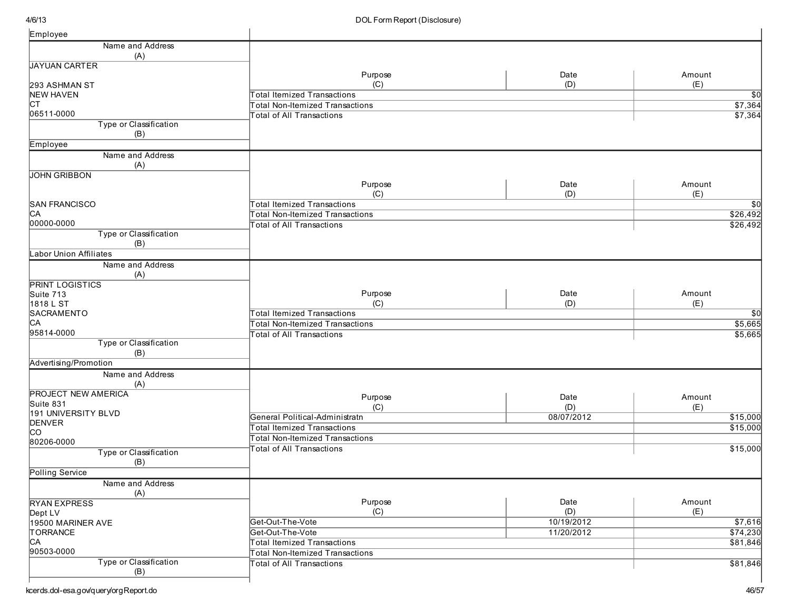| Employee                               |                                        |             |                 |
|----------------------------------------|----------------------------------------|-------------|-----------------|
| Name and Address                       |                                        |             |                 |
| (A)                                    |                                        |             |                 |
| <b>JAYUAN CARTER</b>                   |                                        |             |                 |
|                                        | Purpose                                | Date        | Amount          |
| 293 ASHMAN ST                          | (C)                                    | (D)         | (E)             |
| <b>NEW HAVEN</b>                       | Total Itemized Transactions            |             | $\overline{50}$ |
| Iст                                    | <b>Total Non-Itemized Transactions</b> |             | \$7,364         |
| 06511-0000                             | <b>Total of All Transactions</b>       |             | \$7,364         |
| Type or Classification                 |                                        |             |                 |
| (B)                                    |                                        |             |                 |
| Employee                               |                                        |             |                 |
| Name and Address                       |                                        |             |                 |
| (A)                                    |                                        |             |                 |
| <b>JOHN GRIBBON</b>                    |                                        |             |                 |
|                                        | Purpose                                | Date        | Amount          |
|                                        | (C)                                    | (D)         | (E)             |
| <b>SAN FRANCISCO</b><br>C <sub>A</sub> | <b>Total Itemized Transactions</b>     |             | \$0             |
| 00000-0000                             | Total Non-Itemized Transactions        |             | 326,492         |
| Type or Classification                 | <b>Total of All Transactions</b>       |             | \$26,492        |
|                                        |                                        |             |                 |
| (B)<br><b>Labor Union Affiliates</b>   |                                        |             |                 |
|                                        |                                        |             |                 |
| Name and Address                       |                                        |             |                 |
| (A)                                    |                                        |             |                 |
| <b>PRINT LOGISTICS</b>                 |                                        |             | Amount          |
| Suite 713<br>1818 L ST                 | Purpose<br>(C)                         | Date<br>(D) | (E)             |
| SACRAMENTO                             | Total Itemized Transactions            |             |                 |
| C <sub>A</sub>                         |                                        |             | $\overline{30}$ |
| 95814-0000                             | <b>Total Non-Itemized Transactions</b> |             | \$5,665         |
| Type or Classification                 | <b>Total of All Transactions</b>       |             | \$5,665         |
| (B)                                    |                                        |             |                 |
| Advertising/Promotion                  |                                        |             |                 |
| Name and Address                       |                                        |             |                 |
|                                        |                                        |             |                 |
| (A)<br><b>PROJECT NEW AMERICA</b>      |                                        |             |                 |
| Suite 831                              | Purpose                                | Date        | Amount          |
| 191 UNIVERSITY BLVD                    | (C)                                    | (D)         | (E)             |
| <b>DENVER</b>                          | General Political-Administratn         | 08/07/2012  | \$15,000        |
| co                                     | Total Itemized Transactions            |             | \$15,000        |
| 80206-0000                             | <b>Total Non-Itemized Transactions</b> |             |                 |
| Type or Classification                 | <b>Total of All Transactions</b>       |             | \$15,000        |
| (B)                                    |                                        |             |                 |
| Polling Service                        |                                        |             |                 |
| Name and Address                       |                                        |             |                 |
| (A)                                    |                                        |             |                 |
| <b>RYAN EXPRESS</b>                    | Purpose                                | Date        | Amount          |
| Dept LV                                | (C)                                    | (D)         | (E)             |
| 19500 MARINER AVE                      | Get-Out-The-Vote                       | 10/19/2012  | \$7,616         |
| TORRANCE                               | Get-Out-The-Vote                       | 11/20/2012  | \$74,230        |
| CA                                     | <b>Total Itemized Transactions</b>     |             | \$81,846        |
| 90503-0000                             | <b>Total Non-Itemized Transactions</b> |             |                 |
| Type or Classification                 | <b>Total of All Transactions</b>       |             | \$81,846        |
| (B)                                    |                                        |             |                 |
|                                        |                                        |             |                 |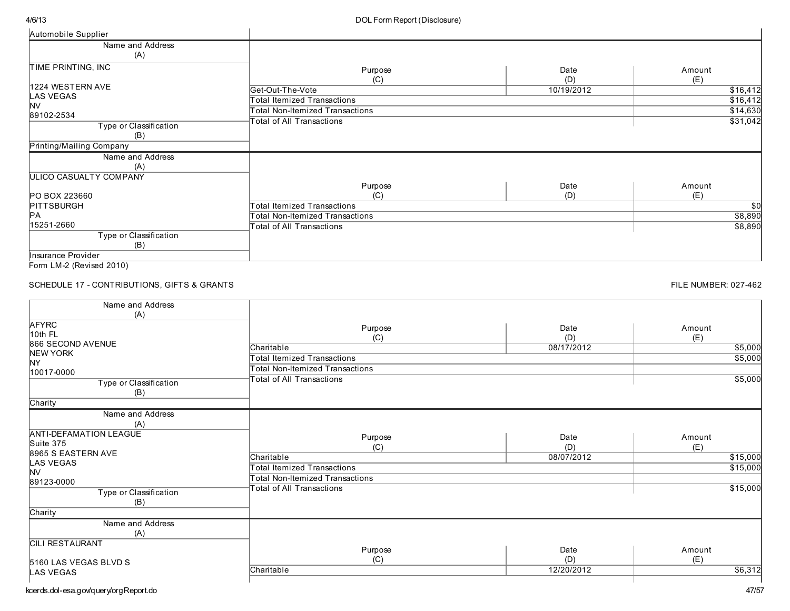| Automobile Supplier                                                                                                                                                                                                                                                                                                                                                                                                                                                                        |                                    |             |               |
|--------------------------------------------------------------------------------------------------------------------------------------------------------------------------------------------------------------------------------------------------------------------------------------------------------------------------------------------------------------------------------------------------------------------------------------------------------------------------------------------|------------------------------------|-------------|---------------|
| Name and Address<br>(A)                                                                                                                                                                                                                                                                                                                                                                                                                                                                    |                                    |             |               |
| TIME PRINTING, INC                                                                                                                                                                                                                                                                                                                                                                                                                                                                         | Purpose<br>(C)                     | Date<br>(D) | Amount<br>(E) |
| 1224 WESTERN AVE                                                                                                                                                                                                                                                                                                                                                                                                                                                                           | Get-Out-The-Vote                   | 10/19/2012  | \$16,412      |
| <b>LAS VEGAS</b>                                                                                                                                                                                                                                                                                                                                                                                                                                                                           | <b>Total Itemized Transactions</b> |             | \$16,412      |
| <b>NV</b><br>89102-2534                                                                                                                                                                                                                                                                                                                                                                                                                                                                    | Total Non-Itemized Transactions    |             | \$14,630      |
| Type or Classification<br>(B)                                                                                                                                                                                                                                                                                                                                                                                                                                                              | Total of All Transactions          |             | \$31,042      |
| Printing/Mailing Company                                                                                                                                                                                                                                                                                                                                                                                                                                                                   |                                    |             |               |
| Name and Address<br>(A)                                                                                                                                                                                                                                                                                                                                                                                                                                                                    |                                    |             |               |
| ULICO CASUALTY COMPANY                                                                                                                                                                                                                                                                                                                                                                                                                                                                     |                                    |             |               |
| <b>PO BOX 223660</b>                                                                                                                                                                                                                                                                                                                                                                                                                                                                       | Purpose<br>(C)                     | Date<br>(D) | Amount<br>(E) |
| PITTSBURGH                                                                                                                                                                                                                                                                                                                                                                                                                                                                                 | Total Itemized Transactions        |             | \$0           |
| IРА                                                                                                                                                                                                                                                                                                                                                                                                                                                                                        | Total Non-Itemized Transactions    |             | \$8,890       |
| 15251-2660                                                                                                                                                                                                                                                                                                                                                                                                                                                                                 | Total of All Transactions          |             | \$8,890       |
| Type or Classification<br>(B)                                                                                                                                                                                                                                                                                                                                                                                                                                                              |                                    |             |               |
| Insurance Provider                                                                                                                                                                                                                                                                                                                                                                                                                                                                         |                                    |             |               |
| $\blacksquare$ $\blacksquare$ $\blacksquare$ $\blacksquare$ $\blacksquare$ $\blacksquare$ $\blacksquare$ $\blacksquare$ $\blacksquare$ $\blacksquare$ $\blacksquare$ $\blacksquare$ $\blacksquare$ $\blacksquare$ $\blacksquare$ $\blacksquare$ $\blacksquare$ $\blacksquare$ $\blacksquare$ $\blacksquare$ $\blacksquare$ $\blacksquare$ $\blacksquare$ $\blacksquare$ $\blacksquare$ $\blacksquare$ $\blacksquare$ $\blacksquare$ $\blacksquare$ $\blacksquare$ $\blacksquare$ $\blacks$ |                                    |             |               |

Form LM-2 (Revised 2010)

## SCHEDULE 17 - CONTRIBUTIONS, GIFTS & GRANTS

#### FILE NUMBER: 027-462

| Name and Address<br>(A)                                                                                                                                                     |                                                                                                                                                  |                           |                                                   |
|-----------------------------------------------------------------------------------------------------------------------------------------------------------------------------|--------------------------------------------------------------------------------------------------------------------------------------------------|---------------------------|---------------------------------------------------|
| <b>AFYRC</b><br>10th FL<br>866 SECOND AVENUE<br>NEW YORK<br><b>NY</b><br>10017-0000<br>Type or Classification<br>(B)<br>Charity                                             | Purpose<br>(C)<br>Charitable<br><b>Total Itemized Transactions</b><br><b>Total Non-Itemized Transactions</b><br><b>Total of All Transactions</b> | Date<br>(D)<br>08/17/2012 | Amount<br>(E)<br>\$5,000<br>\$5,000<br>\$5,000    |
| Name and Address<br>(A)<br><b>ANTI-DEFAMATION LEAGUE</b><br>Suite 375<br>8965 S EASTERN AVE<br><b>LAS VEGAS</b><br><b>NV</b><br>89123-0000<br>Type or Classification<br>(B) | Purpose<br>(C)<br>Charitable<br><b>Total Itemized Transactions</b><br><b>Total Non-Itemized Transactions</b><br><b>Total of All Transactions</b> | Date<br>(D)<br>08/07/2012 | Amount<br>(E)<br>\$15,000<br>\$15,000<br>\$15,000 |
| Charity<br>Name and Address<br>(A)<br><b>CILI RESTAURANT</b><br>5160 LAS VEGAS BLVD S<br>LAS VEGAS                                                                          | Purpose<br>(C)<br>Charitable                                                                                                                     | Date<br>(D)<br>12/20/2012 | Amount<br>(E)<br>\$6,312                          |

kcerds.dol-esa.gov/query/orgReport.do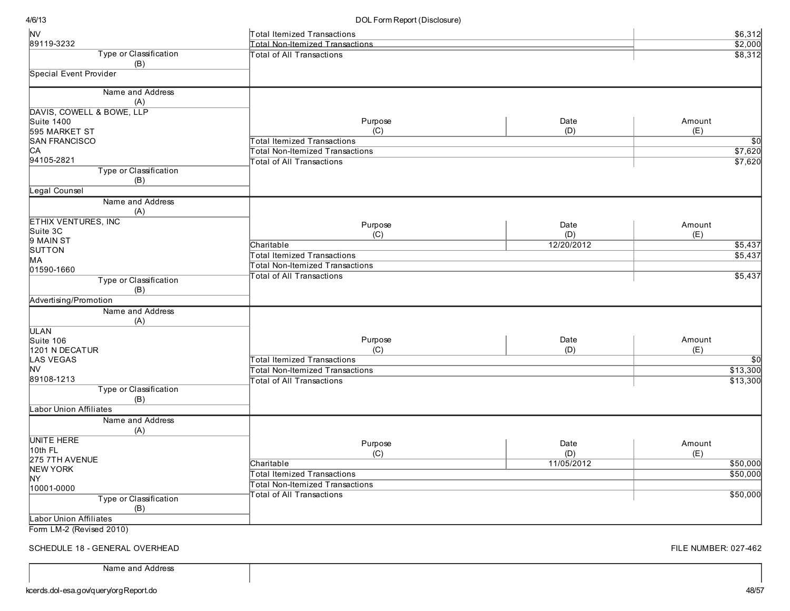#### DOL Form Report (Disclosure)

| <b>NV</b>                                         | <b>Total Itemized Transactions</b>     |            | \$6,312  |
|---------------------------------------------------|----------------------------------------|------------|----------|
| 89119-3232                                        | <b>Total Non-Itemized Transactions</b> |            | \$2,000  |
| Type or Classification                            | <b>Total of All Transactions</b>       |            | \$8,312  |
| (B)                                               |                                        |            |          |
| <b>Special Event Provider</b>                     |                                        |            |          |
|                                                   |                                        |            |          |
| Name and Address                                  |                                        |            |          |
| (A)                                               |                                        |            |          |
| DAVIS, COWELL & BOWE, LLP                         |                                        |            |          |
| <b>Suite 1400</b>                                 | Purpose                                | Date       | Amount   |
| 595 MARKET ST                                     | (C)                                    | (D)        | (E)      |
| <b>SAN FRANCISCO</b>                              | <b>Total Itemized Transactions</b>     |            | \$0      |
| IСA                                               | <b>Total Non-Itemized Transactions</b> |            | \$7,620  |
| 94105-2821                                        | <b>Total of All Transactions</b>       |            | \$7,620  |
| Type or Classification                            |                                        |            |          |
| (B)                                               |                                        |            |          |
| Legal Counsel                                     |                                        |            |          |
| Name and Address                                  |                                        |            |          |
| (A)                                               |                                        |            |          |
| <b>ETHIX VENTURES, INC</b>                        |                                        |            |          |
| Suite 3C                                          | Purpose                                | Date       | Amount   |
| 9 MAIN ST                                         | (C)                                    | (D)        | (E)      |
| SUTTON                                            | Charitable                             | 12/20/2012 | \$5,437  |
| MА                                                | <b>Total Itemized Transactions</b>     |            | \$5,437  |
| 01590-1660                                        | <b>Total Non-Itemized Transactions</b> |            |          |
| Type or Classification                            | <b>Total of All Transactions</b>       |            | \$5,437  |
| (B)                                               |                                        |            |          |
| Advertising/Promotion                             |                                        |            |          |
| Name and Address                                  |                                        |            |          |
| (A)                                               |                                        |            |          |
| <b>ULAN</b>                                       |                                        |            |          |
| Suite 106                                         | Purpose                                | Date       | Amount   |
| 1201 N DECATUR                                    | (C)                                    | (D)        | (E)      |
| LAS VEGAS                                         | <b>Total Itemized Transactions</b>     |            | \$0      |
| NV                                                | <b>Total Non-Itemized Transactions</b> |            | \$13,300 |
| 89108-1213                                        | <b>Total of All Transactions</b>       |            | \$13,300 |
| Type or Classification                            |                                        |            |          |
| (B)                                               |                                        |            |          |
| <b>Labor Union Affiliates</b>                     |                                        |            |          |
|                                                   |                                        |            |          |
| Name and Address                                  |                                        |            |          |
| (A)                                               |                                        |            |          |
| <b>UNITE HERE</b>                                 | Purpose                                | Date       | Amount   |
| 10th FL                                           | (C)                                    | (D)        | (E)      |
| 275 7TH AVENUE                                    | Charitable                             | 11/05/2012 | \$50,000 |
| NEW YORK                                          | <b>Total Itemized Transactions</b>     |            | \$50,000 |
| NY.                                               | <b>Total Non-Itemized Transactions</b> |            |          |
| 10001-0000                                        | <b>Total of All Transactions</b>       |            | \$50,000 |
| Type or Classification                            |                                        |            |          |
| (B)                                               |                                        |            |          |
| Labor Union Affiliates<br>Form 1 M 2 (David 2010) |                                        |            |          |

Form LM-2 (Revised 2010)

SCHEDULE 18 - GENERAL OVERHEAD

Name and Address

FILE NUMBER: 027-462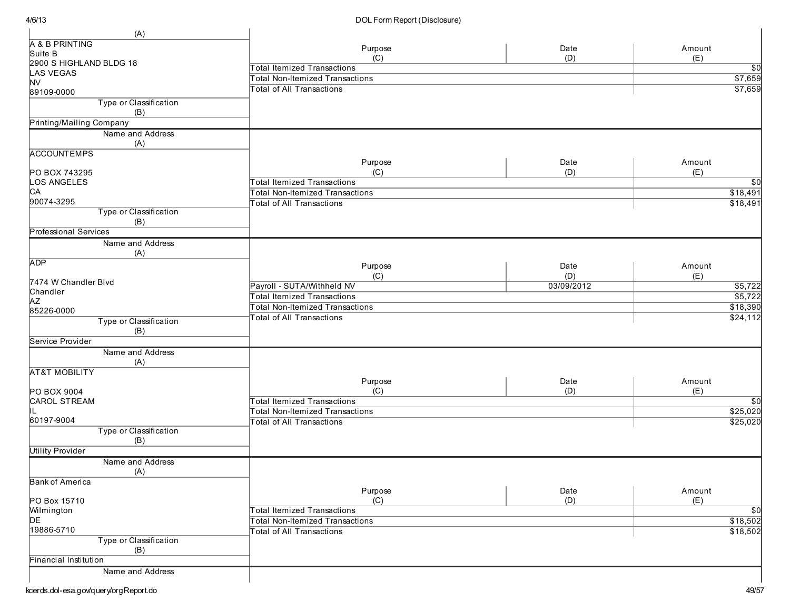| (A)                           |                                        |            |                 |
|-------------------------------|----------------------------------------|------------|-----------------|
| A & B PRINTING                |                                        |            | Amount          |
| Suite B                       | Purpose                                | Date       | (E)             |
| 2900 S HIGHLAND BLDG 18       | (C)                                    | (D)        |                 |
| LAS VEGAS                     | <b>Total Itemized Transactions</b>     |            | $\overline{50}$ |
| <b>NV</b>                     | <b>Total Non-Itemized Transactions</b> |            | \$7,659         |
| 89109-0000                    | <b>Total of All Transactions</b>       |            | \$7,659         |
| Type or Classification<br>(B) |                                        |            |                 |
| Printing/Mailing Company      |                                        |            |                 |
| Name and Address              |                                        |            |                 |
| (A)                           |                                        |            |                 |
| <b>ACCOUNTEMPS</b>            |                                        |            |                 |
|                               | Purpose                                | Date       | Amount          |
| PO BOX 743295                 | (C)                                    | (D)        | (E)             |
| LOS ANGELES                   | <b>Total Itemized Transactions</b>     |            | $\overline{50}$ |
| CA                            | <b>Total Non-Itemized Transactions</b> |            | \$18,491        |
| 90074-3295                    | <b>Total of All Transactions</b>       |            | \$18,491        |
| Type or Classification        |                                        |            |                 |
| (B)                           |                                        |            |                 |
| <b>Professional Services</b>  |                                        |            |                 |
| Name and Address              |                                        |            |                 |
| (A)                           |                                        |            |                 |
| <b>ADP</b>                    | Purpose                                | Date       | Amount          |
|                               | (C)                                    | (D)        | (E)             |
| 7474 W Chandler Blvd          | Payroll - SUTA/Withheld NV             | 03/09/2012 | \$5,722         |
| Chandler                      | <b>Total Itemized Transactions</b>     |            | \$5,722         |
| <b>AZ</b>                     | <b>Total Non-Itemized Transactions</b> |            | \$18,390        |
| 85226-0000                    | <b>Total of All Transactions</b>       |            | \$24,112        |
| Type or Classification        |                                        |            |                 |
| (B)                           |                                        |            |                 |
| Service Provider              |                                        |            |                 |
| Name and Address              |                                        |            |                 |
| (A)                           |                                        |            |                 |
| <b>AT&amp;T MOBILITY</b>      |                                        |            |                 |
|                               | Purpose                                | Date       | Amount          |
| <b>PO BOX 9004</b>            | (C)                                    | (D)        | (E)             |
| <b>CAROL STREAM</b>           | <b>Total Itemized Transactions</b>     |            | $\overline{50}$ |
| IL.                           | <b>Total Non-Itemized Transactions</b> |            | \$25,020        |
| 60197-9004                    | <b>Total of All Transactions</b>       |            | \$25,020        |
| Type or Classification        |                                        |            |                 |
| (B)                           |                                        |            |                 |
| <b>Utility Provider</b>       |                                        |            |                 |
| Name and Address              |                                        |            |                 |
| (A)                           |                                        |            |                 |
| <b>Bank of America</b>        |                                        |            |                 |
|                               | Purpose                                | Date       | Amount          |
| PO Box 15710                  | (C)                                    | (D)        | (E)             |
| Wilmington                    | <b>Total Itemized Transactions</b>     |            | $\overline{30}$ |
| DE                            | <b>Total Non-Itemized Transactions</b> |            | \$18,502        |
| 19886-5710                    | <b>Total of All Transactions</b>       |            | \$18,502        |
| Type or Classification        |                                        |            |                 |
| (B)                           |                                        |            |                 |
| Financial Institution         |                                        |            |                 |
| Name and Address              |                                        |            |                 |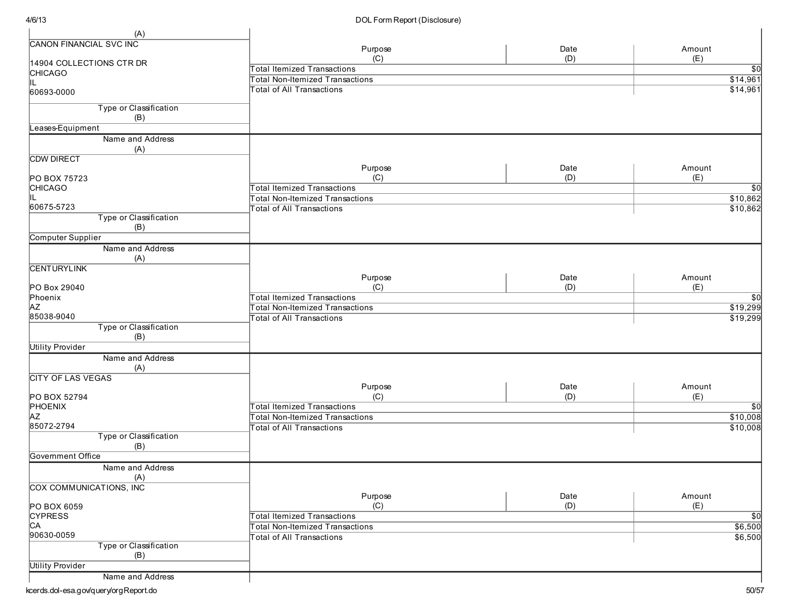| (A)                            |                                        |      |                 |
|--------------------------------|----------------------------------------|------|-----------------|
| <b>CANON FINANCIAL SVC INC</b> | Purpose                                | Date | Amount          |
| 14904 COLLECTIONS CTR DR       | (C)                                    | (D)  | (E)             |
| <b>CHICAGO</b>                 | <b>Total Itemized Transactions</b>     |      | $\overline{30}$ |
| lil.                           | <b>Total Non-Itemized Transactions</b> |      | \$14,961        |
| 60693-0000                     | <b>Total of All Transactions</b>       |      | \$14,961        |
| Type or Classification         |                                        |      |                 |
| (B)                            |                                        |      |                 |
| Leases-Equipment               |                                        |      |                 |
| Name and Address               |                                        |      |                 |
| (A)                            |                                        |      |                 |
| <b>CDW DIRECT</b>              | Purpose                                | Date | Amount          |
| PO BOX 75723                   | (C)                                    | (D)  | (E)             |
| <b>CHICAGO</b>                 | <b>Total Itemized Transactions</b>     |      | $\overline{30}$ |
|                                | <b>Total Non-Itemized Transactions</b> |      | \$10,862        |
| 60675-5723                     | <b>Total of All Transactions</b>       |      | \$10,862        |
| Type or Classification         |                                        |      |                 |
| (B)                            |                                        |      |                 |
| Computer Supplier              |                                        |      |                 |
| Name and Address               |                                        |      |                 |
| (A)                            |                                        |      |                 |
| <b>CENTURYLINK</b>             |                                        |      |                 |
|                                | Purpose                                | Date | Amount          |
| PO Box 29040                   | (C)                                    | (D)  | (E)             |
| Phoenix                        | <b>Total Itemized Transactions</b>     |      | $\overline{30}$ |
| <b>AZ</b><br>85038-9040        | <b>Total Non-Itemized Transactions</b> |      | \$19,299        |
| Type or Classification         | <b>Total of All Transactions</b>       |      | \$19,299        |
| (B)                            |                                        |      |                 |
| <b>Utility Provider</b>        |                                        |      |                 |
| Name and Address               |                                        |      |                 |
| (A)                            |                                        |      |                 |
| <b>CITY OF LAS VEGAS</b>       |                                        |      |                 |
|                                | Purpose                                | Date | Amount          |
| PO BOX 52794                   | (C)                                    | (D)  | (E)             |
| PHOENIX                        | <b>Total Itemized Transactions</b>     |      | $\overline{30}$ |
| <b>AZ</b>                      | <b>Total Non-Itemized Transactions</b> |      | \$10,008        |
| 85072-2794                     | Total of All Transactions              |      | \$10,008        |
| Type or Classification         |                                        |      |                 |
| (B)                            |                                        |      |                 |
| <b>Government Office</b>       |                                        |      |                 |
| Name and Address               |                                        |      |                 |
| (A)<br>COX COMMUNICATIONS, INC |                                        |      |                 |
|                                | Purpose                                | Date | Amount          |
| PO BOX 6059                    | (C)                                    | (D)  | (E)             |
| <b>CYPRESS</b>                 | <b>Total Itemized Transactions</b>     |      | $\overline{30}$ |
| C <sub>A</sub>                 | <b>Total Non-Itemized Transactions</b> |      | \$6,500         |
| 90630-0059                     | <b>Total of All Transactions</b>       |      | \$6,500         |
| Type or Classification         |                                        |      |                 |
| (B)                            |                                        |      |                 |
| <b>Utility Provider</b>        |                                        |      |                 |
| Name and Address               |                                        |      |                 |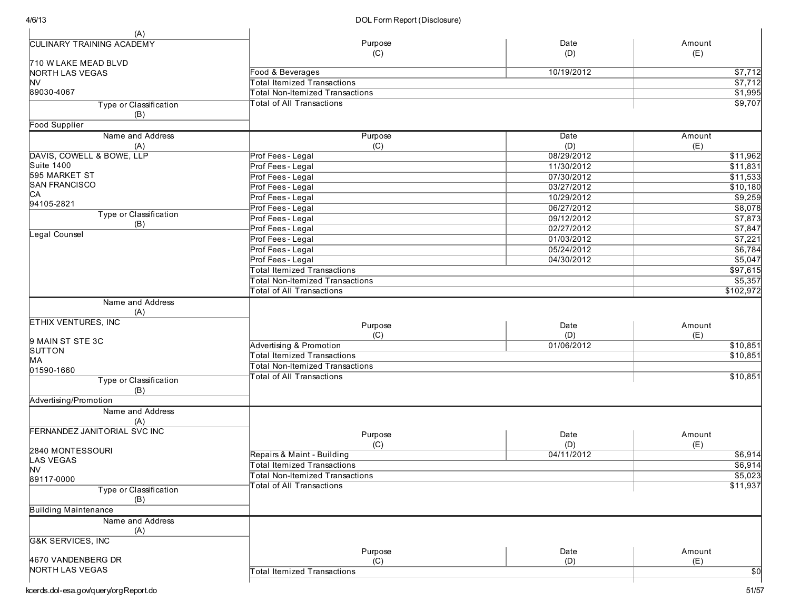| (A)                              |                                        |             |                 |
|----------------------------------|----------------------------------------|-------------|-----------------|
| <b>CULINARY TRAINING ACADEMY</b> | Purpose                                | Date        | Amount          |
|                                  | (C)                                    | (D)         | (E)             |
| 710 W LAKE MEAD BLVD             |                                        |             |                 |
| NORTH LAS VEGAS                  | Food & Beverages                       | 10/19/2012  | \$7,712         |
| <b>NV</b>                        | <b>Total Itemized Transactions</b>     |             | \$7,712         |
| 89030-4067                       | <b>Total Non-Itemized Transactions</b> |             | \$1,995         |
| Type or Classification           | <b>Total of All Transactions</b>       |             | \$9,707         |
| (B)                              |                                        |             |                 |
| <b>Food Supplier</b>             |                                        |             |                 |
| Name and Address                 | Purpose                                | <b>Date</b> | Amount          |
| (A)                              | (C)                                    | (D)         | (E)             |
| DAVIS, COWELL & BOWE, LLP        | Prof Fees - Legal                      | 08/29/2012  | \$11,962        |
| <b>Suite 1400</b>                | Prof Fees - Legal                      | 11/30/2012  | \$11,831        |
| 595 MARKET ST                    | Prof Fees - Legal                      | 07/30/2012  | \$11,533        |
| <b>SAN FRANCISCO</b>             | Prof Fees - Legal                      | 03/27/2012  | \$10,180        |
| CA                               | Prof Fees - Legal                      | 10/29/2012  | \$9,259         |
| 94105-2821                       | Prof Fees - Legal                      | 06/27/2012  | \$8,078         |
| Type or Classification           | Prof Fees - Legal                      | 09/12/2012  | \$7,873         |
| (B)                              | Prof Fees - Legal                      | 02/27/2012  | \$7,847         |
| Legal Counsel                    | Prof Fees - Legal                      | 01/03/2012  | \$7,221         |
|                                  | Prof Fees - Legal                      | 05/24/2012  | \$6,784         |
|                                  | Prof Fees - Legal                      | 04/30/2012  | \$5,047         |
|                                  | <b>Total Itemized Transactions</b>     |             | \$97,615        |
|                                  | <b>Total Non-Itemized Transactions</b> |             | \$5,357         |
|                                  | <b>Total of All Transactions</b>       |             | \$102,972       |
| Name and Address                 |                                        |             |                 |
| (A)                              |                                        |             |                 |
| <b>ETHIX VENTURES, INC</b>       |                                        |             |                 |
|                                  | Purpose                                | Date        | Amount          |
| 9 MAIN ST STE 3C                 | (C)                                    | (D)         | (E)             |
| SUTTON                           | Advertising & Promotion                | 01/06/2012  | \$10,851        |
| MA                               | <b>Total Itemized Transactions</b>     |             | \$10,851        |
| 01590-1660                       | <b>Total Non-Itemized Transactions</b> |             |                 |
| Type or Classification           | <b>Total of All Transactions</b>       |             | \$10,851        |
| (B)                              |                                        |             |                 |
| Advertising/Promotion            |                                        |             |                 |
| Name and Address                 |                                        |             |                 |
| (A)                              |                                        |             |                 |
| FERNANDEZ JANITORIAL SVC INC     | Purpose                                | Date        | Amount          |
|                                  | (C)                                    | (D)         | (E)             |
| 2840 MONTESSOURI                 | Repairs & Maint - Building             | 04/11/2012  | \$6,914         |
| <b>LAS VEGAS</b>                 | <b>Total Itemized Transactions</b>     |             | \$6,914         |
| <b>NV</b>                        | Total Non-Itemized Transactions        |             | \$5,023         |
| 89117-0000                       | <b>Fotal of All Transactions</b>       |             | \$11,937        |
| Type or Classification           |                                        |             |                 |
| (B)                              |                                        |             |                 |
| <b>Building Maintenance</b>      |                                        |             |                 |
| Name and Address                 |                                        |             |                 |
| (A)                              |                                        |             |                 |
| <b>G&amp;K SERVICES, INC</b>     |                                        |             |                 |
|                                  | Purpose                                | Date        | Amount          |
| 4670 VANDENBERG DR               | (C)                                    | (D)         | (E)             |
| NORTH LAS VEGAS                  | <b>Total Itemized Transactions</b>     |             | $\overline{30}$ |
|                                  |                                        |             |                 |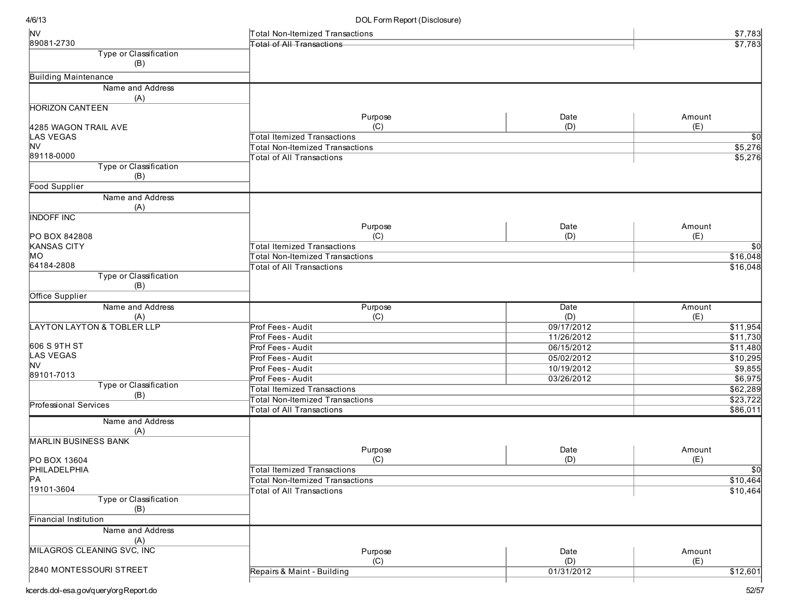| <b>NV</b>                                    | Total Non-Itemized Transactions        |                   | \$7,783              |
|----------------------------------------------|----------------------------------------|-------------------|----------------------|
| 89081-2730                                   | <b>Total of All Transactions</b>       |                   | \$7,783              |
| Type or Classification                       |                                        |                   |                      |
| (B)                                          |                                        |                   |                      |
| <b>Building Maintenance</b>                  |                                        |                   |                      |
| Name and Address                             |                                        |                   |                      |
| (A)                                          |                                        |                   |                      |
| <b>HORIZON CANTEEN</b>                       |                                        |                   |                      |
|                                              | Purpose                                | Date              | Amount               |
| 4285 WAGON TRAIL AVE                         | (C)                                    | (D)               | (E)                  |
| <b>LAS VEGAS</b>                             | <b>Total Itemized Transactions</b>     |                   | $\sqrt{50}$          |
| <b>NV</b>                                    | <b>Total Non-Itemized Transactions</b> |                   | \$5,276              |
| 89118-0000                                   | <b>Total of All Transactions</b>       |                   | \$5,276              |
| Type or Classification                       |                                        |                   |                      |
| (B)                                          |                                        |                   |                      |
| <b>Food Supplier</b>                         |                                        |                   |                      |
| Name and Address<br>(A)                      |                                        |                   |                      |
| <b>INDOFF INC</b>                            |                                        |                   |                      |
|                                              | Purpose                                | Date              | Amount               |
| PO BOX 842808                                | (C)                                    | (D)               | (E)                  |
| <b>KANSAS CITY</b>                           | <b>Total Itemized Transactions</b>     |                   | \$0                  |
| MО<br>64184-2808                             | <b>Total Non-Itemized Transactions</b> |                   | \$16,048             |
| Type or Classification                       | <b>Total of All Transactions</b>       |                   | \$16,048             |
| (B)                                          |                                        |                   |                      |
| Office Supplier                              |                                        |                   |                      |
| Name and Address                             |                                        |                   |                      |
|                                              | Purpose                                | Date              | Amount               |
| (A)<br><b>LAYTON LAYTON &amp; TOBLER LLP</b> | (C)<br>Prof Fees - Audit               | (D)<br>09/17/2012 | (E)<br>\$11,954      |
|                                              | Prof Fees - Audit                      | 11/26/2012        | \$11,730             |
| 606 S 9TH ST                                 | Prof Fees - Audit                      | 06/15/2012        | \$11,480             |
| <b>LAS VEGAS</b>                             | Prof Fees - Audit                      | 05/02/2012        | \$10,295             |
| <b>NV</b>                                    | Prof Fees - Audit                      | 10/19/2012        | \$9,855              |
| 89101-7013                                   | Prof Fees - Audit                      | 03/26/2012        |                      |
| Type or Classification                       | <b>Total Itemized Transactions</b>     |                   | \$6,975<br>\$62,289  |
| (B)                                          | <b>Total Non-Itemized Transactions</b> |                   | \$23,722             |
| <b>Professional Services</b>                 |                                        |                   |                      |
| Name and Address                             | Total of All Transactions              |                   | \$86,011             |
| (A)                                          |                                        |                   |                      |
| <b>MARLIN BUSINESS BANK</b>                  |                                        |                   |                      |
|                                              | Purpose                                | Date              | Amount               |
| PO BOX 13604                                 | (C)                                    | (D)               | (E)                  |
| PHILADELPHIA<br>PA                           | Total Itemized Transactions            |                   | $\overline{50}$      |
| 19101-3604                                   | <b>Total Non-Itemized Transactions</b> |                   | \$10,464<br>\$10,464 |
| Type or Classification                       | <b>Total of All Transactions</b>       |                   |                      |
| (B)                                          |                                        |                   |                      |
| <b>Financial Institution</b>                 |                                        |                   |                      |
| Name and Address                             |                                        |                   |                      |
| (A)                                          |                                        |                   |                      |
| <b>MILAGROS CLEANING SVC, INC</b>            | Purpose                                | Date              | Amount               |
|                                              | (C)                                    | (D)               | (E)                  |
| 2840 MONTESSOURI STREET                      | Repairs & Maint - Building             | 01/31/2012        | \$12,601             |
|                                              |                                        |                   |                      |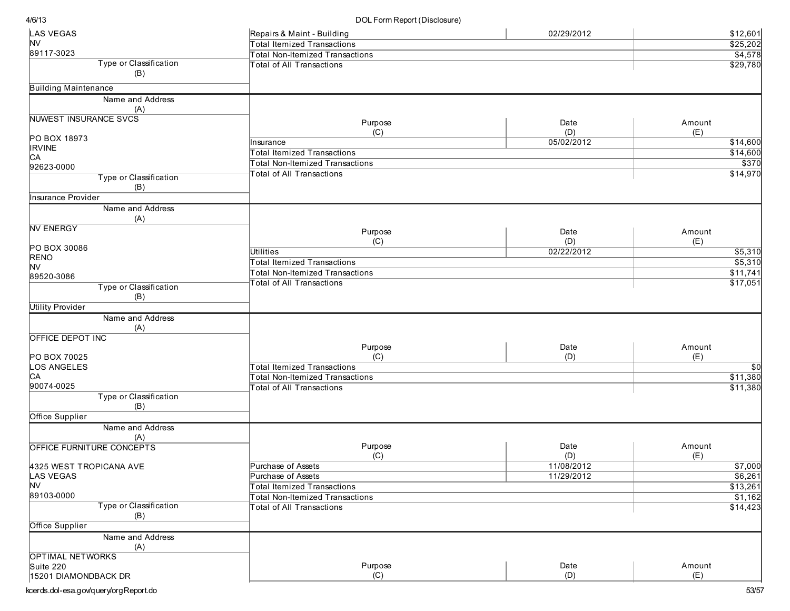| <b>LAS VEGAS</b>             | Repairs & Maint - Building             | 02/29/2012 | \$12,601        |
|------------------------------|----------------------------------------|------------|-----------------|
| NV                           | <b>Total Itemized Transactions</b>     |            | \$25,202        |
| 89117-3023                   | <b>Total Non-Itemized Transactions</b> |            | \$4,578         |
| Type or Classification       | <b>Total of All Transactions</b>       |            | \$29,780        |
| (B)                          |                                        |            |                 |
| <b>Building Maintenance</b>  |                                        |            |                 |
| Name and Address             |                                        |            |                 |
| (A)                          |                                        |            |                 |
| <b>NUWEST INSURANCE SVCS</b> |                                        |            |                 |
|                              | Purpose                                | Date       | Amount          |
| PO BOX 18973                 | (C)                                    | (D)        | (E)             |
| <b>IRVINE</b>                | Insurance                              | 05/02/2012 | \$14,600        |
| CА                           | <b>Total Itemized Transactions</b>     |            | \$14,600        |
| 92623-0000                   | Total Non-Itemized Transactions        |            | \$370           |
| Type or Classification       | <b>Total of All Transactions</b>       |            | \$14,970        |
| (B)                          |                                        |            |                 |
| Insurance Provider           |                                        |            |                 |
| Name and Address             |                                        |            |                 |
| (A)                          |                                        |            |                 |
| <b>NV ENERGY</b>             | Purpose                                | Date       | Amount          |
|                              | (C)                                    | (D)        |                 |
| PO BOX 30086                 | Utilities                              | 02/22/2012 | (E)             |
| <b>RENO</b>                  |                                        |            | \$5,310         |
| NV                           | <b>Total Itemized Transactions</b>     |            | \$5,310         |
| 89520-3086                   | Total Non-Itemized Transactions        |            | \$11,741        |
| Type or Classification       | <b>Total of All Transactions</b>       |            | \$17,051        |
| (B)                          |                                        |            |                 |
| <b>Utility Provider</b>      |                                        |            |                 |
| Name and Address             |                                        |            |                 |
| (A)                          |                                        |            |                 |
| OFFICE DEPOT INC             |                                        |            |                 |
|                              | Purpose                                | Date       | Amount          |
| PO BOX 70025                 | (C)                                    | (D)        | (E)             |
| LOS ANGELES                  | <b>Total Itemized Transactions</b>     |            | $\overline{50}$ |
| CА                           | Total Non-Itemized Transactions        |            | \$11,380        |
| 90074-0025                   | Total of All Transactions              |            | \$11,380        |
| Type or Classification       |                                        |            |                 |
| (B)                          |                                        |            |                 |
| Office Supplier              |                                        |            |                 |
| Name and Address             |                                        |            |                 |
| (A)                          |                                        |            |                 |
| OFFICE FURNITURE CONCEPTS    | Purpose                                | Date       | Amount          |
|                              | (C)                                    | (D)        | (E)             |
| 4325 WEST TROPICANA AVE      | Purchase of Assets                     | 11/08/2012 | \$7,000         |
| LAS VEGAS                    | Purchase of Assets                     | 11/29/2012 | \$6,261         |
| <b>NV</b>                    | <b>Total Itemized Transactions</b>     |            | \$13,261        |
| 89103-0000                   | <b>Total Non-Itemized Transactions</b> |            | \$1,162         |
| Type or Classification       | <b>Total of All Transactions</b>       |            | \$14,423        |
| (B)                          |                                        |            |                 |
| Office Supplier              |                                        |            |                 |
| Name and Address             |                                        |            |                 |
| (A)                          |                                        |            |                 |
| <b>OPTIMAL NETWORKS</b>      |                                        |            |                 |
| Suite 220                    | Purpose                                | Date       | Amount          |
| 15201 DIAMONDBACK DR         | (C)                                    | (D)        | (E)             |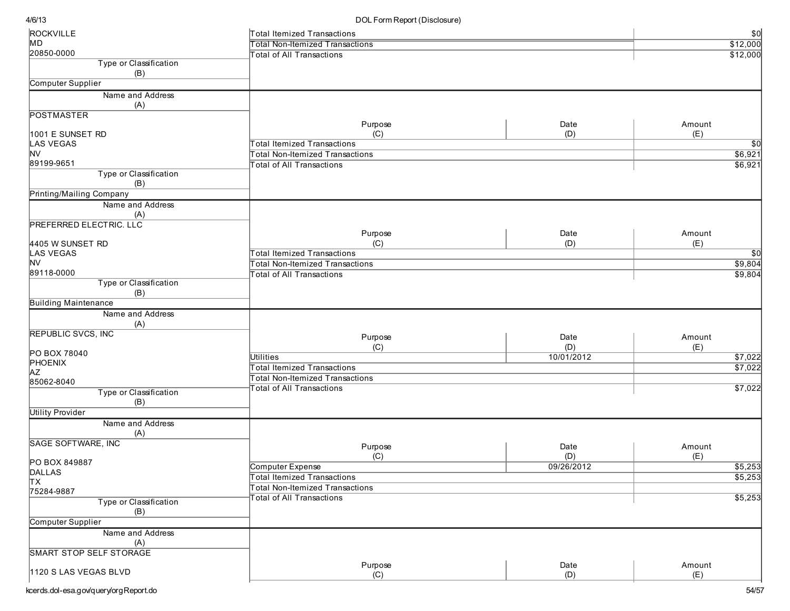| ROCKVILLE                      | Total Itemized Transactions                                                  |            | \$0             |
|--------------------------------|------------------------------------------------------------------------------|------------|-----------------|
| MD                             | <b>Total Non-Itemized Transactions</b>                                       |            | \$12,000        |
| 20850-0000                     | <b>Total of All Transactions</b>                                             |            | \$12,000        |
| Type or Classification         |                                                                              |            |                 |
| (B)                            |                                                                              |            |                 |
| Computer Supplier              |                                                                              |            |                 |
| Name and Address               |                                                                              |            |                 |
| (A)                            |                                                                              |            |                 |
| <b>POSTMASTER</b>              | Purpose                                                                      | Date       | Amount          |
| 1001 E SUNSET RD               | (C)                                                                          | (D)        | (E)             |
| <b>LAS VEGAS</b>               | <b>Total Itemized Transactions</b>                                           |            | $\overline{50}$ |
| NV                             | Total Non-Itemized Transactions                                              |            | \$6,921         |
| 89199-9651                     | <b>Total of All Transactions</b>                                             |            | \$6,921         |
| Type or Classification         |                                                                              |            |                 |
| (B)                            |                                                                              |            |                 |
| Printing/Mailing Company       |                                                                              |            |                 |
| Name and Address               |                                                                              |            |                 |
| (A)                            |                                                                              |            |                 |
| <b>PREFERRED ELECTRIC. LLC</b> |                                                                              |            |                 |
|                                | Purpose                                                                      | Date       | Amount          |
| 4405 W SUNSET RD               | (C)                                                                          | (D)        | (E)             |
| LAS VEGAS                      | <b>Total Itemized Transactions</b>                                           |            | \$0             |
| NV                             | Total Non-Itemized Transactions                                              |            | \$9,804         |
| 89118-0000                     | Total of All Transactions                                                    |            | \$9,804         |
| Type or Classification         |                                                                              |            |                 |
| (B)                            |                                                                              |            |                 |
| <b>Building Maintenance</b>    |                                                                              |            |                 |
| Name and Address<br>(A)        |                                                                              |            |                 |
| <b>REPUBLIC SVCS, INC</b>      |                                                                              |            |                 |
|                                | Purpose                                                                      | Date       | Amount          |
| PO BOX 78040                   | (C)                                                                          | (D)        | (E)             |
| PHOENIX                        | <b>Utilities</b>                                                             | 10/01/2012 | \$7,022         |
| ΑZ                             | <b>Total Itemized Transactions</b><br><b>Total Non-Itemized Transactions</b> |            | \$7,022         |
| 85062-8040                     |                                                                              |            |                 |
| Type or Classification         | <b>Total of All Transactions</b>                                             |            | \$7,022         |
| (B)                            |                                                                              |            |                 |
| <b>Utility Provider</b>        |                                                                              |            |                 |
| Name and Address               |                                                                              |            |                 |
| (A)                            |                                                                              |            |                 |
| <b>SAGE SOFTWARE, INC</b>      | Purpose                                                                      | Date       | Amount          |
|                                | (C)                                                                          | (D)        | (E)             |
| PO BOX 849887<br><b>DALLAS</b> | Computer Expense                                                             | 09/26/2012 | \$5,253         |
| TХ                             | <b>Total Itemized Transactions</b>                                           |            | \$5,253         |
| 75284-9887                     | Total Non-Itemized Transactions                                              |            |                 |
| Type or Classification         | <b>Total of All Transactions</b>                                             |            | \$5,253         |
| (B)                            |                                                                              |            |                 |
| Computer Supplier              |                                                                              |            |                 |
| Name and Address               |                                                                              |            |                 |
| (A)                            |                                                                              |            |                 |
| <b>SMART STOP SELF STORAGE</b> |                                                                              |            |                 |
|                                | Purpose                                                                      | Date       | Amount          |
| 1120 S LAS VEGAS BLVD          | (C)                                                                          | (D)        | (E)             |
|                                |                                                                              |            |                 |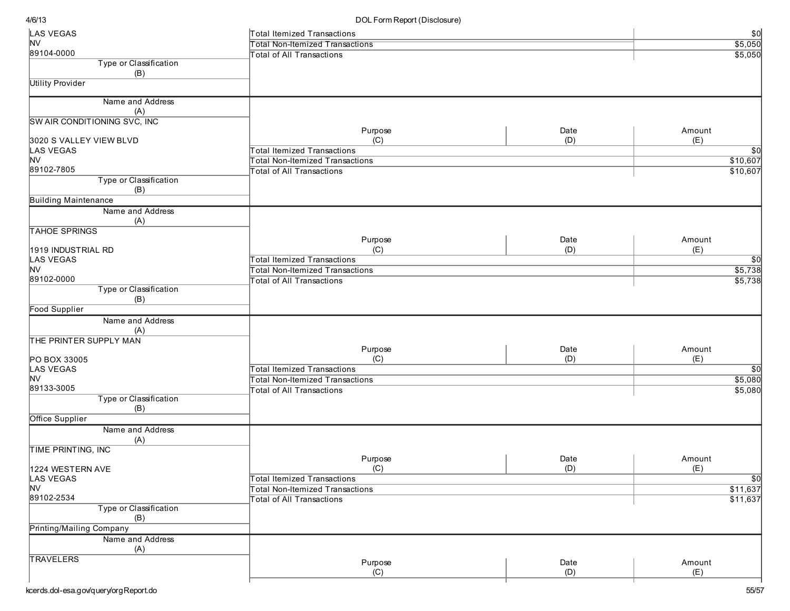| LAS VEGAS                      | Total Itemized Transactions            |             |                   |
|--------------------------------|----------------------------------------|-------------|-------------------|
| <b>NV</b>                      | <b>Total Non-Itemized Transactions</b> |             | $rac{$0}{$5,050}$ |
| 89104-0000                     | <b>Total of All Transactions</b>       |             | \$5,050           |
| Type or Classification         |                                        |             |                   |
| (B)<br><b>Utility Provider</b> |                                        |             |                   |
|                                |                                        |             |                   |
| Name and Address<br>(A)        |                                        |             |                   |
| SW AIR CONDITIONING SVC, INC   |                                        |             |                   |
| 3020 S VALLEY VIEW BLVD        | Purpose<br>(C)                         | Date<br>(D) | Amount<br>(E)     |
| LAS VEGAS                      | <b>Total Itemized Transactions</b>     |             | $\overline{30}$   |
| <b>NV</b>                      | <b>Total Non-Itemized Transactions</b> |             | \$10,607          |
| 89102-7805                     | <b>Total of All Transactions</b>       |             | \$10,607          |
| Type or Classification<br>(B)  |                                        |             |                   |
| <b>Building Maintenance</b>    |                                        |             |                   |
| Name and Address               |                                        |             |                   |
| (A)<br><b>TAHOE SPRINGS</b>    |                                        |             |                   |
|                                | Purpose                                | Date        | Amount            |
| 1919 INDUSTRIAL RD             | (C)                                    | (D)         | (E)               |
| <b>LAS VEGAS</b>               | <b>Total Itemized Transactions</b>     |             | $\sqrt{50}$       |
| <b>NV</b>                      | <b>Total Non-Itemized Transactions</b> |             | \$5,738           |
| 89102-0000                     | <b>Total of All Transactions</b>       |             | \$5,738           |
| Type or Classification<br>(B)  |                                        |             |                   |
| <b>Food Supplier</b>           |                                        |             |                   |
| Name and Address               |                                        |             |                   |
| (A)                            |                                        |             |                   |
| THE PRINTER SUPPLY MAN         |                                        |             |                   |
|                                | Purpose                                | Date        | Amount            |
| PO BOX 33005                   | (C)                                    | (D)         | (E)               |
| LAS VEGAS                      | <b>Total Itemized Transactions</b>     |             | $\sqrt{50}$       |
| <b>NV</b>                      | <b>Total Non-Itemized Transactions</b> |             | \$5,080           |
| 89133-3005                     | <b>Total of All Transactions</b>       |             | \$5,080           |
| Type or Classification<br>(B)  |                                        |             |                   |
| Office Supplier                |                                        |             |                   |
| Name and Address               |                                        |             |                   |
| (A)                            |                                        |             |                   |
| TIME PRINTING, INC             |                                        |             |                   |
|                                | Purpose                                | Date        | Amount            |
| 1224 WESTERN AVE               | (C)                                    | (D)         | (E)               |
| LAS VEGAS                      | <b>Total Itemized Transactions</b>     |             | $\overline{\$0}$  |
| <b>NV</b>                      | <b>Total Non-Itemized Transactions</b> |             | \$11,637          |
| 89102-2534                     | Total of All Transactions              |             | \$11,637          |
| Type or Classification<br>(B)  |                                        |             |                   |
| Printing/Mailing Company       |                                        |             |                   |
| Name and Address               |                                        |             |                   |
| (A)                            |                                        |             |                   |
| <b>TRAVELERS</b>               |                                        |             |                   |
|                                | Purpose<br>(C)                         | Date<br>(D) | Amount<br>(E)     |
|                                |                                        |             |                   |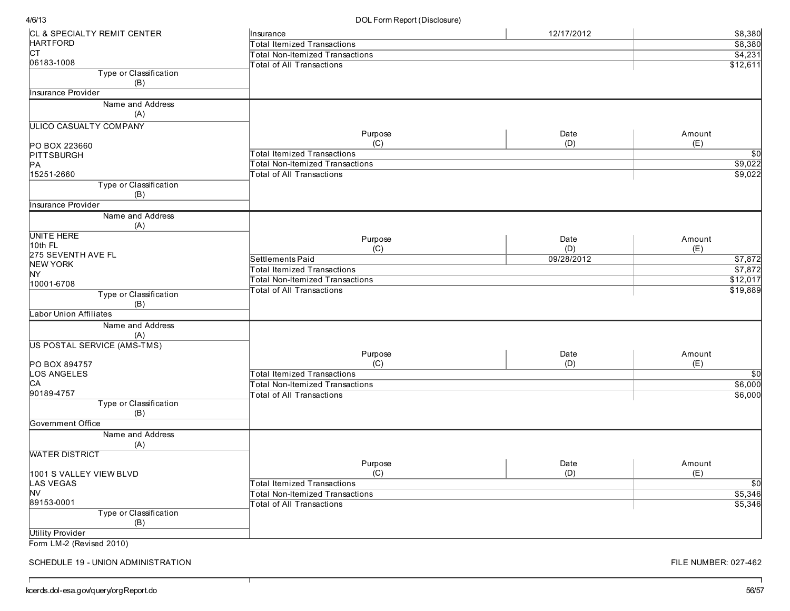DOL Form Report (Disclosure)

| CL & SPECIALTY REMIT CENTER        | Insurance                              | 12/17/2012 | \$8,380         |
|------------------------------------|----------------------------------------|------------|-----------------|
| <b>HARTFORD</b>                    | Total Itemized Transactions            |            | \$8,380         |
| lст                                | Total Non-Itemized Transactions        |            | \$4,231         |
| 06183-1008                         | <b>Total of All Transactions</b>       |            | \$12,611        |
| Type or Classification<br>(B)      |                                        |            |                 |
| Insurance Provider                 |                                        |            |                 |
| Name and Address                   |                                        |            |                 |
| (A)                                |                                        |            |                 |
| <b>ULICO CASUALTY COMPANY</b>      |                                        |            |                 |
|                                    | Purpose                                | Date       | Amount          |
| PO BOX 223660                      | (C)                                    | (D)        | (E)             |
| PITTSBURGH                         | <b>Total Itemized Transactions</b>     |            | $\overline{50}$ |
| PA                                 | <b>Total Non-Itemized Transactions</b> |            | \$9,022         |
| 15251-2660                         | <b>Total of All Transactions</b>       |            | \$9,022         |
| Type or Classification<br>(B)      |                                        |            |                 |
| Insurance Provider                 |                                        |            |                 |
| Name and Address                   |                                        |            |                 |
| (A)                                |                                        |            |                 |
| <b>UNITE HERE</b>                  | Purpose                                | Date       | Amount          |
| 10th FL                            | (C)                                    | (D)        | (E)             |
| 275 SEVENTH AVE FL                 | Settlements Paid                       | 09/28/2012 | \$7,872         |
| <b>NEW YORK</b>                    |                                        |            | \$7,872         |
| NY.                                | Total Itemized Transactions            |            |                 |
| 10001-6708                         | <b>Total Non-Itemized Transactions</b> |            | \$12,017        |
| Type or Classification<br>(B)      | <b>Total of All Transactions</b>       |            | \$19,889        |
| <b>Labor Union Affiliates</b>      |                                        |            |                 |
| Name and Address                   |                                        |            |                 |
| (A)                                |                                        |            |                 |
| <b>US POSTAL SERVICE (AMS-TMS)</b> |                                        |            |                 |
|                                    | Purpose                                | Date       | Amount          |
| PO BOX 894757                      | (C)                                    | (D)        | (E)             |
| LOS ANGELES                        | <b>Total Itemized Transactions</b>     |            | \$0             |
| IСA                                | <b>Total Non-Itemized Transactions</b> |            | \$6,000         |
| 90189-4757                         | <b>Total of All Transactions</b>       |            | \$6,000         |
| Type or Classification             |                                        |            |                 |
| (B)                                |                                        |            |                 |
| Government Office                  |                                        |            |                 |
| Name and Address                   |                                        |            |                 |
| (A)                                |                                        |            |                 |
| <b>WATER DISTRICT</b>              |                                        |            |                 |
|                                    | Purpose                                | Date       | Amount          |
| 1001 S VALLEY VIEW BLVD            | (C)                                    | (D)        | (E)             |
| LAS VEGAS                          | Total Itemized Transactions            |            | \$0             |
| NV                                 | Total Non-Itemized Transactions        |            | \$5,346         |
| 89153-0001                         | <b>Total of All Transactions</b>       |            | \$5,346         |
| Type or Classification             |                                        |            |                 |
| (B)                                |                                        |            |                 |
| <b>Utility Provider</b>            |                                        |            |                 |
|                                    |                                        |            |                 |

Form LM-2 (Revised 2010)

 $\Gamma$ 

SCHEDULE 19 - UNION ADMINISTRATION

┯

FILE NUMBER: 027-462